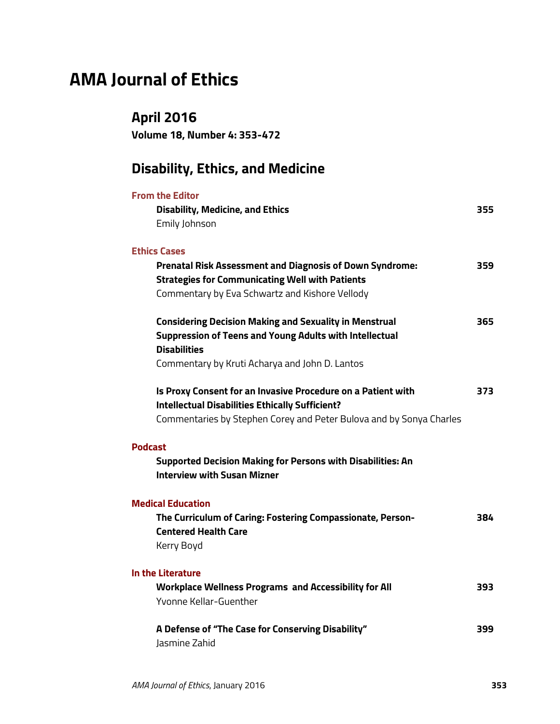# **AMA Journal of Ethics**

# **April 2016**

**Volume 18, Number 4: 353-472** 

# **Disability, Ethics, and Medicine**

| <b>Disability, Medicine, and Ethics</b><br>Emily Johnson                                          |     |
|---------------------------------------------------------------------------------------------------|-----|
|                                                                                                   | 355 |
|                                                                                                   |     |
| <b>Ethics Cases</b>                                                                               |     |
| <b>Prenatal Risk Assessment and Diagnosis of Down Syndrome:</b>                                   | 359 |
| <b>Strategies for Communicating Well with Patients</b>                                            |     |
| Commentary by Eva Schwartz and Kishore Vellody                                                    |     |
| <b>Considering Decision Making and Sexuality in Menstrual</b>                                     | 365 |
| Suppression of Teens and Young Adults with Intellectual                                           |     |
| <b>Disabilities</b>                                                                               |     |
| Commentary by Kruti Acharya and John D. Lantos                                                    |     |
| Is Proxy Consent for an Invasive Procedure on a Patient with                                      | 373 |
| <b>Intellectual Disabilities Ethically Sufficient?</b>                                            |     |
| Commentaries by Stephen Corey and Peter Bulova and by Sonya Charles                               |     |
| <b>Podcast</b>                                                                                    |     |
| Supported Decision Making for Persons with Disabilities: An<br><b>Interview with Susan Mizner</b> |     |
| <b>Medical Education</b>                                                                          |     |
| The Curriculum of Caring: Fostering Compassionate, Person-<br><b>Centered Health Care</b>         | 384 |
| Kerry Boyd                                                                                        |     |
|                                                                                                   |     |
|                                                                                                   |     |
| In the Literature                                                                                 |     |
| <b>Workplace Wellness Programs and Accessibility for All</b>                                      | 393 |
| Yvonne Kellar-Guenther                                                                            |     |
| A Defense of "The Case for Conserving Disability"                                                 | 399 |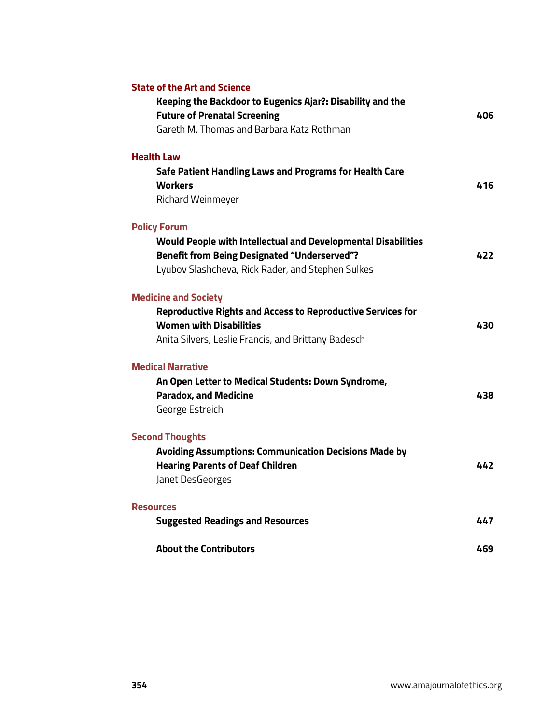| <b>State of the Art and Science</b><br>Keeping the Backdoor to Eugenics Ajar?: Disability and the<br><b>Future of Prenatal Screening</b><br>Gareth M. Thomas and Barbara Katz Rothman | 406 |
|---------------------------------------------------------------------------------------------------------------------------------------------------------------------------------------|-----|
| <b>Health Law</b>                                                                                                                                                                     |     |
| Safe Patient Handling Laws and Programs for Health Care                                                                                                                               |     |
| <b>Workers</b>                                                                                                                                                                        | 416 |
| Richard Weinmeyer                                                                                                                                                                     |     |
| <b>Policy Forum</b>                                                                                                                                                                   |     |
| Would People with Intellectual and Developmental Disabilities                                                                                                                         |     |
| <b>Benefit from Being Designated "Underserved"?</b>                                                                                                                                   | 422 |
| Lyubov Slashcheva, Rick Rader, and Stephen Sulkes                                                                                                                                     |     |
| <b>Medicine and Society</b>                                                                                                                                                           |     |
| <b>Reproductive Rights and Access to Reproductive Services for</b>                                                                                                                    |     |
| <b>Women with Disabilities</b>                                                                                                                                                        | 430 |
| Anita Silvers, Leslie Francis, and Brittany Badesch                                                                                                                                   |     |
| <b>Medical Narrative</b>                                                                                                                                                              |     |
| An Open Letter to Medical Students: Down Syndrome,                                                                                                                                    |     |
| <b>Paradox, and Medicine</b>                                                                                                                                                          | 438 |
| George Estreich                                                                                                                                                                       |     |
| <b>Second Thoughts</b>                                                                                                                                                                |     |
| <b>Avoiding Assumptions: Communication Decisions Made by</b>                                                                                                                          |     |
| <b>Hearing Parents of Deaf Children</b>                                                                                                                                               | 442 |
| Janet DesGeorges                                                                                                                                                                      |     |
|                                                                                                                                                                                       |     |
| <b>Resources</b>                                                                                                                                                                      | 447 |
| <b>Suggested Readings and Resources</b>                                                                                                                                               |     |
| <b>About the Contributors</b>                                                                                                                                                         | 469 |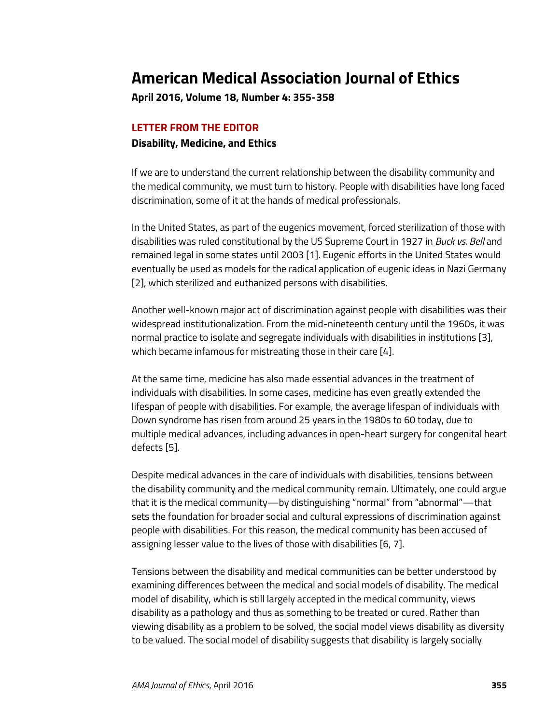# **American Medical Association Journal of Ethics**

**April 2016, Volume 18, Number 4: 355-358** 

## **LETTER FROM THE EDITOR**

## **Disability, Medicine, and Ethics**

If we are to understand the current relationship between the disability community and the medical community, we must turn to history. People with disabilities have long faced discrimination, some of it at the hands of medical professionals.

In the United States, as part of the eugenics movement, forced sterilization of those with disabilities was ruled constitutional by the US Supreme Court in 1927 in *Buck vs. Bell* and remained legal in some states until 2003 [1]. Eugenic efforts in the United States would eventually be used as models for the radical application of eugenic ideas in Nazi Germany [2], which sterilized and euthanized persons with disabilities.

Another well-known major act of discrimination against people with disabilities was their widespread institutionalization. From the mid-nineteenth century until the 1960s, it was normal practice to isolate and segregate individuals with disabilities in institutions [3], which became infamous for mistreating those in their care [4].

At the same time, medicine has also made essential advances in the treatment of individuals with disabilities. In some cases, medicine has even greatly extended the lifespan of people with disabilities. For example, the average lifespan of individuals with Down syndrome has risen from around 25 years in the 1980s to 60 today, due to multiple medical advances, including advances in open-heart surgery for congenital heart defects [5].

Despite medical advances in the care of individuals with disabilities, tensions between the disability community and the medical community remain. Ultimately, one could argue that it is the medical community—by distinguishing "normal" from "abnormal"—that sets the foundation for broader social and cultural expressions of discrimination against people with disabilities. For this reason, the medical community has been accused of assigning lesser value to the lives of those with disabilities [6, 7].

Tensions between the disability and medical communities can be better understood by examining differences between the medical and social models of disability. The medical model of disability, which is still largely accepted in the medical community, views disability as a pathology and thus as something to be treated or cured. Rather than viewing disability as a problem to be solved, the social model views disability as diversity to be valued. The social model of disability suggests that disability is largely socially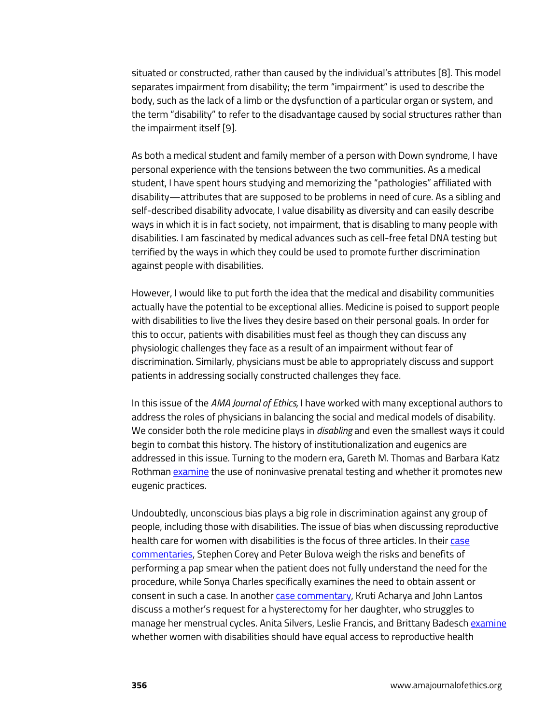situated or constructed, rather than caused by the individual's attributes [8]. This model separates impairment from disability; the term "impairment" is used to describe the body, such as the lack of a limb or the dysfunction of a particular organ or system, and the term "disability" to refer to the disadvantage caused by social structures rather than the impairment itself [9].

As both a medical student and family member of a person with Down syndrome, I have personal experience with the tensions between the two communities. As a medical student, I have spent hours studying and memorizing the "pathologies" affiliated with disability—attributes that are supposed to be problems in need of cure. As a sibling and self-described disability advocate, I value disability as diversity and can easily describe ways in which it is in fact society, not impairment, that is disabling to many people with disabilities. I am fascinated by medical advances such as cell-free fetal DNA testing but terrified by the ways in which they could be used to promote further discrimination against people with disabilities.

However, I would like to put forth the idea that the medical and disability communities actually have the potential to be exceptional allies. Medicine is poised to support people with disabilities to live the lives they desire based on their personal goals. In order for this to occur, patients with disabilities must feel as though they can discuss any physiologic challenges they face as a result of an impairment without fear of discrimination. Similarly, physicians must be able to appropriately discuss and support patients in addressing socially constructed challenges they face.

In this issue of the *AMA Journal of Ethics,* I have worked with many exceptional authors to address the roles of physicians in balancing the social and medical models of disability. We consider both the role medicine plays in *disabling* and even the smallest ways it could begin to combat this history. The history of institutionalization and eugenics are addressed in this issue. Turning to the modern era, Gareth M. Thomas and Barbara Katz Rothman [examine](http://journalofethics.ama-assn.org/2016/04/stas1-1604.html) the use of noninvasive prenatal testing and whether it promotes new eugenic practices.

Undoubtedly, unconscious bias plays a big role in discrimination against any group of people, including those with disabilities. The issue of bias when discussing reproductive health care for women with disabilities is the focus of three articles. In thei[r case](http://journalofethics.ama-assn.org/2016/04/ecas3-1604.html)  [commentaries,](http://journalofethics.ama-assn.org/2016/04/ecas3-1604.html) Stephen Corey and Peter Bulova weigh the risks and benefits of performing a pap smear when the patient does not fully understand the need for the procedure, while Sonya Charles specifically examines the need to obtain assent or consent in such a case. In anothe[r case commentary,](http://journalofethics.ama-assn.org/2016/04/ecas2-1604.html) Kruti Acharya and John Lantos discuss a mother's request for a hysterectomy for her daughter, who struggles to manage her menstrual cycles. Anita Silvers, Leslie Francis, and Brittany Badesch [examine](http://journalofethics.ama-assn.org/2016/04/msoc1-1604.html) whether women with disabilities should have equal access to reproductive health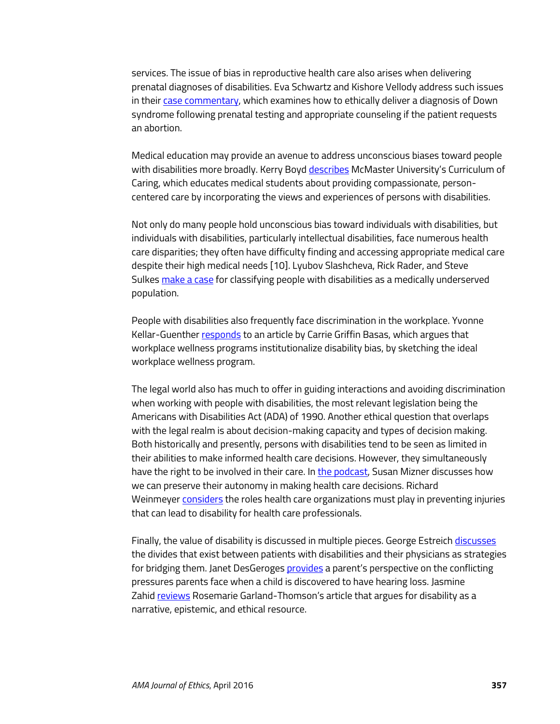services. The issue of bias in reproductive health care also arises when delivering prenatal diagnoses of disabilities. Eva Schwartz and Kishore Vellody address such issues in thei[r case commentary,](http://journalofethics.ama-assn.org/2016/04/ecas1-1604.html) which examines how to ethically deliver a diagnosis of Down syndrome following prenatal testing and appropriate counseling if the patient requests an abortion.

Medical education may provide an avenue to address unconscious biases toward people with disabilities more broadly. Kerry Boyd [describes](http://journalofethics.ama-assn.org/2016/04/medu1-1604.html) McMaster University's Curriculum of Caring, which educates medical students about providing compassionate, personcentered care by incorporating the views and experiences of persons with disabilities.

Not only do many people hold unconscious bias toward individuals with disabilities, but individuals with disabilities, particularly intellectual disabilities, face numerous health care disparities; they often have difficulty finding and accessing appropriate medical care despite their high medical needs [10]. Lyubov Slashcheva, Rick Rader, and Steve Sulke[s make a case](http://journalofethics.ama-assn.org/2016/04/pfor1-1604.html) for classifying people with disabilities as a medically underserved population.

People with disabilities also frequently face discrimination in the workplace. Yvonne Kellar-Guenthe[r responds](http://journalofethics.ama-assn.org/2016/04/nlit1-1604.html) to an article by Carrie Griffin Basas, which argues that workplace wellness programs institutionalize disability bias, by sketching the ideal workplace wellness program.

The legal world also has much to offer in guiding interactions and avoiding discrimination when working with people with disabilities, the most relevant legislation being the Americans with Disabilities Act (ADA) of 1990. Another ethical question that overlaps with the legal realm is about decision-making capacity and types of decision making. Both historically and presently, persons with disabilities tend to be seen as limited in their abilities to make informed health care decisions. However, they simultaneously have the right to be involved in their care. I[n the podcast,](http://journalofethics.ama-assn.org/podcast/ethics-talk-apr-2016.mp3) Susan Mizner discusses how we can preserve their autonomy in making health care decisions. Richard Weinmeye[r considers](http://journalofethics.ama-assn.org/2016/04/hlaw1-1604.html) the roles health care organizations must play in preventing injuries that can lead to disability for health care professionals.

Finally, the value of disability is discussed in multiple pieces. George Estreich [discusses](http://journalofethics.ama-assn.org/2016/04/mnar1-1604.html) the divides that exist between patients with disabilities and their physicians as strategies for bridging them. Janet DesGeroge[s provides](http://journalofethics.ama-assn.org/2016/04/sect1-1604.html) a parent's perspective on the conflicting pressures parents face when a child is discovered to have hearing loss. Jasmine Zahid [reviews](http://journalofethics.ama-assn.org/2016/04/nlit2-1604.html) Rosemarie Garland-Thomson's article that argues for disability as a narrative, epistemic, and ethical resource.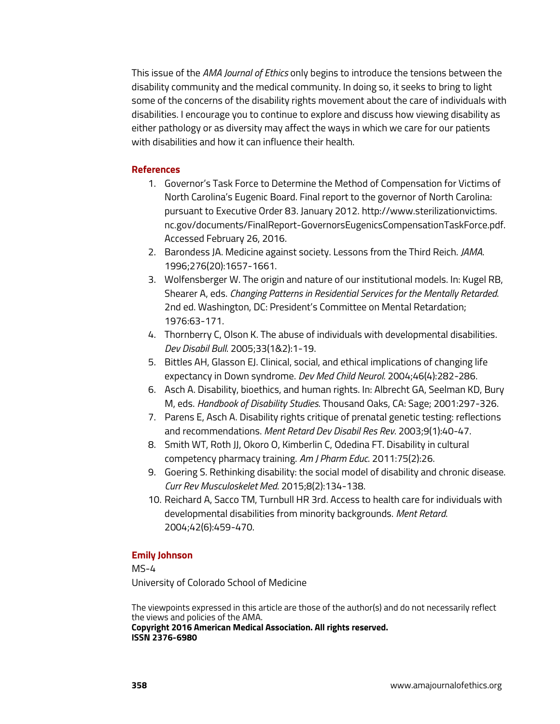This issue of the *AMA Journal of Ethics* only begins to introduce the tensions between the disability community and the medical community. In doing so, it seeks to bring to light some of the concerns of the disability rights movement about the care of individuals with disabilities. I encourage you to continue to explore and discuss how viewing disability as either pathology or as diversity may affect the ways in which we care for our patients with disabilities and how it can influence their health.

### **References**

- 1. Governor's Task Force to Determine the Method of Compensation for Victims of North Carolina's Eugenic Board. Final report to the governor of North Carolina: pursuant to Executive Order 83. January 2012. http://www.sterilizationvictims. nc.gov/documents/FinalReport-GovernorsEugenicsCompensationTaskForce.pdf. Accessed February 26, 2016.
- 2. Barondess JA. Medicine against society. Lessons from the Third Reich. *JAMA*. 1996;276(20):1657-1661.
- 3. Wolfensberger W. The origin and nature of our institutional models. In: Kugel RB, Shearer A, eds. *Changing Patterns in Residential Services for the Mentally Retarded*. 2nd ed. Washington, DC: President's Committee on Mental Retardation; 1976:63-171.
- 4. Thornberry C, Olson K. The abuse of individuals with developmental disabilities. *Dev Disabil Bull*. 2005;33(1&2):1-19.
- 5. Bittles AH, Glasson EJ. Clinical, social, and ethical implications of changing life expectancy in Down syndrome. *Dev Med Child Neurol*. 2004;46(4):282-286.
- 6. Asch A. Disability, bioethics, and human rights. In: Albrecht GA, Seelman KD, Bury M, eds. *Handbook of Disability Studies*. Thousand Oaks, CA: Sage; 2001:297-326.
- 7. Parens E, Asch A. Disability rights critique of prenatal genetic testing: reflections and recommendations. *Ment Retard Dev Disabil Res Rev*. 2003;9(1):40-47.
- 8. Smith WT, Roth JJ, Okoro O, Kimberlin C, Odedina FT. Disability in cultural competency pharmacy training. *Am J Pharm Educ*. 2011:75(2):26.
- 9. Goering S. Rethinking disability: the social model of disability and chronic disease. *Curr Rev Musculoskelet Med*. 2015;8(2):134-138.
- 10. Reichard A, Sacco TM, Turnbull HR 3rd. Access to health care for individuals with developmental disabilities from minority backgrounds. *Ment Retard*. 2004;42(6):459-470.

### **Emily Johnson**

MS-4

University of Colorado School of Medicine

The viewpoints expressed in this article are those of the author(s) and do not necessarily reflect the views and policies of the AMA.

**Copyright 2016 American Medical Association. All rights reserved. ISSN 2376-6980**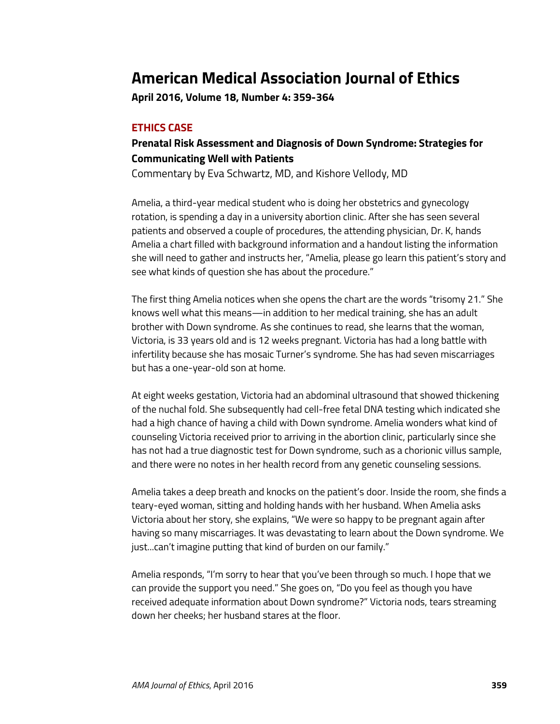# **American Medical Association Journal of Ethics**

**April 2016, Volume 18, Number 4: 359-364** 

## **ETHICS CASE**

# **Prenatal Risk Assessment and Diagnosis of Down Syndrome: Strategies for Communicating Well with Patients**

Commentary by Eva Schwartz, MD, and Kishore Vellody, MD

Amelia, a third-year medical student who is doing her obstetrics and gynecology rotation, is spending a day in a university abortion clinic. After she has seen several patients and observed a couple of procedures, the attending physician, Dr. K, hands Amelia a chart filled with background information and a handout listing the information she will need to gather and instructs her, "Amelia, please go learn this patient's story and see what kinds of question she has about the procedure."

The first thing Amelia notices when she opens the chart are the words "trisomy 21." She knows well what this means—in addition to her medical training, she has an adult brother with Down syndrome. As she continues to read, she learns that the woman, Victoria, is 33 years old and is 12 weeks pregnant. Victoria has had a long battle with infertility because she has mosaic Turner's syndrome. She has had seven miscarriages but has a one-year-old son at home.

At eight weeks gestation, Victoria had an abdominal ultrasound that showed thickening of the nuchal fold. She subsequently had cell-free fetal DNA testing which indicated she had a high chance of having a child with Down syndrome. Amelia wonders what kind of counseling Victoria received prior to arriving in the abortion clinic, particularly since she has not had a true diagnostic test for Down syndrome, such as a chorionic villus sample, and there were no notes in her health record from any genetic counseling sessions.

Amelia takes a deep breath and knocks on the patient's door. Inside the room, she finds a teary-eyed woman, sitting and holding hands with her husband. When Amelia asks Victoria about her story, she explains, "We were so happy to be pregnant again after having so many miscarriages. It was devastating to learn about the Down syndrome. We just...can't imagine putting that kind of burden on our family."

Amelia responds, "I'm sorry to hear that you've been through so much. I hope that we can provide the support you need." She goes on, "Do you feel as though you have received adequate information about Down syndrome?" Victoria nods, tears streaming down her cheeks; her husband stares at the floor.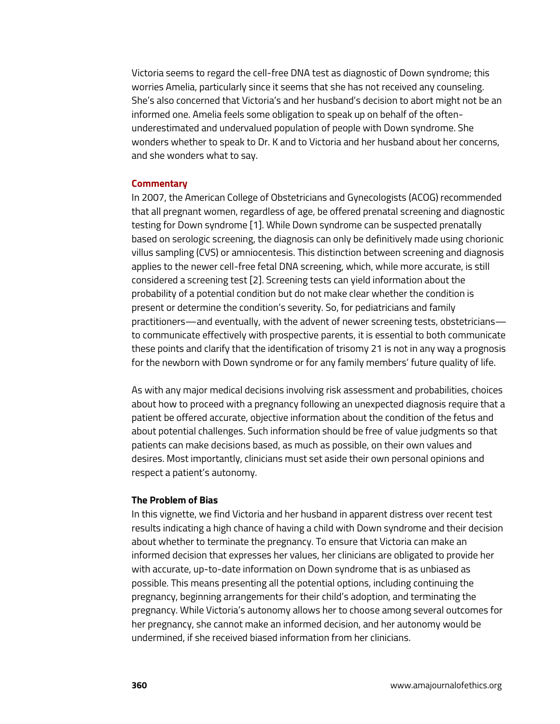Victoria seems to regard the cell-free DNA test as diagnostic of Down syndrome; this worries Amelia, particularly since it seems that she has not received any counseling. She's also concerned that Victoria's and her husband's decision to abort might not be an informed one. Amelia feels some obligation to speak up on behalf of the oftenunderestimated and undervalued population of people with Down syndrome. She wonders whether to speak to Dr. K and to Victoria and her husband about her concerns, and she wonders what to say.

### **Commentary**

In 2007, the American College of Obstetricians and Gynecologists (ACOG) recommended that all pregnant women, regardless of age, be offered prenatal screening and diagnostic testing for Down syndrome [1]. While Down syndrome can be suspected prenatally based on serologic screening, the diagnosis can only be definitively made using chorionic villus sampling (CVS) or amniocentesis. This distinction between screening and diagnosis applies to the newer cell-free fetal DNA screening, which, while more accurate, is still considered a screening test [2]. Screening tests can yield information about the probability of a potential condition but do not make clear whether the condition is present or determine the condition's severity. So, for pediatricians and family practitioners—and eventually, with the advent of newer screening tests, obstetricians to communicate effectively with prospective parents, it is essential to both communicate these points and clarify that the identification of trisomy 21 is not in any way a prognosis for the newborn with Down syndrome or for any family members' future quality of life.

As with any major medical decisions involving risk assessment and probabilities, choices about how to proceed with a pregnancy following an unexpected diagnosis require that a patient be offered accurate, objective information about the condition of the fetus and about potential challenges. Such information should be free of value judgments so that patients can make decisions based, as much as possible, on their own values and desires. Most importantly, clinicians must set aside their own personal opinions and respect a patient's autonomy.

## **The Problem of Bias**

In this vignette, we find Victoria and her husband in apparent distress over recent test results indicating a high chance of having a child with Down syndrome and their decision about whether to terminate the pregnancy. To ensure that Victoria can make an informed decision that expresses her values, her clinicians are obligated to provide her with accurate, up-to-date information on Down syndrome that is as unbiased as possible. This means presenting all the potential options, including continuing the pregnancy, beginning arrangements for their child's adoption, and terminating the pregnancy. While Victoria's autonomy allows her to choose among several outcomes for her pregnancy, she cannot make an informed decision, and her autonomy would be undermined, if she received biased information from her clinicians.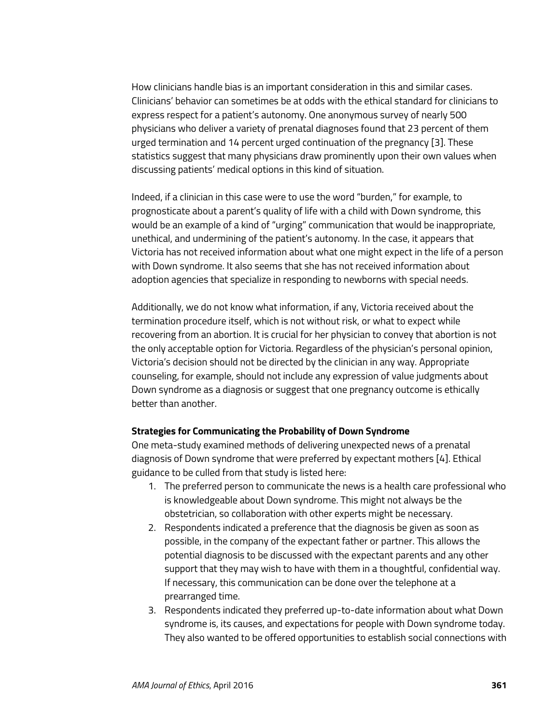How clinicians handle bias is an important consideration in this and similar cases. Clinicians' behavior can sometimes be at odds with the ethical standard for clinicians to express respect for a patient's autonomy. One anonymous survey of nearly 500 physicians who deliver a variety of prenatal diagnoses found that 23 percent of them urged termination and 14 percent urged continuation of the pregnancy [3]. These statistics suggest that many physicians draw prominently upon their own values when discussing patients' medical options in this kind of situation.

Indeed, if a clinician in this case were to use the word "burden," for example, to prognosticate about a parent's quality of life with a child with Down syndrome, this would be an example of a kind of "urging" communication that would be inappropriate, unethical, and undermining of the patient's autonomy. In the case, it appears that Victoria has not received information about what one might expect in the life of a person with Down syndrome. It also seems that she has not received information about adoption agencies that specialize in responding to newborns with special needs.

Additionally, we do not know what information, if any, Victoria received about the termination procedure itself, which is not without risk, or what to expect while recovering from an abortion. It is crucial for her physician to convey that abortion is not the only acceptable option for Victoria. Regardless of the physician's personal opinion, Victoria's decision should not be directed by the clinician in any way. Appropriate counseling, for example, should not include any expression of value judgments about Down syndrome as a diagnosis or suggest that one pregnancy outcome is ethically better than another.

## **Strategies for Communicating the Probability of Down Syndrome**

One meta-study examined methods of delivering unexpected news of a prenatal diagnosis of Down syndrome that were preferred by expectant mothers [4]. Ethical guidance to be culled from that study is listed here:

- 1. The preferred person to communicate the news is a health care professional who is knowledgeable about Down syndrome. This might not always be the obstetrician, so collaboration with other experts might be necessary.
- 2. Respondents indicated a preference that the diagnosis be given as soon as possible, in the company of the expectant father or partner. This allows the potential diagnosis to be discussed with the expectant parents and any other support that they may wish to have with them in a thoughtful, confidential way. If necessary, this communication can be done over the telephone at a prearranged time.
- 3. Respondents indicated they preferred up-to-date information about what Down syndrome is, its causes, and expectations for people with Down syndrome today. They also wanted to be offered opportunities to establish social connections with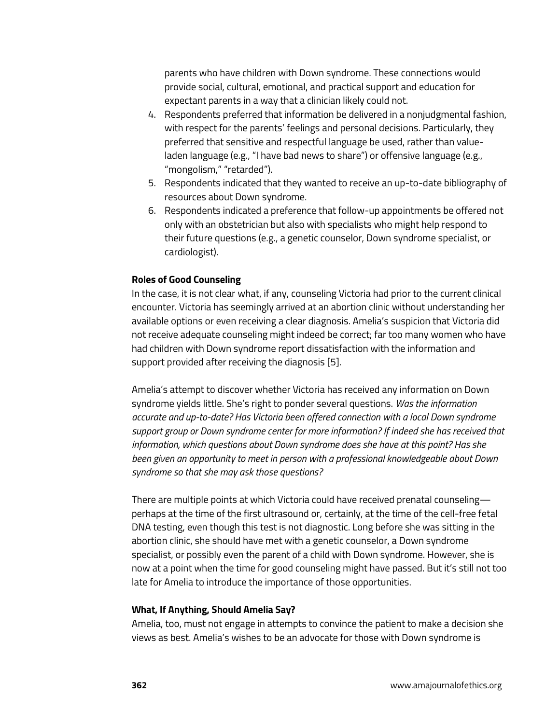parents who have children with Down syndrome. These connections would provide social, cultural, emotional, and practical support and education for expectant parents in a way that a clinician likely could not.

- 4. Respondents preferred that information be delivered in a nonjudgmental fashion, with respect for the parents' feelings and personal decisions. Particularly, they preferred that sensitive and respectful language be used, rather than valueladen language (e.g., "I have bad news to share") or offensive language (e.g., "mongolism," "retarded").
- 5. Respondents indicated that they wanted to receive an up-to-date bibliography of resources about Down syndrome.
- 6. Respondents indicated a preference that follow-up appointments be offered not only with an obstetrician but also with specialists who might help respond to their future questions (e.g., a genetic counselor, Down syndrome specialist, or cardiologist).

### **Roles of Good Counseling**

In the case, it is not clear what, if any, counseling Victoria had prior to the current clinical encounter. Victoria has seemingly arrived at an abortion clinic without understanding her available options or even receiving a clear diagnosis. Amelia's suspicion that Victoria did not receive adequate counseling might indeed be correct; far too many women who have had children with Down syndrome report dissatisfaction with the information and support provided after receiving the diagnosis [5].

Amelia's attempt to discover whether Victoria has received any information on Down syndrome yields little. She's right to ponder several questions. *Was the information accurate and up-to-date? Has Victoria been offered connection with a local Down syndrome support group or Down syndrome center for more information? If indeed she has received that information, which questions about Down syndrome does she have at this point? Has she been given an opportunity to meet in person with a professional knowledgeable about Down syndrome so that she may ask those questions?*

There are multiple points at which Victoria could have received prenatal counseling perhaps at the time of the first ultrasound or, certainly, at the time of the cell-free fetal DNA testing, even though this test is not diagnostic. Long before she was sitting in the abortion clinic, she should have met with a genetic counselor, a Down syndrome specialist, or possibly even the parent of a child with Down syndrome. However, she is now at a point when the time for good counseling might have passed. But it's still not too late for Amelia to introduce the importance of those opportunities.

### **What, If Anything, Should Amelia Say?**

Amelia, too, must not engage in attempts to convince the patient to make a decision she views as best. Amelia's wishes to be an advocate for those with Down syndrome is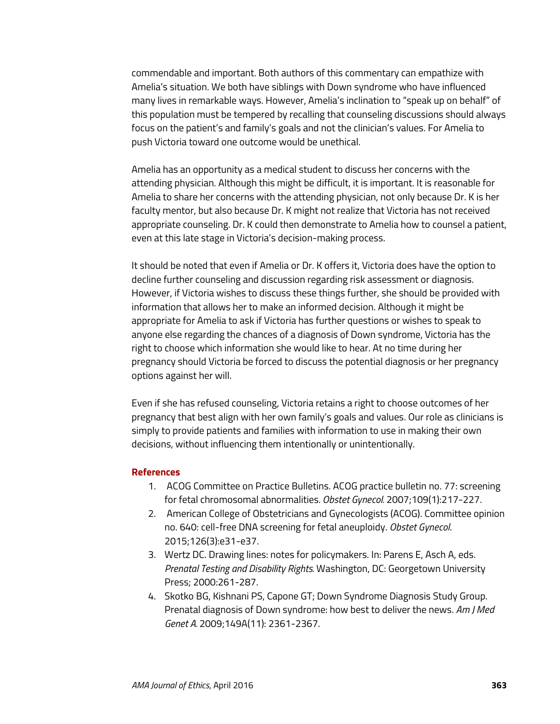commendable and important. Both authors of this commentary can empathize with Amelia's situation. We both have siblings with Down syndrome who have influenced many lives in remarkable ways. However, Amelia's inclination to "speak up on behalf" of this population must be tempered by recalling that counseling discussions should always focus on the patient's and family's goals and not the clinician's values. For Amelia to push Victoria toward one outcome would be unethical.

Amelia has an opportunity as a medical student to discuss her concerns with the attending physician. Although this might be difficult, it is important. It is reasonable for Amelia to share her concerns with the attending physician, not only because Dr. K is her faculty mentor, but also because Dr. K might not realize that Victoria has not received appropriate counseling. Dr. K could then demonstrate to Amelia how to counsel a patient, even at this late stage in Victoria's decision-making process.

It should be noted that even if Amelia or Dr. K offers it, Victoria does have the option to decline further counseling and discussion regarding risk assessment or diagnosis. However, if Victoria wishes to discuss these things further, she should be provided with information that allows her to make an informed decision. Although it might be appropriate for Amelia to ask if Victoria has further questions or wishes to speak to anyone else regarding the chances of a diagnosis of Down syndrome, Victoria has the right to choose which information she would like to hear. At no time during her pregnancy should Victoria be forced to discuss the potential diagnosis or her pregnancy options against her will.

Even if she has refused counseling, Victoria retains a right to choose outcomes of her pregnancy that best align with her own family's goals and values. Our role as clinicians is simply to provide patients and families with information to use in making their own decisions, without influencing them intentionally or unintentionally.

## **References**

- 1. ACOG Committee on Practice Bulletins. ACOG practice bulletin no. 77: screening for fetal chromosomal abnormalities*. Obstet Gynecol.* 2007;109(1):217-227.
- 2. American College of Obstetricians and Gynecologists (ACOG). Committee opinion no. 640: cell-free DNA screening for fetal aneuploidy. *Obstet Gynecol*. 2015;126(3):e31-e37.
- 3. Wertz DC. Drawing lines: notes for policymakers. In: Parens E, Asch A, eds. *Prenatal Testing and Disability Rights.* Washington, DC: Georgetown University Press; 2000:261-287.
- 4. Skotko BG, Kishnani PS, Capone GT; Down Syndrome Diagnosis Study Group. Prenatal diagnosis of Down syndrome: how best to deliver the news. *Am J Med Genet A.* 2009;149A(11): 2361-2367.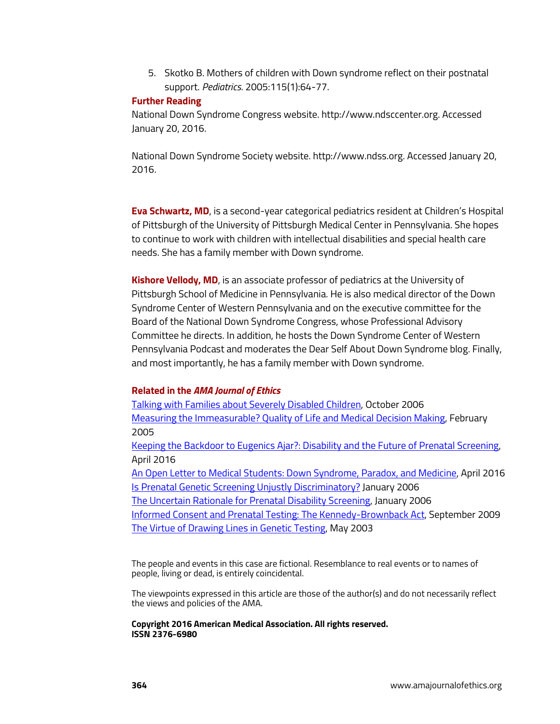5. Skotko B. Mothers of children with Down syndrome reflect on their postnatal support. *Pediatrics*. 2005:115(1):64-77.

### **Further Reading**

National Down Syndrome Congress website. http://www.ndsccenter.org. Accessed January 20, 2016.

National Down Syndrome Society website. http://www.ndss.org. Accessed January 20, 2016.

**Eva Schwartz, MD**, is a second-year categorical pediatrics resident at Children's Hospital of Pittsburgh of the University of Pittsburgh Medical Center in Pennsylvania. She hopes to continue to work with children with intellectual disabilities and special health care needs. She has a family member with Down syndrome.

**Kishore Vellody, MD**, is an associate professor of pediatrics at the University of Pittsburgh School of Medicine in Pennsylvania. He is also medical director of the Down Syndrome Center of Western Pennsylvania and on the executive committee for the Board of the National Down Syndrome Congress, whose Professional Advisory Committee he directs. In addition, he hosts the Down Syndrome Center of Western Pennsylvania Podcast and moderates the Dear Self About Down Syndrome blog. Finally, and most importantly, he has a family member with Down syndrome.

### **Related in the** *AMA Journal of Ethics*

[Talking with Families about Severely Disabled Children,](http://journalofethics.ama-assn.org/2006/10/msoc1-0610.html) October 2006 [Measuring the Immeasurable? Quality of Life and Medical Decision Making,](http://journalofethics.ama-assn.org/2005/02/fred1-0502.html) February 2005 [Keeping the Backdoor to Eugenics Ajar?: Disability and the Future of Prenatal Screening,](http://journalofethics.ama-assn.org/2016/04/stas1-1604.html) April 2016 [An Open Letter to Medical Students: Down Syndrome, Paradox, and Medicine,](http://journalofethics.ama-assn.org/2016/04/mnar1-1604.html) April 2016 [Is Prenatal Genetic Screening Unjustly Discriminatory?](http://journalofethics.ama-assn.org/2006/01/oped1-0601.html) January 2006 [The Uncertain Rationale for Prenatal Disability Screening,](http://journalofethics.ama-assn.org/2006/01/oped2-0601.html) January 2006 [Informed Consent and Prenatal Testing: The Kennedy-Brownback Act,](http://journalofethics.ama-assn.org/2009/09/oped1-0909.html) September 2009 [The Virtue of Drawing Lines in Genetic Testing,](http://journalofethics.ama-assn.org/2003/05/pfor1-0305.html) May 2003

The people and events in this case are fictional. Resemblance to real events or to names of people, living or dead, is entirely coincidental.

The viewpoints expressed in this article are those of the author(s) and do not necessarily reflect the views and policies of the AMA.

**Copyright 2016 American Medical Association. All rights reserved. ISSN 2376-6980**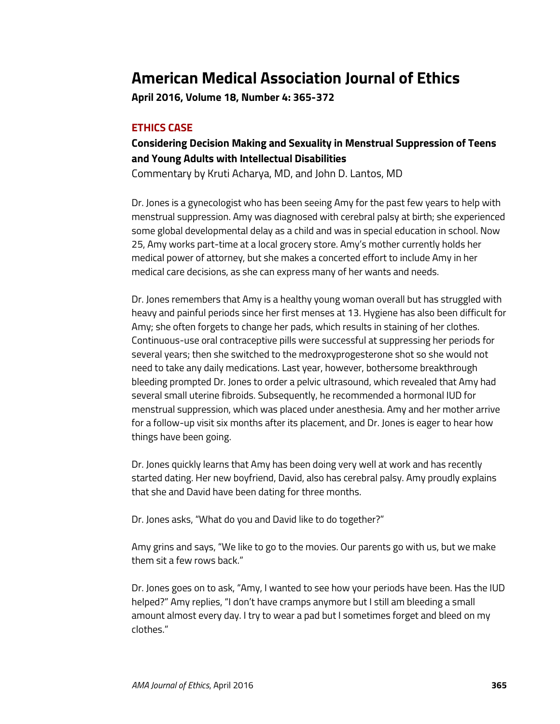# **American Medical Association Journal of Ethics**

**April 2016, Volume 18, Number 4: 365-372** 

## **ETHICS CASE**

# **Considering Decision Making and Sexuality in Menstrual Suppression of Teens and Young Adults with Intellectual Disabilities**

Commentary by Kruti Acharya, MD, and John D. Lantos, MD

Dr. Jones is a gynecologist who has been seeing Amy for the past few years to help with menstrual suppression. Amy was diagnosed with cerebral palsy at birth; she experienced some global developmental delay as a child and was in special education in school. Now 25, Amy works part-time at a local grocery store. Amy's mother currently holds her medical power of attorney, but she makes a concerted effort to include Amy in her medical care decisions, as she can express many of her wants and needs.

Dr. Jones remembers that Amy is a healthy young woman overall but has struggled with heavy and painful periods since her first menses at 13. Hygiene has also been difficult for Amy; she often forgets to change her pads, which results in staining of her clothes. Continuous-use oral contraceptive pills were successful at suppressing her periods for several years; then she switched to the medroxyprogesterone shot so she would not need to take any daily medications. Last year, however, bothersome breakthrough bleeding prompted Dr. Jones to order a pelvic ultrasound, which revealed that Amy had several small uterine fibroids. Subsequently, he recommended a hormonal IUD for menstrual suppression, which was placed under anesthesia. Amy and her mother arrive for a follow-up visit six months after its placement, and Dr. Jones is eager to hear how things have been going.

Dr. Jones quickly learns that Amy has been doing very well at work and has recently started dating. Her new boyfriend, David, also has cerebral palsy. Amy proudly explains that she and David have been dating for three months.

Dr. Jones asks, "What do you and David like to do together?"

Amy grins and says, "We like to go to the movies. Our parents go with us, but we make them sit a few rows back."

Dr. Jones goes on to ask, "Amy, I wanted to see how your periods have been. Has the IUD helped?" Amy replies, "I don't have cramps anymore but I still am bleeding a small amount almost every day. I try to wear a pad but I sometimes forget and bleed on my clothes."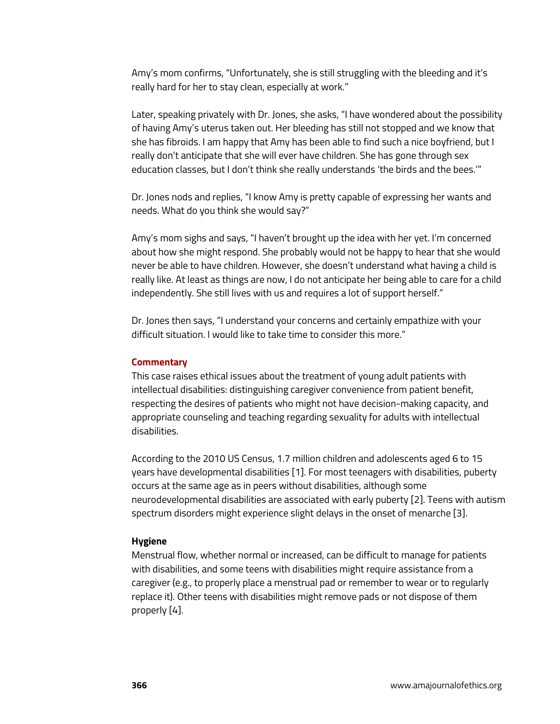Amy's mom confirms, "Unfortunately, she is still struggling with the bleeding and it's really hard for her to stay clean, especially at work."

Later, speaking privately with Dr. Jones, she asks, "I have wondered about the possibility of having Amy's uterus taken out. Her bleeding has still not stopped and we know that she has fibroids. I am happy that Amy has been able to find such a nice boyfriend, but I really don't anticipate that she will ever have children. She has gone through sex education classes, but I don't think she really understands 'the birds and the bees.'"

Dr. Jones nods and replies, "I know Amy is pretty capable of expressing her wants and needs. What do you think she would say?"

Amy's mom sighs and says, "I haven't brought up the idea with her yet. I'm concerned about how she might respond. She probably would not be happy to hear that she would never be able to have children. However, she doesn't understand what having a child is really like. At least as things are now, I do not anticipate her being able to care for a child independently. She still lives with us and requires a lot of support herself."

Dr. Jones then says, "I understand your concerns and certainly empathize with your difficult situation. I would like to take time to consider this more."

### **Commentary**

This case raises ethical issues about the treatment of young adult patients with intellectual disabilities: distinguishing caregiver convenience from patient benefit, respecting the desires of patients who might not have decision-making capacity, and appropriate counseling and teaching regarding sexuality for adults with intellectual disabilities.

According to the 2010 US Census, 1.7 million children and adolescents aged 6 to 15 years have developmental disabilities [1]. For most teenagers with disabilities, puberty occurs at the same age as in peers without disabilities, although some neurodevelopmental disabilities are associated with early puberty [2]. Teens with autism spectrum disorders might experience slight delays in the onset of menarche [3].

### **Hygiene**

Menstrual flow, whether normal or increased, can be difficult to manage for patients with disabilities, and some teens with disabilities might require assistance from a caregiver (e.g., to properly place a menstrual pad or remember to wear or to regularly replace it). Other teens with disabilities might remove pads or not dispose of them properly [4].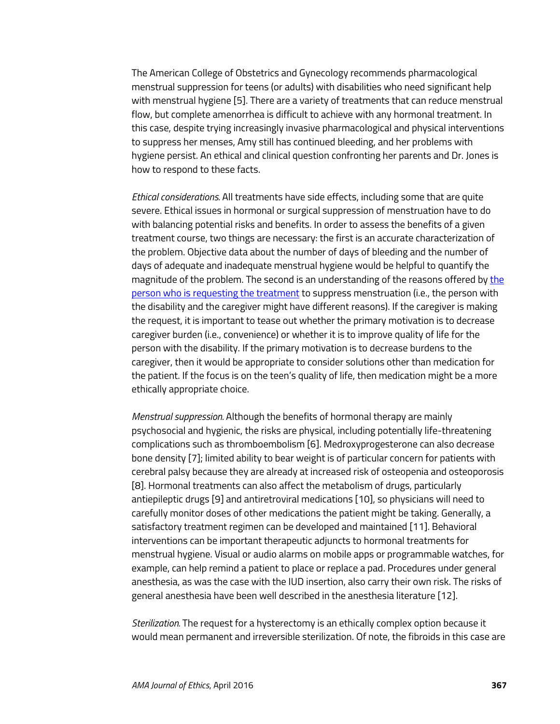The American College of Obstetrics and Gynecology recommends pharmacological menstrual suppression for teens (or adults) with disabilities who need significant help with menstrual hygiene [5]. There are a variety of treatments that can reduce menstrual flow, but complete amenorrhea is difficult to achieve with any hormonal treatment. In this case, despite trying increasingly invasive pharmacological and physical interventions to suppress her menses, Amy still has continued bleeding, and her problems with hygiene persist. An ethical and clinical question confronting her parents and Dr. Jones is how to respond to these facts.

*Ethical considerations.* All treatments have side effects, including some that are quite severe. Ethical issues in hormonal or surgical suppression of menstruation have to do with balancing potential risks and benefits. In order to assess the benefits of a given treatment course, two things are necessary: the first is an accurate characterization of the problem. Objective data about the number of days of bleeding and the number of days of adequate and inadequate menstrual hygiene would be helpful to quantify the magnitude of [the](http://journalofethics.ama-assn.org/2014/05/ecas1-1405.html) problem. The second is an understanding of the reasons offered by the [person who is requesting the treatment](http://journalofethics.ama-assn.org/2014/05/ecas1-1405.html) to suppress menstruation (i.e., the person with the disability and the caregiver might have different reasons). If the caregiver is making the request, it is important to tease out whether the primary motivation is to decrease caregiver burden (i.e., convenience) or whether it is to improve quality of life for the person with the disability. If the primary motivation is to decrease burdens to the caregiver, then it would be appropriate to consider solutions other than medication for the patient. If the focus is on the teen's quality of life, then medication might be a more ethically appropriate choice.

*Menstrual suppression.* Although the benefits of hormonal therapy are mainly psychosocial and hygienic, the risks are physical, including potentially life-threatening complications such as thromboembolism [6]. Medroxyprogesterone can also decrease bone density [7]; limited ability to bear weight is of particular concern for patients with cerebral palsy because they are already at increased risk of osteopenia and osteoporosis [8]. Hormonal treatments can also affect the metabolism of drugs, particularly antiepileptic drugs [9] and antiretroviral medications [10], so physicians will need to carefully monitor doses of other medications the patient might be taking. Generally, a satisfactory treatment regimen can be developed and maintained [11]. Behavioral interventions can be important therapeutic adjuncts to hormonal treatments for menstrual hygiene. Visual or audio alarms on mobile apps or programmable watches, for example, can help remind a patient to place or replace a pad. Procedures under general anesthesia, as was the case with the IUD insertion, also carry their own risk. The risks of general anesthesia have been well described in the anesthesia literature [12].

*Sterilization.* The request for a hysterectomy is an ethically complex option because it would mean permanent and irreversible sterilization. Of note, the fibroids in this case are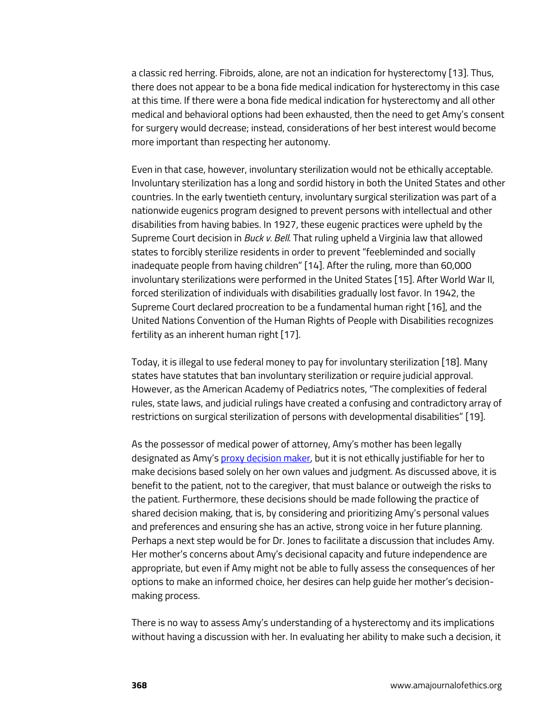a classic red herring. Fibroids, alone, are not an indication for hysterectomy [13]. Thus, there does not appear to be a bona fide medical indication for hysterectomy in this case at this time. If there were a bona fide medical indication for hysterectomy and all other medical and behavioral options had been exhausted, then the need to get Amy's consent for surgery would decrease; instead, considerations of her best interest would become more important than respecting her autonomy.

Even in that case, however, involuntary sterilization would not be ethically acceptable. Involuntary sterilization has a long and sordid history in both the United States and other countries. In the early twentieth century, involuntary surgical sterilization was part of a nationwide eugenics program designed to prevent persons with intellectual and other disabilities from having babies. In 1927, these eugenic practices were upheld by the Supreme Court decision in *Buck v. Bell*. That ruling upheld a Virginia law that allowed states to forcibly sterilize residents in order to prevent "feebleminded and socially inadequate people from having children" [14]. After the ruling, more than 60,000 involuntary sterilizations were performed in the United States [15]. After World War II, forced sterilization of individuals with disabilities gradually lost favor. In 1942, the Supreme Court declared procreation to be a fundamental human right [16], and the United Nations Convention of the Human Rights of People with Disabilities recognizes fertility as an inherent human right [17].

Today, it is illegal to use federal money to pay for involuntary sterilization [18]. Many states have statutes that ban involuntary sterilization or require judicial approval. However, as the American Academy of Pediatrics notes, "The complexities of federal rules, state laws, and judicial rulings have created a confusing and contradictory array of restrictions on surgical sterilization of persons with developmental disabilities" [19].

As the possessor of medical power of attorney, Amy's mother has been legally designated as Amy'[s proxy decision maker,](http://journalofethics.ama-assn.org/2016/04/ecas3-1604.html) but it is not ethically justifiable for her to make decisions based solely on her own values and judgment. As discussed above, it is benefit to the patient, not to the caregiver, that must balance or outweigh the risks to the patient. Furthermore, these decisions should be made following the practice of shared decision making, that is, by considering and prioritizing Amy's personal values and preferences and ensuring she has an active, strong voice in her future planning. Perhaps a next step would be for Dr. Jones to facilitate a discussion that includes Amy. Her mother's concerns about Amy's decisional capacity and future independence are appropriate, but even if Amy might not be able to fully assess the consequences of her options to make an informed choice, her desires can help guide her mother's decisionmaking process.

There is no way to assess Amy's understanding of a hysterectomy and its implications without having a discussion with her. In evaluating her ability to make such a decision, it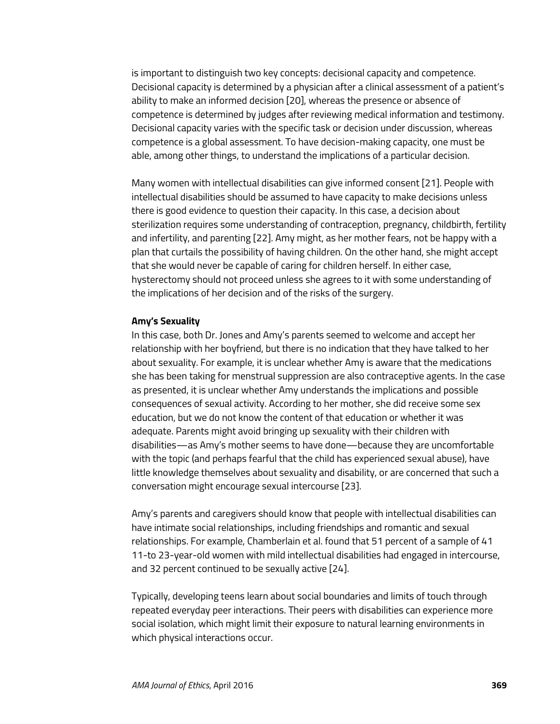is important to distinguish two key concepts: decisional capacity and competence. Decisional capacity is determined by a physician after a clinical assessment of a patient's ability to make an informed decision [20], whereas the presence or absence of competence is determined by judges after reviewing medical information and testimony. Decisional capacity varies with the specific task or decision under discussion, whereas competence is a global assessment. To have decision-making capacity, one must be able, among other things, to understand the implications of a particular decision.

Many women with intellectual disabilities can give informed consent [21]. People with intellectual disabilities should be assumed to have capacity to make decisions unless there is good evidence to question their capacity. In this case, a decision about sterilization requires some understanding of contraception, pregnancy, childbirth, fertility and infertility, and parenting [22]. Amy might, as her mother fears, not be happy with a plan that curtails the possibility of having children. On the other hand, she might accept that she would never be capable of caring for children herself. In either case, hysterectomy should not proceed unless she agrees to it with some understanding of the implications of her decision and of the risks of the surgery.

### **Amy's Sexuality**

In this case, both Dr. Jones and Amy's parents seemed to welcome and accept her relationship with her boyfriend, but there is no indication that they have talked to her about sexuality. For example, it is unclear whether Amy is aware that the medications she has been taking for menstrual suppression are also contraceptive agents. In the case as presented, it is unclear whether Amy understands the implications and possible consequences of sexual activity. According to her mother, she did receive some sex education, but we do not know the content of that education or whether it was adequate. Parents might avoid bringing up sexuality with their children with disabilities—as Amy's mother seems to have done—because they are uncomfortable with the topic (and perhaps fearful that the child has experienced sexual abuse), have little knowledge themselves about sexuality and disability, or are concerned that such a conversation might encourage sexual intercourse [23].

Amy's parents and caregivers should know that people with intellectual disabilities can have intimate social relationships, including friendships and romantic and sexual relationships. For example, Chamberlain et al. found that 51 percent of a sample of 41 11-to 23-year-old women with mild intellectual disabilities had engaged in intercourse, and 32 percent continued to be sexually active [24].

Typically, developing teens learn about social boundaries and limits of touch through repeated everyday peer interactions. Their peers with disabilities can experience more social isolation, which might limit their exposure to natural learning environments in which physical interactions occur.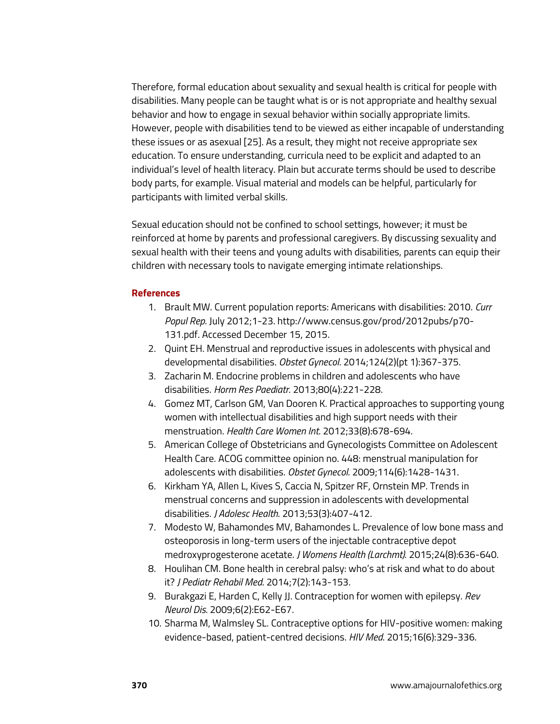Therefore, formal education about sexuality and sexual health is critical for people with disabilities. Many people can be taught what is or is not appropriate and healthy sexual behavior and how to engage in sexual behavior within socially appropriate limits. However, people with disabilities tend to be viewed as either incapable of understanding these issues or as asexual [25]. As a result, they might not receive appropriate sex education. To ensure understanding, curricula need to be explicit and adapted to an individual's level of health literacy. Plain but accurate terms should be used to describe body parts, for example. Visual material and models can be helpful, particularly for participants with limited verbal skills.

Sexual education should not be confined to school settings, however; it must be reinforced at home by parents and professional caregivers. By discussing sexuality and sexual health with their teens and young adults with disabilities, parents can equip their children with necessary tools to navigate emerging intimate relationships.

## **References**

- 1. Brault MW. Current population reports: Americans with disabilities: 2010. *Curr Popul Rep*. July 2012;1-23. http://www.census.gov/prod/2012pubs/p70- 131.pdf. Accessed December 15, 2015.
- 2. Quint EH. Menstrual and reproductive issues in adolescents with physical and developmental disabilities. *Obstet Gynecol*. 2014;124(2)(pt 1):367-375.
- 3. Zacharin M. Endocrine problems in children and adolescents who have disabilities. *Horm Res Paediatr*. 2013;80(4):221-228.
- 4. Gomez MT, Carlson GM, Van Dooren K. Practical approaches to supporting young women with intellectual disabilities and high support needs with their menstruation. *Health Care Women Int*. 2012;33(8):678-694.
- 5. American College of Obstetricians and Gynecologists Committee on Adolescent Health Care. ACOG committee opinion no. 448: menstrual manipulation for adolescents with disabilities. *Obstet Gynecol*. 2009;114(6):1428-1431.
- 6. Kirkham YA, Allen L, Kives S, Caccia N, Spitzer RF, Ornstein MP. Trends in menstrual concerns and suppression in adolescents with developmental disabilities. *J Adolesc Health*. 2013;53(3):407-412.
- 7. Modesto W, Bahamondes MV, Bahamondes L. [Prevalence of low bone](http://www.ncbi.nlm.nih.gov/pubmed/26098552) mass and [osteoporosis in long-term users of the injectable](http://www.ncbi.nlm.nih.gov/pubmed/26098552) contraceptive depot [medroxyprogesterone](http://www.ncbi.nlm.nih.gov/pubmed/26098552) acetate. *J Womens Health (Larchmt)*. 2015;24(8):636-640.
- 8. Houlihan CM. Bone [health in cerebral palsy: who's at risk and what to do about](http://www.ncbi.nlm.nih.gov/pubmed/25096866)  [it?](http://www.ncbi.nlm.nih.gov/pubmed/25096866) *J Pediatr Rehabil Med*. 2014;7(2):143-153.
- 9. Burakgazi E, Harden C, Kelly JJ. Contraception [for women with epilepsy.](http://www.ncbi.nlm.nih.gov/pubmed/19587632) *Rev Neurol Dis*. 2009;6(2):E62-E67.
- 10. Sharma M, Walmsley SL[. Contraceptive options for HIV-positive women: making](http://www.ncbi.nlm.nih.gov/pubmed/25689044)  [evidence-based, patient-centred decisions.](http://www.ncbi.nlm.nih.gov/pubmed/25689044) *HIV Med*. 2015;16(6):329-336.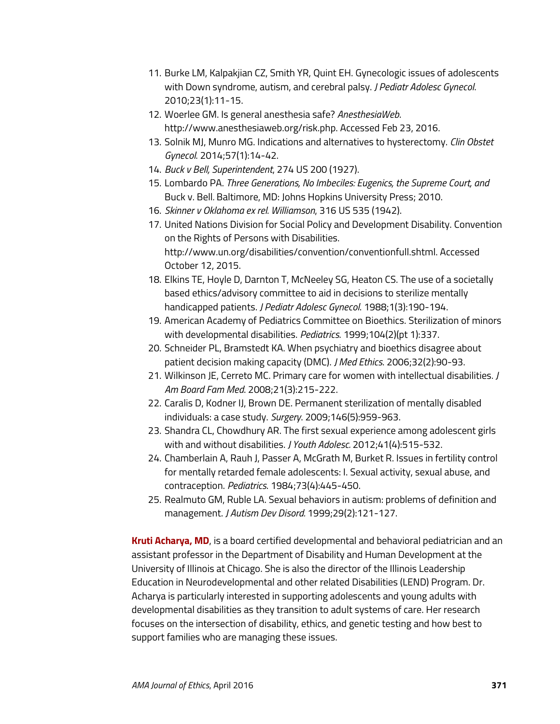- 11. Burke LM, Kalpakjian CZ, Smith YR, Quint EH. Gynecologic issues of adolescents with Down syndrome, autism, and cerebral palsy. *J Pediatr Adolesc Gynecol*. 2010;23(1):11-15.
- 12. Woerlee GM. Is general anesthesia safe? *AnesthesiaWeb*. http://www.anesthesiaweb.org/risk.php. Accessed Feb 23, 2016.
- 13. Solnik MJ, Munro MG. Indications and alternatives to hysterectomy. *Clin Obstet Gynecol*. 2014;57(1):14-42.
- 14. *Buck v Bell, Superintendent*, 274 US 200 (1927).
- 15. Lombardo PA. *Three Generations, No Imbeciles: Eugenics, the Supreme Court, and*  Buck v. Bell*.* Baltimore, MD: Johns Hopkins University Press; 2010.
- 16. *Skinner v Oklahoma ex rel. Williamson*, 316 US 535 (1942).
- 17. United Nations Division for Social Policy and Development Disability. Convention on the Rights of Persons with Disabilities. http://www.un.org/disabilities/convention/conventionfull.shtml. Accessed October 12, 2015.
- 18. Elkins TE, Hoyle D, Darnton T, McNeeley SG, Heaton CS. The use of a societally based ethics/advisory committee to aid in decisions to sterilize mentally handicapped patients. *J Pediatr Adolesc Gynecol*. 1988;1(3):190-194.
- 19. American Academy of Pediatrics Committee on Bioethics. Sterilization of minors with developmental disabilities. *Pediatrics*. 1999;104(2)(pt 1):337.
- 20. Schneider PL, Bramstedt KA. When psychiatry and bioethics disagree about patient decision making capacity (DMC). *J Med Ethics*. 2006;32(2):90-93.
- 21. Wilkinson JE, Cerreto MC. Primary care for women with intellectual disabilities*. J Am Board Fam Med*. 2008;21(3):215-222.
- 22. Caralis D, Kodner IJ, Brown DE. Permanent sterilization of mentally disabled individuals: a case study. *Surgery*. 2009;146(5):959-963.
- 23. Shandra CL, Chowdhury AR. The first sexual experience among adolescent girls with and without disabilities. *J Youth Adolesc.* 2012;41(4):515-532.
- 24. Chamberlain A, Rauh J, Passer A, McGrath M, Burket R. Issues in fertility control for mentally retarded female adolescents: I. Sexual activity, sexual abuse, and contraception. *Pediatrics*. 1984;73(4):445-450.
- 25. Realmuto GM, Ruble LA. Sexual behaviors in autism: problems of definition and management. *J Autism Dev Disord.* 1999;29(2):121-127.

**Kruti Acharya, MD**, is a board certified developmental and behavioral pediatrician and an assistant professor in the Department of Disability and Human Development at the University of Illinois at Chicago. She is also the director of the Illinois Leadership Education in Neurodevelopmental and other related Disabilities (LEND) Program. Dr. Acharya is particularly interested in supporting adolescents and young adults with developmental disabilities as they transition to adult systems of care. Her research focuses on the intersection of disability, ethics, and genetic testing and how best to support families who are managing these issues.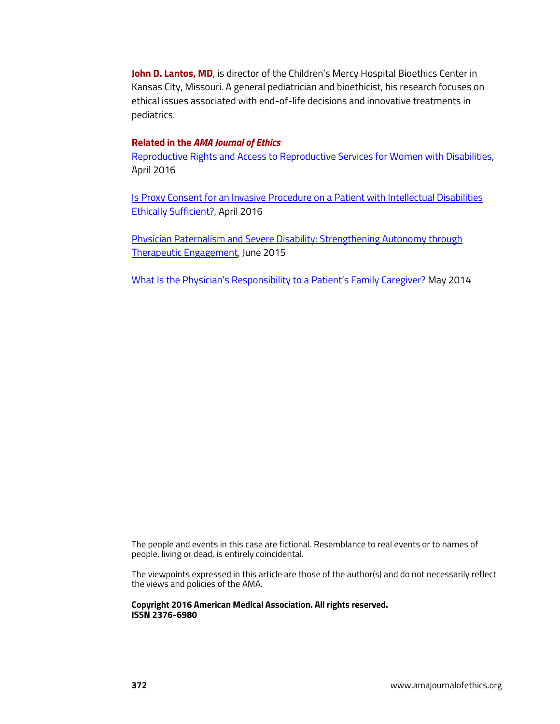**John D. Lantos, MD**, is director of the Children's Mercy Hospital Bioethics Center in Kansas City, Missouri. A general pediatrician and bioethicist, his research focuses on ethical issues associated with end-of-life decisions and innovative treatments in pediatrics.

### **Related in the** *AMA Journal of Ethics*

[Reproductive Rights and Access to Reproductive Services for Women with Disabilities,](http://journalofethics.ama-assn.org/2016/04/msoc1-1604.html) April 2016

[Is Proxy Consent for an Invasive Procedure on a Patient with Intellectual Disabilities](http://journalofethics.ama-assn.org/2016/04/ecas3-1604.html)  [Ethically Sufficient?,](http://journalofethics.ama-assn.org/2016/04/ecas3-1604.html) April 2016

[Physician Paternalism and Severe Disability: Strengthening Autonomy through](http://journalofethics.ama-assn.org/2015/06/ecas1-1506.html)  [Therapeutic Engagement,](http://journalofethics.ama-assn.org/2015/06/ecas1-1506.html) June 2015

[What Is the Physician's Responsibility to a Patient's Family Caregiver?](http://journalofethics.ama-assn.org/2014/05/ecas1-1405.html) May 2014

The people and events in this case are fictional. Resemblance to real events or to names of people, living or dead, is entirely coincidental.

The viewpoints expressed in this article are those of the author(s) and do not necessarily reflect the views and policies of the AMA.

**Copyright 2016 American Medical Association. All rights reserved. ISSN 2376-6980**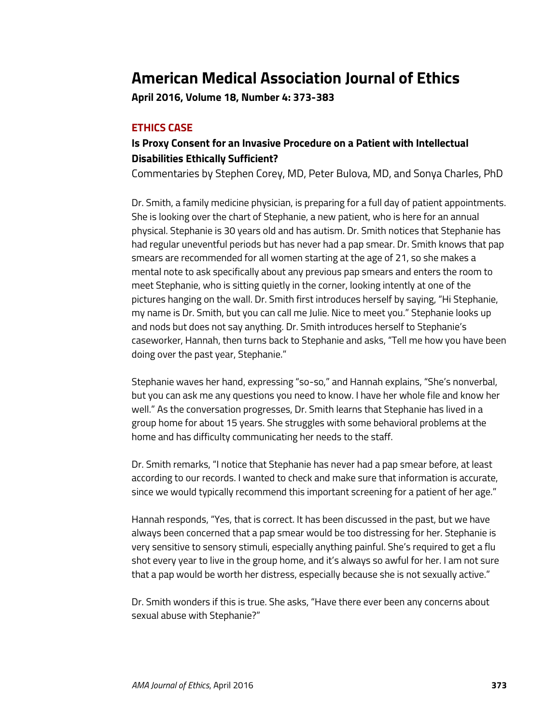# **American Medical Association Journal of Ethics**

**April 2016, Volume 18, Number 4: 373-383**

## **ETHICS CASE**

## **Is Proxy Consent for an Invasive Procedure on a Patient with Intellectual Disabilities Ethically Sufficient?**

Commentaries by Stephen Corey, MD, Peter Bulova, MD, and Sonya Charles, PhD

Dr. Smith, a family medicine physician, is preparing for a full day of patient appointments. She is looking over the chart of Stephanie, a new patient, who is here for an annual physical. Stephanie is 30 years old and has autism. Dr. Smith notices that Stephanie has had regular uneventful periods but has never had a pap smear. Dr. Smith knows that pap smears are recommended for all women starting at the age of 21, so she makes a mental note to ask specifically about any previous pap smears and enters the room to meet Stephanie, who is sitting quietly in the corner, looking intently at one of the pictures hanging on the wall. Dr. Smith first introduces herself by saying, "Hi Stephanie, my name is Dr. Smith, but you can call me Julie. Nice to meet you." Stephanie looks up and nods but does not say anything. Dr. Smith introduces herself to Stephanie's caseworker, Hannah, then turns back to Stephanie and asks, "Tell me how you have been doing over the past year, Stephanie."

Stephanie waves her hand, expressing "so-so," and Hannah explains, "She's nonverbal, but you can ask me any questions you need to know. I have her whole file and know her well." As the conversation progresses, Dr. Smith learns that Stephanie has lived in a group home for about 15 years. She struggles with some behavioral problems at the home and has difficulty communicating her needs to the staff.

Dr. Smith remarks, "I notice that Stephanie has never had a pap smear before, at least according to our records. I wanted to check and make sure that information is accurate, since we would typically recommend this important screening for a patient of her age."

Hannah responds, "Yes, that is correct. It has been discussed in the past, but we have always been concerned that a pap smear would be too distressing for her. Stephanie is very sensitive to sensory stimuli, especially anything painful. She's required to get a flu shot every year to live in the group home, and it's always so awful for her. I am not sure that a pap would be worth her distress, especially because she is not sexually active."

Dr. Smith wonders if this is true. She asks, "Have there ever been any concerns about sexual abuse with Stephanie?"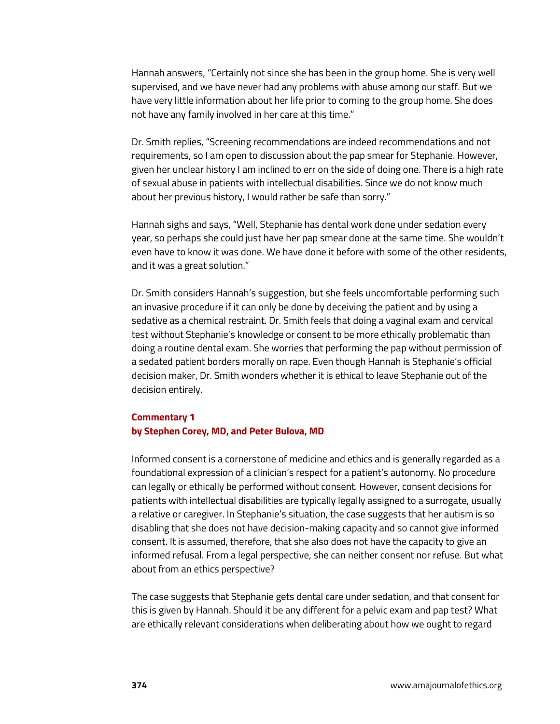Hannah answers, "Certainly not since she has been in the group home. She is very well supervised, and we have never had any problems with abuse among our staff. But we have very little information about her life prior to coming to the group home. She does not have any family involved in her care at this time."

Dr. Smith replies, "Screening recommendations are indeed recommendations and not requirements, so I am open to discussion about the pap smear for Stephanie. However, given her unclear history I am inclined to err on the side of doing one. There is a high rate of sexual abuse in patients with intellectual disabilities. Since we do not know much about her previous history, I would rather be safe than sorry."

Hannah sighs and says, "Well, Stephanie has dental work done under sedation every year, so perhaps she could just have her pap smear done at the same time. She wouldn't even have to know it was done. We have done it before with some of the other residents, and it was a great solution."

Dr. Smith considers Hannah's suggestion, but she feels uncomfortable performing such an invasive procedure if it can only be done by deceiving the patient and by using a sedative as a chemical restraint. Dr. Smith feels that doing a vaginal exam and cervical test without Stephanie's knowledge or consent to be more ethically problematic than doing a routine dental exam. She worries that performing the pap without permission of a sedated patient borders morally on rape. Even though Hannah is Stephanie's official decision maker, Dr. Smith wonders whether it is ethical to leave Stephanie out of the decision entirely.

## **Commentary 1 by Stephen Corey, MD, and Peter Bulova, MD**

Informed consent is a cornerstone of medicine and ethics and is generally regarded as a foundational expression of a clinician's respect for a patient's autonomy. No procedure can legally or ethically be performed without consent. However, consent decisions for patients with intellectual disabilities are typically legally assigned to a surrogate, usually a relative or caregiver. In Stephanie's situation, the case suggests that her autism is so disabling that she does not have decision-making capacity and so cannot give informed consent. It is assumed, therefore, that she also does not have the capacity to give an informed refusal. From a legal perspective, she can neither consent nor refuse. But what about from an ethics perspective?

The case suggests that Stephanie gets dental care under sedation, and that consent for this is given by Hannah. Should it be any different for a pelvic exam and pap test? What are ethically relevant considerations when deliberating about how we ought to regard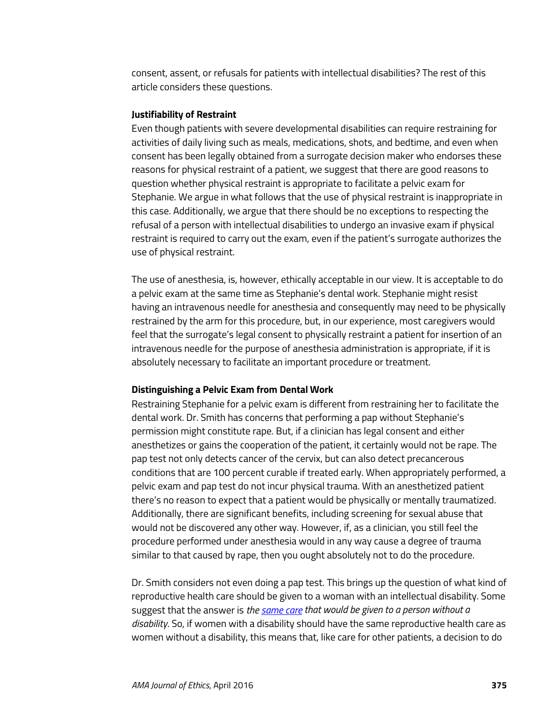consent, assent, or refusals for patients with intellectual disabilities? The rest of this article considers these questions.

#### **Justifiability of Restraint**

Even though patients with severe developmental disabilities can require restraining for activities of daily living such as meals, medications, shots, and bedtime, and even when consent has been legally obtained from a surrogate decision maker who endorses these reasons for physical restraint of a patient, we suggest that there are good reasons to question whether physical restraint is appropriate to facilitate a pelvic exam for Stephanie. We argue in what follows that the use of physical restraint is inappropriate in this case. Additionally, we argue that there should be no exceptions to respecting the refusal of a person with intellectual disabilities to undergo an invasive exam if physical restraint is required to carry out the exam, even if the patient's surrogate authorizes the use of physical restraint.

The use of anesthesia, is, however, ethically acceptable in our view. It is acceptable to do a pelvic exam at the same time as Stephanie's dental work. Stephanie might resist having an intravenous needle for anesthesia and consequently may need to be physically restrained by the arm for this procedure, but, in our experience, most caregivers would feel that the surrogate's legal consent to physically restraint a patient for insertion of an intravenous needle for the purpose of anesthesia administration is appropriate, if it is absolutely necessary to facilitate an important procedure or treatment.

### **Distinguishing a Pelvic Exam from Dental Work**

Restraining Stephanie for a pelvic exam is different from restraining her to facilitate the dental work. Dr. Smith has concerns that performing a pap without Stephanie's permission might constitute rape. But, if a clinician has legal consent and either anesthetizes or gains the cooperation of the patient, it certainly would not be rape. The pap test not only detects cancer of the cervix, but can also detect precancerous conditions that are 100 percent curable if treated early. When appropriately performed, a pelvic exam and pap test do not incur physical trauma. With an anesthetized patient there's no reason to expect that a patient would be physically or mentally traumatized. Additionally, there are significant benefits, including screening for sexual abuse that would not be discovered any other way. However, if, as a clinician, you still feel the procedure performed under anesthesia would in any way cause a degree of trauma similar to that caused by rape, then you ought absolutely not to do the procedure.

Dr. Smith considers not even doing a pap test. This brings up the question of what kind of reproductive health care should be given to a woman with an intellectual disability. Some suggest that the answer is *th[e same care](http://journalofethics.ama-assn.org/2016/04/msoc1-1604.html) that would be given to a person without a disability*. So, if women with a disability should have the same reproductive health care as women without a disability, this means that, like care for other patients, a decision to do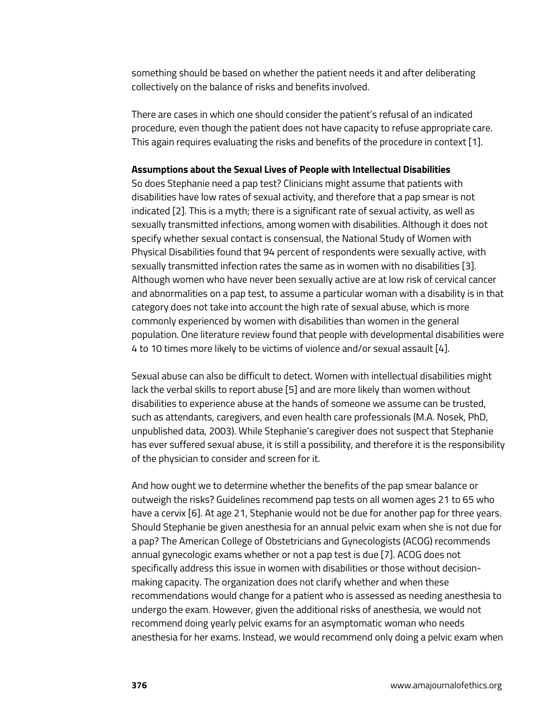something should be based on whether the patient needs it and after deliberating collectively on the balance of risks and benefits involved.

There are cases in which one should consider the patient's refusal of an indicated procedure, even though the patient does not have capacity to refuse appropriate care. This again requires evaluating the risks and benefits of the procedure in context [1].

#### **Assumptions about the Sexual Lives of People with Intellectual Disabilities**

So does Stephanie need a pap test? Clinicians might assume that patients with disabilities have low rates of sexual activity, and therefore that a pap smear is not indicated [2]. This is a myth; there is a significant rate of sexual activity, as well as sexually transmitted infections, among women with disabilities. Although it does not specify whether sexual contact is consensual, the National Study of Women with Physical Disabilities found that 94 percent of respondents were sexually active, with sexually transmitted infection rates the same as in women with no disabilities [3]. Although women who have never been sexually active are at low risk of cervical cancer and abnormalities on a pap test, to assume a particular woman with a disability is in that category does not take into account the high rate of sexual abuse, which is more commonly experienced by women with disabilities than women in the general population. One literature review found that people with developmental disabilities were 4 to 10 times more likely to be victims of violence and/or sexual assault [4].

Sexual abuse can also be difficult to detect. Women with intellectual disabilities might lack the verbal skills to report abuse [5] and are more likely than women without disabilities to experience abuse at the hands of someone we assume can be trusted, such as attendants, caregivers, and even health care professionals (M.A. Nosek, PhD, unpublished data, 2003). While Stephanie's caregiver does not suspect that Stephanie has ever suffered sexual abuse, it is still a possibility, and therefore it is the responsibility of the physician to consider and screen for it.

And how ought we to determine whether the benefits of the pap smear balance or outweigh the risks? Guidelines recommend pap tests on all women ages 21 to 65 who have a cervix [6]. At age 21, Stephanie would not be due for another pap for three years. Should Stephanie be given anesthesia for an annual pelvic exam when she is not due for a pap? The American College of Obstetricians and Gynecologists (ACOG) recommends annual gynecologic exams whether or not a pap test is due [7]. ACOG does not specifically address this issue in women with disabilities or those without decisionmaking capacity. The organization does not clarify whether and when these recommendations would change for a patient who is assessed as needing anesthesia to undergo the exam. However, given the additional risks of anesthesia, we would not recommend doing yearly pelvic exams for an asymptomatic woman who needs anesthesia for her exams. Instead, we would recommend only doing a pelvic exam when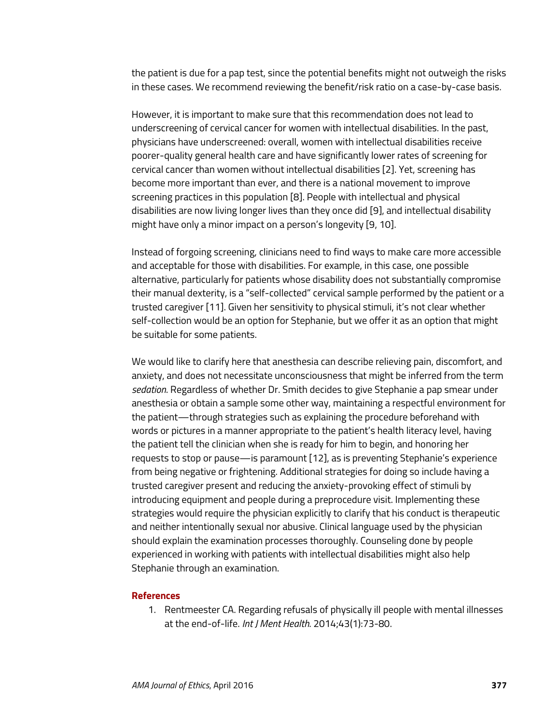the patient is due for a pap test, since the potential benefits might not outweigh the risks in these cases. We recommend reviewing the benefit/risk ratio on a case-by-case basis.

However, it is important to make sure that this recommendation does not lead to underscreening of cervical cancer for women with intellectual disabilities. In the past, physicians have underscreened: overall, women with intellectual disabilities receive poorer-quality general health care and have significantly lower rates of screening for cervical cancer than women without intellectual disabilities [2]. Yet, screening has become more important than ever, and there is a national movement to improve screening practices in this population [8]. People with intellectual and physical disabilities are now living longer lives than they once did [9], and intellectual disability might have only a minor impact on a person's longevity [9, 10].

Instead of forgoing screening, clinicians need to find ways to make care more accessible and acceptable for those with disabilities. For example, in this case, one possible alternative, particularly for patients whose disability does not substantially compromise their manual dexterity, is a "self-collected" cervical sample performed by the patient or a trusted caregiver [11]. Given her sensitivity to physical stimuli, it's not clear whether self-collection would be an option for Stephanie, but we offer it as an option that might be suitable for some patients.

We would like to clarify here that anesthesia can describe relieving pain, discomfort, and anxiety, and does not necessitate unconsciousness that might be inferred from the term *sedation*. Regardless of whether Dr. Smith decides to give Stephanie a pap smear under anesthesia or obtain a sample some other way, maintaining a respectful environment for the patient—through strategies such as explaining the procedure beforehand with words or pictures in a manner appropriate to the patient's health literacy level, having the patient tell the clinician when she is ready for him to begin, and honoring her requests to stop or pause—is paramount [12], as is preventing Stephanie's experience from being negative or frightening. Additional strategies for doing so include having a trusted caregiver present and reducing the anxiety-provoking effect of stimuli by introducing equipment and people during a preprocedure visit. Implementing these strategies would require the physician explicitly to clarify that his conduct is therapeutic and neither intentionally sexual nor abusive. Clinical language used by the physician should explain the examination processes thoroughly. Counseling done by people experienced in working with patients with intellectual disabilities might also help Stephanie through an examination.

### **References**

1. Rentmeester CA. Regarding refusals of physically ill people with mental illnesses at the end-of-life. *Int J Ment Health*. 2014;43(1):73-80.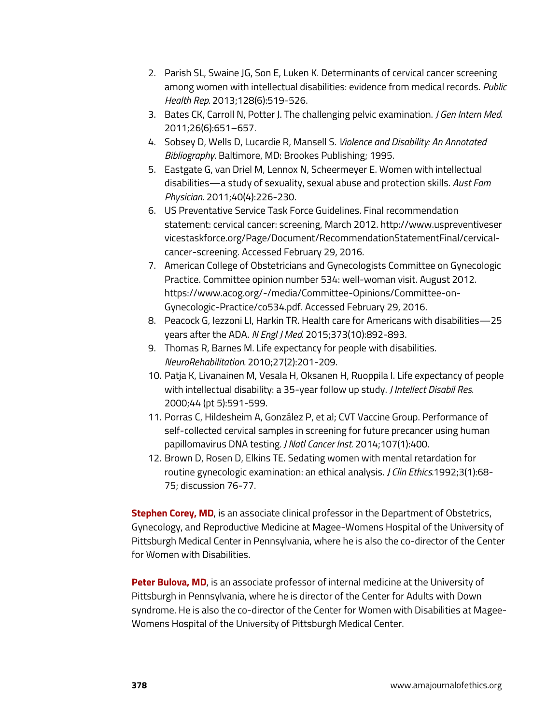- 2. Parish SL, Swaine JG, Son E, Luken K. Determinants of cervical cancer screening among women with intellectual disabilities: evidence from medical records. *Public Health Rep.* 2013;128(6):519-526.
- 3. Bates CK, Carroll N, Potter J. The challenging pelvic examination. *J Gen Intern Med.* 2011;26(6):651–657.
- 4. Sobsey D, Wells D, Lucardie R, Mansell S. *Violence and Disability: An Annotated Bibliography*. Baltimore, MD: Brookes Publishing; 1995.
- 5. Eastgate G, van Driel M, Lennox N, Scheermeyer E. Women with intellectual disabilities—a study of sexuality, sexual abuse and protection skills. *Aust Fam Physician*. 2011;40(4):226-230.
- 6. US Preventative Service Task Force Guidelines. Final recommendation statement: cervical cancer: screening, March 2012. http://www.uspreventiveser vicestaskforce.org/Page/Document/RecommendationStatementFinal/cervicalcancer-screening. Accessed February 29, 2016.
- 7. American College of Obstetricians and Gynecologists Committee on Gynecologic Practice. Committee opinion number 534: well-woman visit. August 2012. https://www.acog.org/-/media/Committee-Opinions/Committee-on-Gynecologic-Practice/co534.pdf. Accessed February 29, 2016.
- 8. Peacock G, Iezzoni LI, Harkin TR. Health care for Americans with disabilities—25 years after the ADA. *N Engl J Med.* 2015;373(10):892-893.
- 9. Thomas R, Barnes M. Life expectancy for people with disabilities. *NeuroRehabilitation.* 2010;27(2):201-209.
- 10. Patja K, Livanainen M, Vesala H, Oksanen H, Ruoppila I. Life expectancy of people with intellectual disability: a 35-year follow up study. *J Intellect Disabil Res*. 2000;44 (pt 5):591-599.
- 11. Porras C, Hildesheim A, González P, et al; CVT Vaccine Group. Performance of self-collected cervical samples in screening for future precancer using human papillomavirus DNA testing*. J Natl Cancer Inst.* 2014;107(1):400.
- 12. Brown D, Rosen D, Elkins TE. Sedating women with mental retardation for routine gynecologic examination: an ethical analysis. *J Clin Ethics.*1992;3(1):68- 75; discussion 76-77.

**Stephen Corey, MD**, is an associate clinical professor in the Department of Obstetrics, Gynecology, and Reproductive Medicine at Magee-Womens Hospital of the University of Pittsburgh Medical Center in Pennsylvania, where he is also the co-director of the Center for Women with Disabilities.

**Peter Bulova, MD**, is an associate professor of internal medicine at the University of Pittsburgh in Pennsylvania, where he is director of the Center for Adults with Down syndrome. He is also the co-director of the Center for Women with Disabilities at Magee-Womens Hospital of the University of Pittsburgh Medical Center.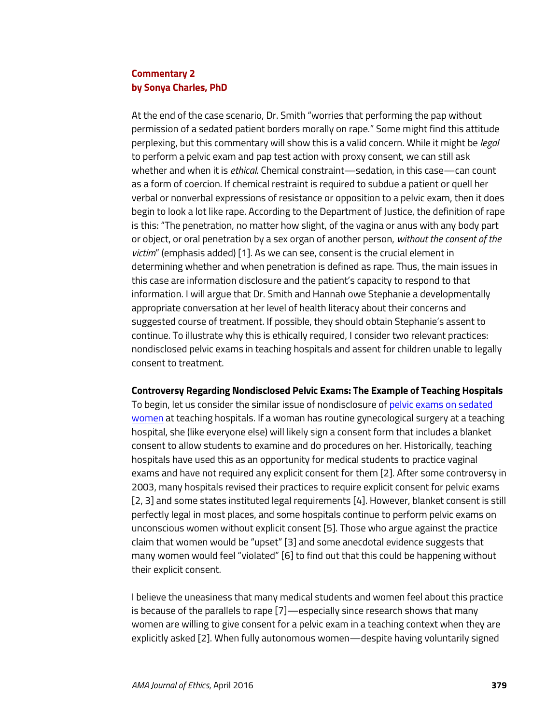## **Commentary 2 by Sonya Charles, PhD**

At the end of the case scenario, Dr. Smith "worries that performing the pap without permission of a sedated patient borders morally on rape." Some might find this attitude perplexing, but this commentary will show this is a valid concern. While it might be *legal* to perform a pelvic exam and pap test action with proxy consent, we can still ask whether and when it is *ethical*. Chemical constraint—sedation, in this case—can count as a form of coercion. If chemical restraint is required to subdue a patient or quell her verbal or nonverbal expressions of resistance or opposition to a pelvic exam, then it does begin to look a lot like rape. According to the Department of Justice, the definition of rape is this: "The penetration, no matter how slight, of the vagina or anus with any body part or object, or oral penetration by a sex organ of another person, *without the consent of the victim*" (emphasis added) [1]. As we can see, consent is the crucial element in determining whether and when penetration is defined as rape. Thus, the main issues in this case are information disclosure and the patient's capacity to respond to that information. I will argue that Dr. Smith and Hannah owe Stephanie a developmentally appropriate conversation at her level of health literacy about their concerns and suggested course of treatment. If possible, they should obtain Stephanie's assent to continue. To illustrate why this is ethically required, I consider two relevant practices: nondisclosed pelvic exams in teaching hospitals and assent for children unable to legally consent to treatment.

### **Controversy Regarding Nondisclosed Pelvic Exams: The Example of Teaching Hospitals**

To begin, let us consider the similar issue of nondisclosure of [pelvic exams on sedated](http://journalofethics.ama-assn.org/2003/05/oped1-0305.html)  [women](http://journalofethics.ama-assn.org/2003/05/oped1-0305.html) at teaching hospitals. If a woman has routine gynecological surgery at a teaching hospital, she (like everyone else) will likely sign a consent form that includes a blanket consent to allow students to examine and do procedures on her. Historically, teaching hospitals have used this as an opportunity for medical students to practice vaginal exams and have not required any explicit consent for them [2]. After some controversy in 2003, many hospitals revised their practices to require explicit consent for pelvic exams [2, 3] and some states instituted legal requirements [4]. However, blanket consent is still perfectly legal in most places, and some hospitals continue to perform pelvic exams on unconscious women without explicit consent [5]. Those who argue against the practice claim that women would be "upset" [3] and some anecdotal evidence suggests that many women would feel "violated" [6] to find out that this could be happening without their explicit consent.

I believe the uneasiness that many medical students and women feel about this practice is because of the parallels to rape [7]—especially since research shows that many women are willing to give consent for a pelvic exam in a teaching context when they are explicitly asked [2]. When fully autonomous women—despite having voluntarily signed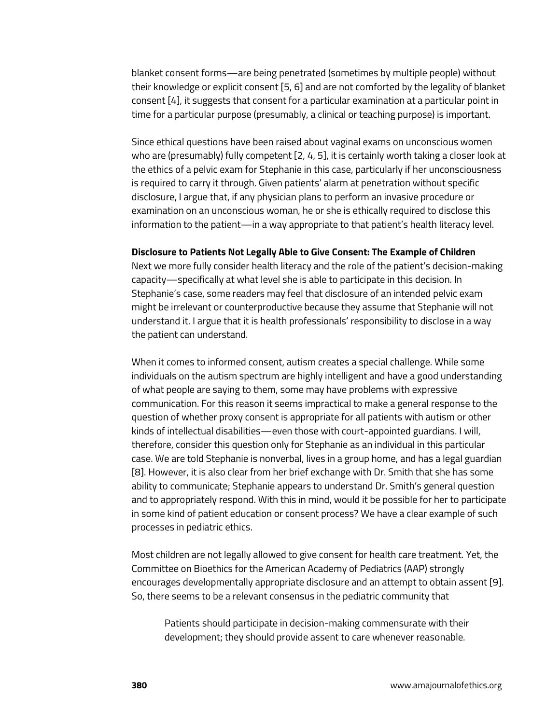blanket consent forms—are being penetrated (sometimes by multiple people) without their knowledge or explicit consent [5, 6] and are not comforted by the legality of blanket consent [4], it suggests that consent for a particular examination at a particular point in time for a particular purpose (presumably, a clinical or teaching purpose) is important.

Since ethical questions have been raised about vaginal exams on unconscious women who are (presumably) fully competent [2, 4, 5], it is certainly worth taking a closer look at the ethics of a pelvic exam for Stephanie in this case, particularly if her unconsciousness is required to carry it through. Given patients' alarm at penetration without specific disclosure, I argue that, if any physician plans to perform an invasive procedure or examination on an unconscious woman, he or she is ethically required to disclose this information to the patient—in a way appropriate to that patient's health literacy level.

### **Disclosure to Patients Not Legally Able to Give Consent: The Example of Children**

Next we more fully consider health literacy and the role of the patient's decision-making capacity—specifically at what level she is able to participate in this decision. In Stephanie's case, some readers may feel that disclosure of an intended pelvic exam might be irrelevant or counterproductive because they assume that Stephanie will not understand it. I argue that it is health professionals' responsibility to disclose in a way the patient can understand.

When it comes to informed consent, autism creates a special challenge. While some individuals on the autism spectrum are highly intelligent and have a good understanding of what people are saying to them, some may have problems with expressive communication. For this reason it seems impractical to make a general response to the question of whether proxy consent is appropriate for all patients with autism or other kinds of intellectual disabilities—even those with court-appointed guardians. I will, therefore, consider this question only for Stephanie as an individual in this particular case. We are told Stephanie is nonverbal, lives in a group home, and has a legal guardian [8]. However, it is also clear from her brief exchange with Dr. Smith that she has some ability to communicate; Stephanie appears to understand Dr. Smith's general question and to appropriately respond. With this in mind, would it be possible for her to participate in some kind of patient education or consent process? We have a clear example of such processes in pediatric ethics.

Most children are not legally allowed to give consent for health care treatment. Yet, the Committee on Bioethics for the American Academy of Pediatrics (AAP) strongly encourages developmentally appropriate disclosure and an attempt to obtain assent [9]. So, there seems to be a relevant consensus in the pediatric community that

Patients should participate in decision-making commensurate with their development; they should provide assent to care whenever reasonable.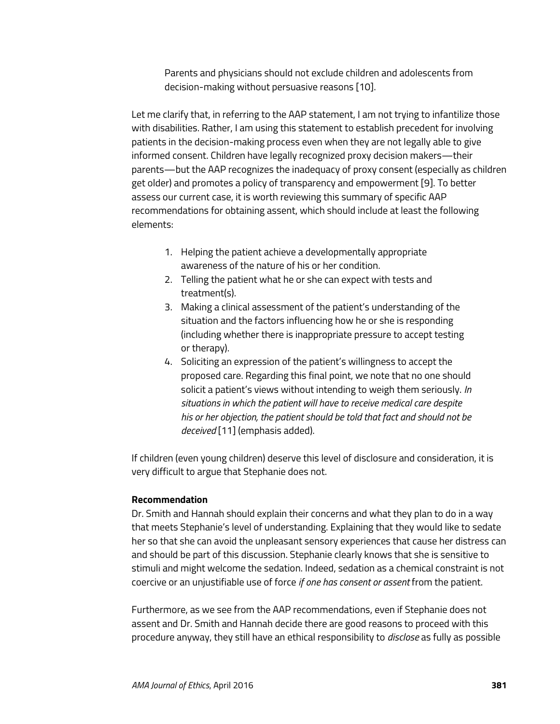Parents and physicians should not exclude children and adolescents from decision-making without persuasive reasons [10].

Let me clarify that, in referring to the AAP statement, I am not trying to infantilize those with disabilities. Rather, I am using this statement to establish precedent for involving patients in the decision-making process even when they are not legally able to give informed consent. Children have legally recognized proxy decision makers—their parents—but the AAP recognizes the inadequacy of proxy consent (especially as children get older) and promotes a policy of transparency and empowerment [9]. To better assess our current case, it is worth reviewing this summary of specific AAP recommendations for obtaining assent, which should include at least the following elements:

- 1. Helping the patient achieve a developmentally appropriate awareness of the nature of his or her condition.
- 2. Telling the patient what he or she can expect with tests and treatment(s).
- 3. Making a clinical assessment of the patient's understanding of the situation and the factors influencing how he or she is responding (including whether there is inappropriate pressure to accept testing or therapy).
- 4. Soliciting an expression of the patient's willingness to accept the proposed care. Regarding this final point, we note that no one should solicit a patient's views without intending to weigh them seriously. *In situations in which the patient will have to receive medical care despite his or her objection, the patient should be told that fact and should not be deceived* [11] (emphasis added).

If children (even young children) deserve this level of disclosure and consideration, it is very difficult to argue that Stephanie does not.

## **Recommendation**

Dr. Smith and Hannah should explain their concerns and what they plan to do in a way that meets Stephanie's level of understanding. Explaining that they would like to sedate her so that she can avoid the unpleasant sensory experiences that cause her distress can and should be part of this discussion. Stephanie clearly knows that she is sensitive to stimuli and might welcome the sedation. Indeed, sedation as a chemical constraint is not coercive or an unjustifiable use of force *if one has consent or assent* from the patient.

Furthermore, as we see from the AAP recommendations, even if Stephanie does not assent and Dr. Smith and Hannah decide there are good reasons to proceed with this procedure anyway, they still have an ethical responsibility to *disclose* as fully as possible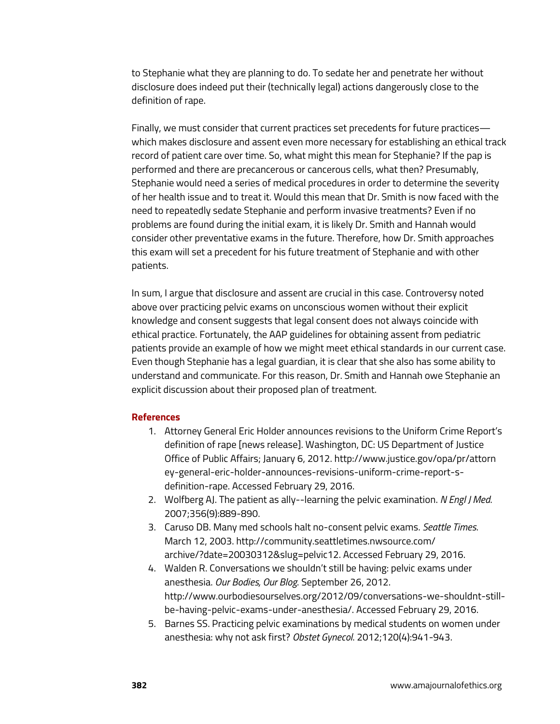to Stephanie what they are planning to do. To sedate her and penetrate her without disclosure does indeed put their (technically legal) actions dangerously close to the definition of rape.

Finally, we must consider that current practices set precedents for future practices which makes disclosure and assent even more necessary for establishing an ethical track record of patient care over time. So, what might this mean for Stephanie? If the pap is performed and there are precancerous or cancerous cells, what then? Presumably, Stephanie would need a series of medical procedures in order to determine the severity of her health issue and to treat it. Would this mean that Dr. Smith is now faced with the need to repeatedly sedate Stephanie and perform invasive treatments? Even if no problems are found during the initial exam, it is likely Dr. Smith and Hannah would consider other preventative exams in the future. Therefore, how Dr. Smith approaches this exam will set a precedent for his future treatment of Stephanie and with other patients.

In sum, I argue that disclosure and assent are crucial in this case. Controversy noted above over practicing pelvic exams on unconscious women without their explicit knowledge and consent suggests that legal consent does not always coincide with ethical practice. Fortunately, the AAP guidelines for obtaining assent from pediatric patients provide an example of how we might meet ethical standards in our current case. Even though Stephanie has a legal guardian, it is clear that she also has some ability to understand and communicate. For this reason, Dr. Smith and Hannah owe Stephanie an explicit discussion about their proposed plan of treatment.

## **References**

- 1. Attorney General Eric Holder announces revisions to the Uniform Crime Report's definition of rape [news release]. Washington, DC: US Department of Justice Office of Public Affairs; January 6, 2012. http://www.justice.gov/opa/pr/attorn ey-general-eric-holder-announces-revisions-uniform-crime-report-sdefinition-rape. Accessed February 29, 2016.
- 2. Wolfberg AJ. The patient as ally--learning the pelvic examination. *N Engl J Med*. 2007;356(9):889-890.
- 3. Caruso DB. Many med schools halt no-consent pelvic exams. *Seattle Times*. March 12, 2003. http://community.seattletimes.nwsource.com/ archive/?date=20030312&slug=pelvic12. Accessed February 29, 2016.
- 4. Walden R. Conversations we shouldn't still be having: pelvic exams under anesthesia. *Our Bodies, Our Blog*. September 26, 2012. http://www.ourbodiesourselves.org/2012/09/conversations-we-shouldnt-stillbe-having-pelvic-exams-under-anesthesia/. Accessed February 29, 2016.
- 5. Barnes SS. Practicing pelvic examinations by medical students on women under anesthesia: why not ask first? *Obstet Gynecol*. 2012;120(4):941-943.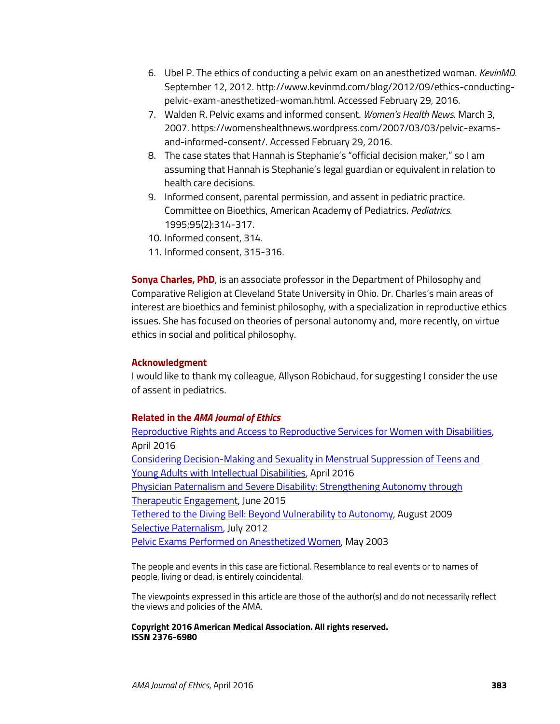- 6. Ubel P. The ethics of conducting a pelvic exam on an anesthetized woman. *KevinMD*. September 12, 2012. http://www.kevinmd.com/blog/2012/09/ethics-conductingpelvic-exam-anesthetized-woman.html. Accessed February 29, 2016.
- 7. Walden R. Pelvic exams and informed consent. *Women's Health News*. March 3, 2007. https://womenshealthnews.wordpress.com/2007/03/03/pelvic-examsand-informed-consent/. Accessed February 29, 2016.
- 8. The case states that Hannah is Stephanie's "official decision maker," so I am assuming that Hannah is Stephanie's legal guardian or equivalent in relation to health care decisions.
- 9. Informed consent, parental permission, and assent in pediatric practice. Committee on Bioethics, American Academy of Pediatrics. *Pediatrics*. 1995;95(2):314-317.
- 10. Informed consent, 314.
- 11. Informed consent, 315-316.

**Sonya Charles, PhD**, is an associate professor in the Department of Philosophy and Comparative Religion at Cleveland State University in Ohio. Dr. Charles's main areas of interest are bioethics and feminist philosophy, with a specialization in reproductive ethics issues. She has focused on theories of personal autonomy and, more recently, on virtue ethics in social and political philosophy.

## **Acknowledgment**

I would like to thank my colleague, Allyson Robichaud, for suggesting I consider the use of assent in pediatrics.

## **Related in the** *AMA Journal of Ethics*

[Reproductive Rights and Access to Reproductive Services for Women with Disabilities,](http://journalofethics.ama-assn.org/2016/04/msoc1-1604.html) April 2016 [Considering Decision-Making and Sexuality in Menstrual Suppression of Teens and](http://journalofethics.ama-assn.org/2016/04/ecas2-1604.html)  [Young Adults with Intellectual Disabilities,](http://journalofethics.ama-assn.org/2016/04/ecas2-1604.html) April 2016 [Physician Paternalism and Severe Disability: Strengthening Autonomy through](http://journalofethics.ama-assn.org/2015/06/ecas1-1506.html)  [Therapeutic Engagement,](http://journalofethics.ama-assn.org/2015/06/ecas1-1506.html) June 2015 [Tethered to the Diving Bell: Beyond Vulnerability to Autonomy,](http://journalofethics.ama-assn.org/2009/08/medu1-0908.html) August 2009 [Selective Paternalism,](http://journalofethics.ama-assn.org/2012/07/oped2-1207.html) July 2012 [Pelvic Exams Performed on Anesthetized Women,](http://journalofethics.ama-assn.org/2003/05/oped1-0305.html) May 2003

The people and events in this case are fictional. Resemblance to real events or to names of people, living or dead, is entirely coincidental.

The viewpoints expressed in this article are those of the author(s) and do not necessarily reflect the views and policies of the AMA.

#### **Copyright 2016 American Medical Association. All rights reserved. ISSN 2376-6980**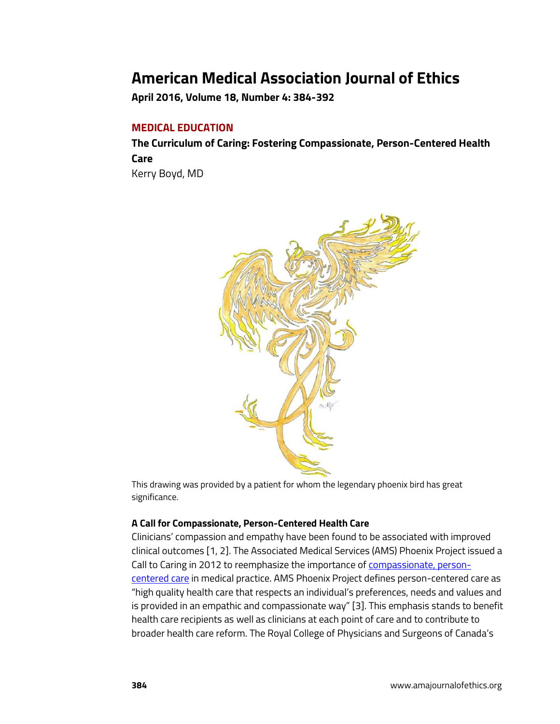# **American Medical Association Journal of Ethics**

**April 2016, Volume 18, Number 4: 384-392**

## **MEDICAL EDUCATION**

**The Curriculum of Caring: Fostering Compassionate, Person-Centered Health Care** Kerry Boyd, MD



This drawing was provided by a patient for whom the legendary phoenix bird has great significance.

## **A Call for Compassionate, Person-Centered Health Care**

Clinicians' compassion and empathy have been found to be associated with improved clinical outcomes [1, 2]. The Associated Medical Services (AMS) Phoenix Project issued a Call to Caring in 2012 to reemphasize the importance of [compassionate, person](http://journalofethics.ama-assn.org/2016/01/medu1-1601.html)[centered care](http://journalofethics.ama-assn.org/2016/01/medu1-1601.html) in medical practice. AMS Phoenix Project defines person-centered care as "high quality health care that respects an individual's preferences, needs and values and is provided in an empathic and compassionate way" [3]. This emphasis stands to benefit health care recipients as well as clinicians at each point of care and to contribute to broader health care reform. The Royal College of Physicians and Surgeons of Canada's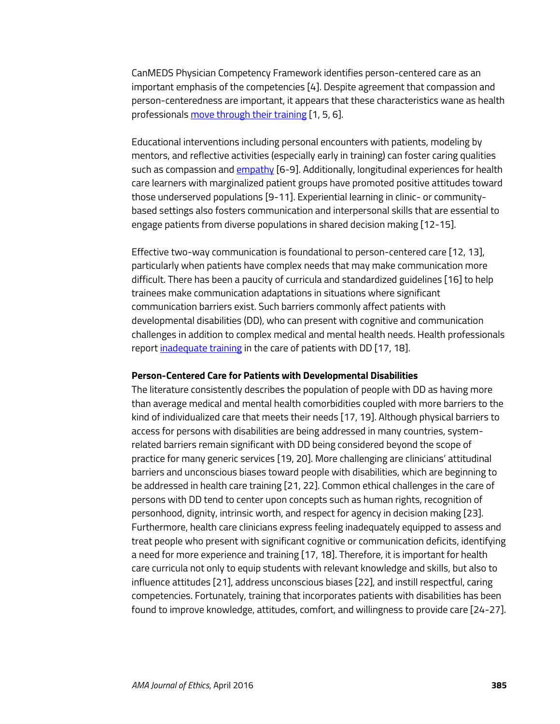CanMEDS Physician Competency Framework identifies person-centered care as an important emphasis of the competencies [4]. Despite agreement that compassion and person-centeredness are important, it appears that these characteristics wane as health professional[s move through their training](http://journalofethics.ama-assn.org/2015/02/msoc1-1502.html) [1, 5, 6].

Educational interventions including personal encounters with patients, modeling by mentors, and reflective activities (especially early in training) can foster caring qualities such as compassion and *empathy* [6-9]. Additionally, longitudinal experiences for health care learners with marginalized patient groups have promoted positive attitudes toward those underserved populations [9-11]. Experiential learning in clinic- or communitybased settings also fosters communication and interpersonal skills that are essential to engage patients from diverse populations in shared decision making [12-15].

Effective two-way communication is foundational to person-centered care [12, 13], particularly when patients have complex needs that may make communication more difficult. There has been a paucity of curricula and standardized guidelines [16] to help trainees make communication adaptations in situations where significant communication barriers exist. Such barriers commonly affect patients with developmental disabilities (DD), who can present with cognitive and communication challenges in addition to complex medical and mental health needs. Health professionals report [inadequate training](http://journalofethics.ama-assn.org/2016/04/pfor1-1604.html) in the care of patients with DD [17, 18].

### **Person-Centered Care for Patients with Developmental Disabilities**

The literature consistently describes the population of people with DD as having more than average medical and mental health comorbidities coupled with more barriers to the kind of individualized care that meets their needs [17, 19]. Although physical barriers to access for persons with disabilities are being addressed in many countries, systemrelated barriers remain significant with DD being considered beyond the scope of practice for many generic services [19, 20]. More challenging are clinicians' attitudinal barriers and unconscious biases toward people with disabilities, which are beginning to be addressed in health care training [21, 22]. Common ethical challenges in the care of persons with DD tend to center upon concepts such as human rights, recognition of personhood, dignity, intrinsic worth, and respect for agency in decision making [23]. Furthermore, health care clinicians express feeling inadequately equipped to assess and treat people who present with significant cognitive or communication deficits, identifying a need for more experience and training [17, 18]. Therefore, it is important for health care curricula not only to equip students with relevant knowledge and skills, but also to influence attitudes [21], address unconscious biases [22], and instill respectful, caring competencies. Fortunately, training that incorporates patients with disabilities has been found to improve knowledge, attitudes, comfort, and willingness to provide care [24-27].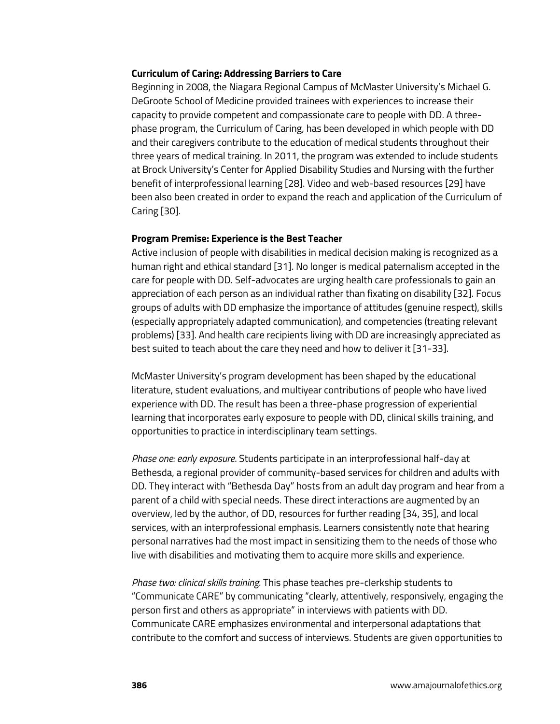### **Curriculum of Caring: Addressing Barriers to Care**

Beginning in 2008, the Niagara Regional Campus of McMaster University's Michael G. DeGroote School of Medicine provided trainees with experiences to increase their capacity to provide competent and compassionate care to people with DD. A threephase program, the Curriculum of Caring, has been developed in which people with DD and their caregivers contribute to the education of medical students throughout their three years of medical training. In 2011, the program was extended to include students at Brock University's Center for Applied Disability Studies and Nursing with the further benefit of interprofessional learning [28]. Video and web-based resources [29] have been also been created in order to expand the reach and application of the Curriculum of Caring [30].

### **Program Premise: Experience is the Best Teacher**

Active inclusion of people with disabilities in medical decision making is recognized as a human right and ethical standard [31]. No longer is medical paternalism accepted in the care for people with DD. Self-advocates are urging health care professionals to gain an appreciation of each person as an individual rather than fixating on disability [32]. Focus groups of adults with DD emphasize the importance of attitudes (genuine respect), skills (especially appropriately adapted communication), and competencies (treating relevant problems) [33]. And health care recipients living with DD are increasingly appreciated as best suited to teach about the care they need and how to deliver it [31-33].

McMaster University's program development has been shaped by the educational literature, student evaluations, and multiyear contributions of people who have lived experience with DD. The result has been a three-phase progression of experiential learning that incorporates early exposure to people with DD, clinical skills training, and opportunities to practice in interdisciplinary team settings.

*Phase one: early exposure*. Students participate in an interprofessional half-day at Bethesda, a regional provider of community-based services for children and adults with DD. They interact with "Bethesda Day" hosts from an adult day program and hear from a parent of a child with special needs. These direct interactions are augmented by an overview, led by the author, of DD, resources for further reading [34, 35], and local services, with an interprofessional emphasis. Learners consistently note that hearing personal narratives had the most impact in sensitizing them to the needs of those who live with disabilities and motivating them to acquire more skills and experience.

*Phase two: clinical skills training*. This phase teaches pre-clerkship students to "Communicate CARE" by communicating "clearly, attentively, responsively, engaging the person first and others as appropriate" in interviews with patients with DD. Communicate CARE emphasizes environmental and interpersonal adaptations that contribute to the comfort and success of interviews. Students are given opportunities to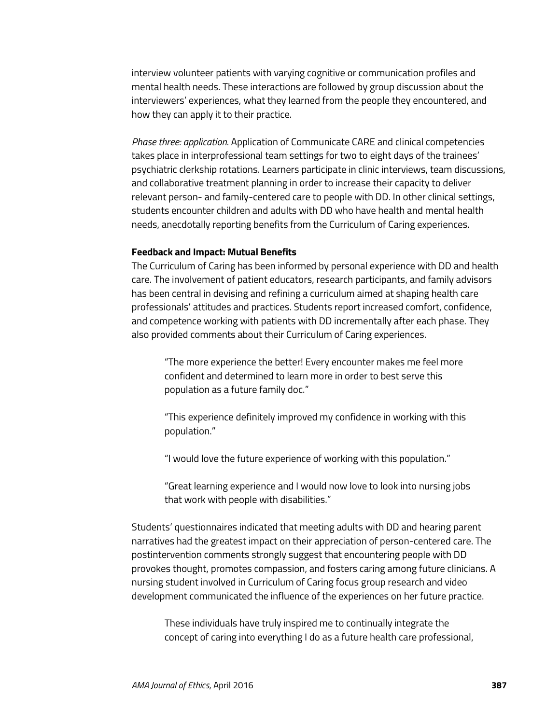interview volunteer patients with varying cognitive or communication profiles and mental health needs. These interactions are followed by group discussion about the interviewers' experiences, what they learned from the people they encountered, and how they can apply it to their practice.

*Phase three: application*. Application of Communicate CARE and clinical competencies takes place in interprofessional team settings for two to eight days of the trainees' psychiatric clerkship rotations. Learners participate in clinic interviews, team discussions, and collaborative treatment planning in order to increase their capacity to deliver relevant person- and family-centered care to people with DD. In other clinical settings, students encounter children and adults with DD who have health and mental health needs, anecdotally reporting benefits from the Curriculum of Caring experiences.

### **Feedback and Impact: Mutual Benefits**

The Curriculum of Caring has been informed by personal experience with DD and health care. The involvement of patient educators, research participants, and family advisors has been central in devising and refining a curriculum aimed at shaping health care professionals' attitudes and practices. Students report increased comfort, confidence, and competence working with patients with DD incrementally after each phase. They also provided comments about their Curriculum of Caring experiences.

"The more experience the better! Every encounter makes me feel more confident and determined to learn more in order to best serve this population as a future family doc."

"This experience definitely improved my confidence in working with this population."

"I would love the future experience of working with this population."

"Great learning experience and I would now love to look into nursing jobs that work with people with disabilities."

Students' questionnaires indicated that meeting adults with DD and hearing parent narratives had the greatest impact on their appreciation of person-centered care. The postintervention comments strongly suggest that encountering people with DD provokes thought, promotes compassion, and fosters caring among future clinicians. A nursing student involved in Curriculum of Caring focus group research and video development communicated the influence of the experiences on her future practice.

These individuals have truly inspired me to continually integrate the concept of caring into everything I do as a future health care professional,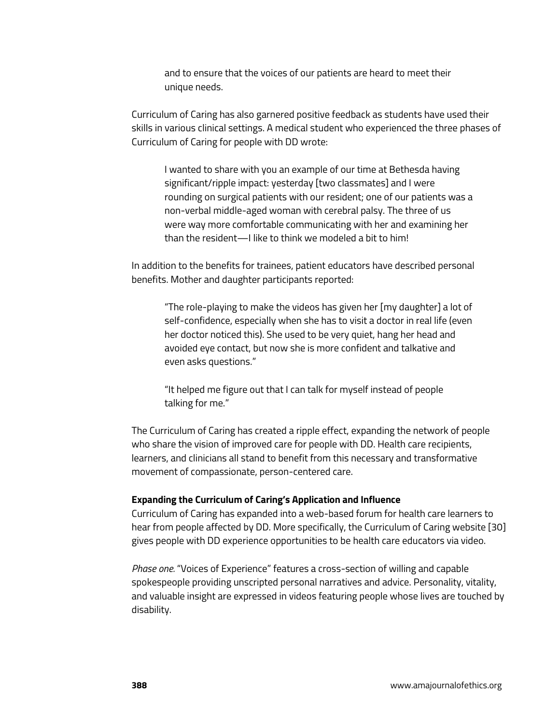and to ensure that the voices of our patients are heard to meet their unique needs.

Curriculum of Caring has also garnered positive feedback as students have used their skills in various clinical settings. A medical student who experienced the three phases of Curriculum of Caring for people with DD wrote:

I wanted to share with you an example of our time at Bethesda having significant/ripple impact: yesterday [two classmates] and I were rounding on surgical patients with our resident; one of our patients was a non-verbal middle-aged woman with cerebral palsy. The three of us were way more comfortable communicating with her and examining her than the resident—I like to think we modeled a bit to him!

In addition to the benefits for trainees, patient educators have described personal benefits. Mother and daughter participants reported:

"The role-playing to make the videos has given her [my daughter] a lot of self-confidence, especially when she has to visit a doctor in real life (even her doctor noticed this). She used to be very quiet, hang her head and avoided eye contact, but now she is more confident and talkative and even asks questions."

"It helped me figure out that I can talk for myself instead of people talking for me."

The Curriculum of Caring has created a ripple effect, expanding the network of people who share the vision of improved care for people with DD. Health care recipients, learners, and clinicians all stand to benefit from this necessary and transformative movement of compassionate, person-centered care.

### **Expanding the Curriculum of Caring's Application and Influence**

Curriculum of Caring has expanded into a web-based forum for health care learners to hear from people affected by DD. More specifically, the Curriculum of Caring website [30] gives people with DD experience opportunities to be health care educators via video.

*Phase one.* "Voices of Experience" features a cross-section of willing and capable spokespeople providing unscripted personal narratives and advice. Personality, vitality, and valuable insight are expressed in videos featuring people whose lives are touched by disability.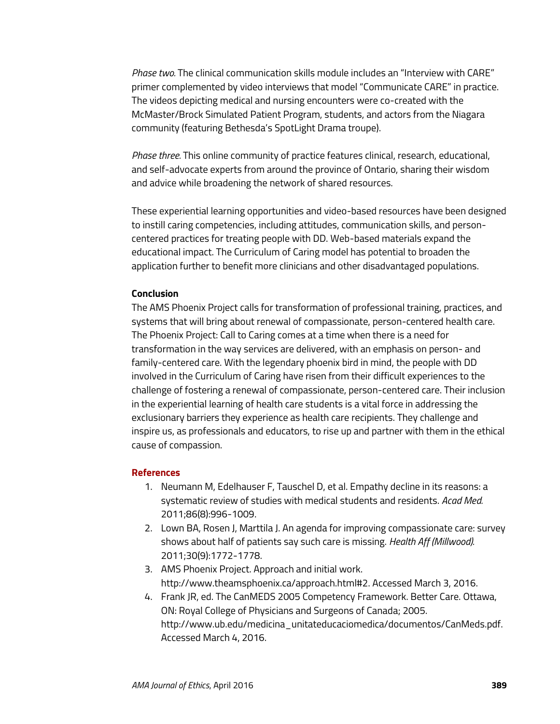*Phase two.* The clinical communication skills module includes an "Interview with CARE" primer complemented by video interviews that model "Communicate CARE" in practice. The videos depicting medical and nursing encounters were co-created with the McMaster/Brock Simulated Patient Program, students, and actors from the Niagara community (featuring Bethesda's SpotLight Drama troupe).

*Phase three.* This online community of practice features clinical, research, educational, and self-advocate experts from around the province of Ontario, sharing their wisdom and advice while broadening the network of shared resources.

These experiential learning opportunities and video-based resources have been designed to instill caring competencies, including attitudes, communication skills, and personcentered practices for treating people with DD. Web-based materials expand the educational impact. The Curriculum of Caring model has potential to broaden the application further to benefit more clinicians and other disadvantaged populations.

### **Conclusion**

The AMS Phoenix Project calls for transformation of professional training, practices, and systems that will bring about renewal of compassionate, person-centered health care. The Phoenix Project: Call to Caring comes at a time when there is a need for transformation in the way services are delivered, with an emphasis on person- and family-centered care. With the legendary phoenix bird in mind, the people with DD involved in the Curriculum of Caring have risen from their difficult experiences to the challenge of fostering a renewal of compassionate, person-centered care. Their inclusion in the experiential learning of health care students is a vital force in addressing the exclusionary barriers they experience as health care recipients. They challenge and inspire us, as professionals and educators, to rise up and partner with them in the ethical cause of compassion.

#### **References**

- 1. Neumann M, Edelhauser F, Tauschel D, et al. Empathy decline in its reasons: a systematic review of studies with medical students and residents. *Acad Med.* 2011;86(8):996-1009.
- 2. Lown BA, Rosen J, Marttila J. An agenda for improving compassionate care: survey shows about half of patients say such care is missing. *Health Aff (Millwood).* 2011;30(9):1772-1778.
- 3. AMS Phoenix Project. Approach and initial work. http://www.theamsphoenix.ca/approach.html#2. Accessed March 3, 2016.
- 4. Frank JR, ed. The CanMEDS 2005 Competency Framework. Better Care. Ottawa, ON: Royal College of Physicians and Surgeons of Canada; 2005. http://www.ub.edu/medicina\_unitateducaciomedica/documentos/CanMeds.pdf. Accessed March 4, 2016.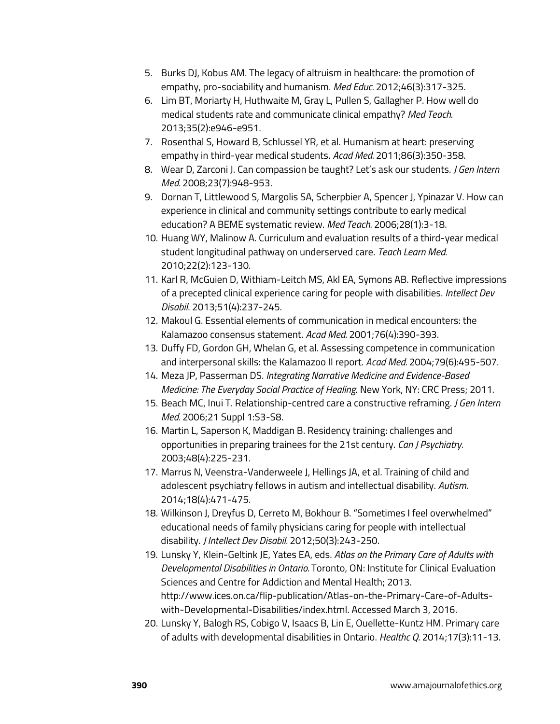- 5. Burks DJ, Kobus AM. The legacy of altruism in healthcare: the promotion of empathy, pro-sociability and humanism. *Med Educ.* 2012;46(3):317-325.
- 6. Lim BT, Moriarty H, Huthwaite M, Gray L, Pullen S, Gallagher P. How well do medical students rate and communicate clinical empathy? *Med Teach.* 2013;35(2):e946-e951.
- 7. Rosenthal S, Howard B, Schlussel YR, et al. Humanism at heart: preserving empathy in third-year medical students. *Acad Med.* 2011;86(3):350-358.
- 8. Wear D, Zarconi J. Can compassion be taught? Let's ask our students. *J Gen Intern Med.* 2008;23(7):948-953.
- 9. Dornan T, Littlewood S, Margolis SA, Scherpbier A, Spencer J, Ypinazar V. How can experience in clinical and community settings contribute to early medical education? A BEME systematic review. *Med Teach.* 2006;28(1):3-18.
- 10. Huang WY, Malinow A. Curriculum and evaluation results of a third-year medical student longitudinal pathway on underserved care. *Teach Learn Med.* 2010;22(2):123-130.
- 11. Karl R, McGuien D, Withiam-Leitch MS, Akl EA, Symons AB. Reflective impressions of a precepted clinical experience caring for people with disabilities. *Intellect Dev Disabil*. 2013;51(4):237-245.
- 12. Makoul G. Essential elements of communication in medical encounters: the Kalamazoo consensus statement. *Acad Med.* 2001;76(4):390-393.
- 13. Duffy FD, Gordon GH, Whelan G, et al. Assessing competence in communication and interpersonal skills: the Kalamazoo II report. *Acad Med.* 2004;79(6):495-507.
- 14. Meza JP, Passerman DS. *Integrating Narrative Medicine and Evidence-Based Medicine: The Everyday Social Practice of Healing*. New York, NY: CRC Press; 2011.
- 15. Beach MC, Inui T. Relationship-centred care a constructive reframing. *J Gen Intern Med.* 2006;21 Suppl 1:S3-S8.
- 16. Martin L, Saperson K, Maddigan B. Residency training: challenges and opportunities in preparing trainees for the 21st century. *Can J Psychiatry.* 2003;48(4):225-231.
- 17. Marrus N, Veenstra-Vanderweele J, Hellings JA, et al. Training of child and adolescent psychiatry fellows in autism and intellectual disability. *Autism*. 2014;18(4):471-475.
- 18. Wilkinson J, Dreyfus D, Cerreto M, Bokhour B. "Sometimes I feel overwhelmed" educational needs of family physicians caring for people with intellectual disability. *J Intellect Dev Disabil.* 2012;50(3):243-250.
- 19. Lunsky Y, Klein-Geltink JE, Yates EA, eds. *Atlas on the Primary Care of Adults with Developmental Disabilities in Ontario.* Toronto, ON: Institute for Clinical Evaluation Sciences and Centre for Addiction and Mental Health; 2013. http://www.ices.on.ca/flip-publication/Atlas-on-the-Primary-Care-of-Adultswith-Developmental-Disabilities/index.html. Accessed March 3, 2016.
- 20. Lunsky Y, Balogh RS, Cobigo V, Isaacs B, Lin E, Ouellette-Kuntz HM. Primary care of adults with developmental disabilities in Ontario. *Healthc Q.* 2014;17(3):11-13.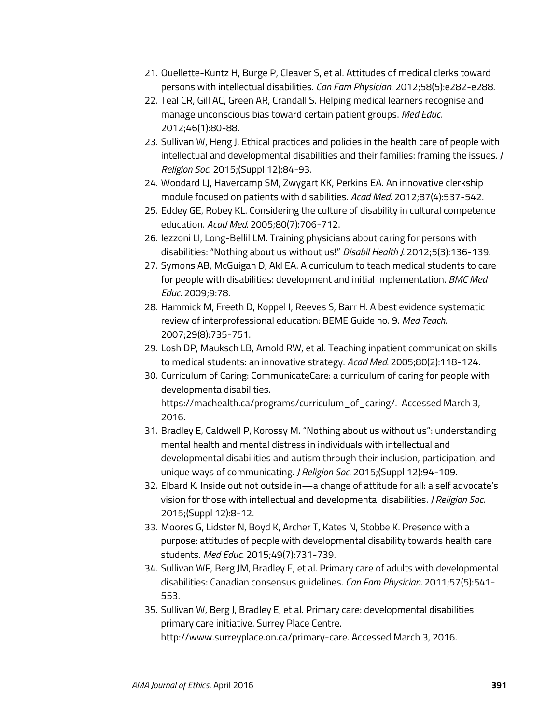- 21. Ouellette-Kuntz H, Burge P, Cleaver S, et al. Attitudes of medical clerks toward persons with intellectual disabilities. *Can Fam Physician*. 2012;58(5):e282-e288.
- 22. Teal CR, Gill AC, Green AR, Crandall S. Helping medical learners recognise and manage unconscious bias toward certain patient groups. *Med Educ.* 2012;46(1):80-88.
- 23. Sullivan W, Heng J. Ethical practices and policies in the health care of people with intellectual and developmental disabilities and their families: framing the issues*. J Religion Soc*. 2015;(Suppl 12):84-93.
- 24. Woodard LJ, Havercamp SM, Zwygart KK, Perkins EA. An innovative clerkship module focused on patients with disabilities. *Acad Med.* 2012;87(4):537-542.
- 25. Eddey GE, Robey KL. Considering the culture of disability in cultural competence education. *Acad Med.* 2005;80(7):706-712.
- 26. Iezzoni LI, Long-Bellil LM. Training physicians about caring for persons with disabilities: "Nothing about us without us!" *Disabil Health J.* 2012;5(3):136-139.
- 27. Symons AB, McGuigan D, Akl EA. A curriculum to teach medical students to care for people with disabilities: development and initial implementation. *BMC Med Educ.* 2009;9:78.
- 28. Hammick M, Freeth D, Koppel I, Reeves S, Barr H. A best evidence systematic review of interprofessional education: BEME Guide no. 9. *Med Teach.* 2007;29(8):735-751.
- 29. Losh DP, Mauksch LB, Arnold RW, et al. Teaching inpatient communication skills to medical students: an innovative strategy. *Acad Med.* 2005;80(2):118-124.
- 30. Curriculum of Caring: CommunicateCare: a curriculum of caring for people with developmenta disabilities. https://machealth.ca/programs/curriculum\_of\_caring/. Accessed March 3, 2016.
- 31. Bradley E, Caldwell P, Korossy M. "Nothing about us without us": understanding mental health and mental distress in individuals with intellectual and developmental disabilities and autism through their inclusion, participation, and unique ways of communicating. *J Religion Soc.* 2015;(Suppl 12):94-109.
- 32. Elbard K. Inside out not outside in—a change of attitude for all: a self advocate's vision for those with intellectual and developmental disabilities. *J Religion Soc*. 2015;(Suppl 12):8-12.
- 33. Moores G, Lidster N, Boyd K, Archer T, Kates N, Stobbe K. Presence with a purpose: attitudes of people with developmental disability towards health care students. *Med Educ*. 2015;49(7):731-739.
- 34. Sullivan WF, Berg JM, Bradley E, et al. Primary care of adults with developmental disabilities: Canadian consensus guidelines. *Can Fam Physician.* 2011;57(5):541- 553.
- 35. Sullivan W, Berg J, Bradley E, et al. Primary care: developmental disabilities primary care initiative. Surrey Place Centre. http://www.surreyplace.on.ca/primary-care. Accessed March 3, 2016.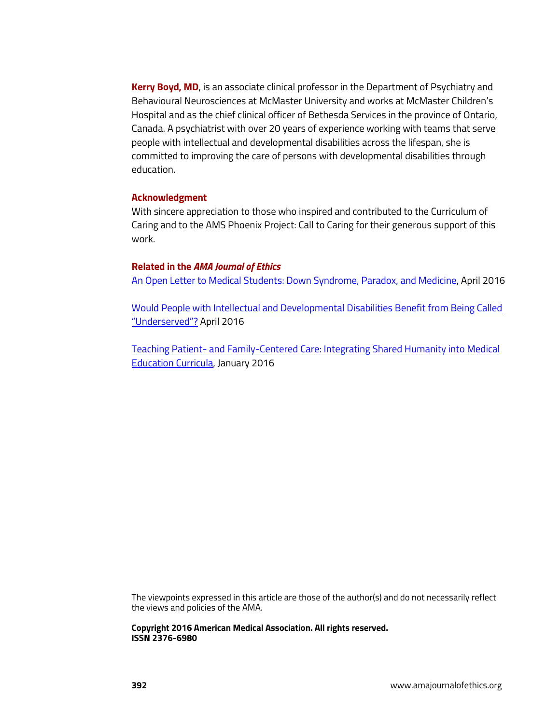**Kerry Boyd, MD**, is an associate clinical professor in the Department of Psychiatry and Behavioural Neurosciences at McMaster University and works at McMaster Children's Hospital and as the chief clinical officer of Bethesda Services in the province of Ontario, Canada. A psychiatrist with over 20 years of experience working with teams that serve people with intellectual and developmental disabilities across the lifespan, she is committed to improving the care of persons with developmental disabilities through education.

#### **Acknowledgment**

With sincere appreciation to those who inspired and contributed to the Curriculum of Caring and to the AMS Phoenix Project: Call to Caring for their generous support of this work.

#### **Related in the** *AMA Journal of Ethics*

[An Open Letter to Medical Students: Down Syndrome, Paradox, and Medicine,](http://journalofethics.ama-assn.org/2016/04/mnar1-1604.html) April 2016

[Would People with Intellectual and Developmental Disabilities Benefit from Being Called](http://journalofethics.ama-assn.org/2016/04/pfor1-1604.html)  ["Underserved"?](http://journalofethics.ama-assn.org/2016/04/pfor1-1604.html) April 2016

Teaching Patient- [and Family-Centered Care: Integrating Shared Humanity into Medical](http://journalofethics.ama-assn.org/2016/01/medu1-1601.html)  [Education Curricula,](http://journalofethics.ama-assn.org/2016/01/medu1-1601.html) January 2016

The viewpoints expressed in this article are those of the author(s) and do not necessarily reflect the views and policies of the AMA.

**Copyright 2016 American Medical Association. All rights reserved. ISSN 2376-6980**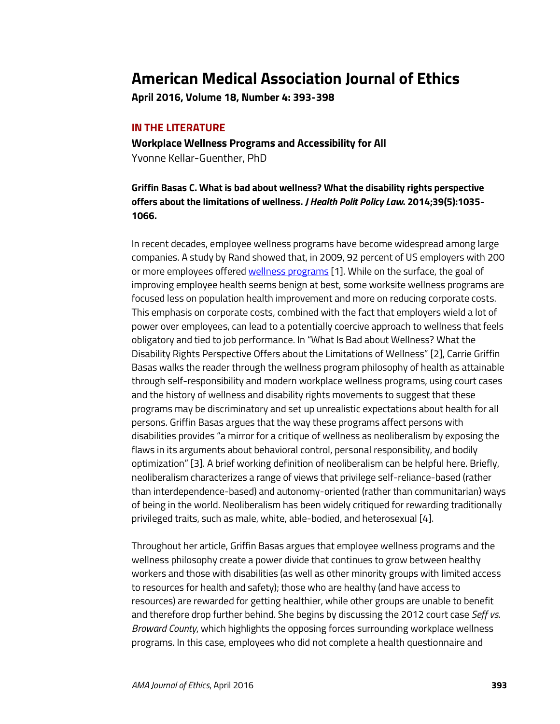# **American Medical Association Journal of Ethics**

**April 2016, Volume 18, Number 4: 393-398** 

# **IN THE LITERATURE**

**Workplace Wellness Programs and Accessibility for All** Yvonne Kellar-Guenther, PhD

# **Griffin Basas C. What is bad about wellness? What the disability rights perspective offers about the limitations of wellness.** *J Health Polit Policy Law***. 2014;39(5):1035- 1066.**

In recent decades, employee wellness programs have become widespread among large companies. A study by Rand showed that, in 2009, 92 percent of US employers with 200 or more employees offered [wellness programs](http://journalofethics.ama-assn.org/2008/01/pfor1-0801.html) [1]. While on the surface, the goal of improving employee health seems benign at best, some worksite wellness programs are focused less on population health improvement and more on reducing corporate costs. This emphasis on corporate costs, combined with the fact that employers wield a lot of power over employees, can lead to a potentially coercive approach to wellness that feels obligatory and tied to job performance. In "What Is Bad about Wellness? What the Disability Rights Perspective Offers about the Limitations of Wellness" [2], Carrie Griffin Basas walks the reader through the wellness program philosophy of health as attainable through self-responsibility and modern workplace wellness programs, using court cases and the history of wellness and disability rights movements to suggest that these programs may be discriminatory and set up unrealistic expectations about health for all persons. Griffin Basas argues that the way these programs affect persons with disabilities provides "a mirror for a critique of wellness as neoliberalism by exposing the flaws in its arguments about behavioral control, personal responsibility, and bodily optimization" [3]. A brief working definition of neoliberalism can be helpful here. Briefly, neoliberalism characterizes a range of views that privilege self-reliance-based (rather than interdependence-based) and autonomy-oriented (rather than communitarian) ways of being in the world. Neoliberalism has been widely critiqued for rewarding traditionally privileged traits, such as male, white, able-bodied, and heterosexual [4].

Throughout her article, Griffin Basas argues that employee wellness programs and the wellness philosophy create a power divide that continues to grow between healthy workers and those with disabilities (as well as other minority groups with limited access to resources for health and safety); those who are healthy (and have access to resources) are rewarded for getting healthier, while other groups are unable to benefit and therefore drop further behind. She begins by discussing the 2012 court case *Seff vs. Broward County*, which highlights the opposing forces surrounding workplace wellness programs. In this case, employees who did not complete a health questionnaire and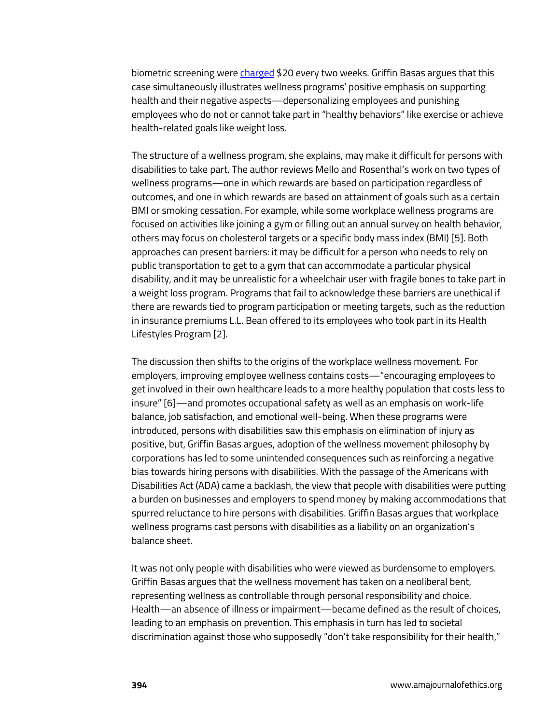biometric screening were [charged](http://journalofethics.ama-assn.org/2008/11/conl1-0811.html) \$20 every two weeks. Griffin Basas argues that this case simultaneously illustrates wellness programs' positive emphasis on supporting health and their negative aspects—depersonalizing employees and punishing employees who do not or cannot take part in "healthy behaviors" like exercise or achieve health-related goals like weight loss.

The structure of a wellness program, she explains, may make it difficult for persons with disabilities to take part. The author reviews Mello and Rosenthal's work on two types of wellness programs—one in which rewards are based on participation regardless of outcomes, and one in which rewards are based on attainment of goals such as a certain BMI or smoking cessation. For example, while some workplace wellness programs are focused on activities like joining a gym or filling out an annual survey on health behavior, others may focus on cholesterol targets or a specific body mass index (BMI) [5]. Both approaches can present barriers: it may be difficult for a person who needs to rely on public transportation to get to a gym that can accommodate a particular physical disability, and it may be unrealistic for a wheelchair user with fragile bones to take part in a weight loss program. Programs that fail to acknowledge these barriers are unethical if there are rewards tied to program participation or meeting targets, such as the reduction in insurance premiums L.L. Bean offered to its employees who took part in its Health Lifestyles Program [2].

The discussion then shifts to the origins of the workplace wellness movement. For employers, improving employee wellness contains costs—"encouraging employees to get involved in their own healthcare leads to a more healthy population that costs less to insure" [6]—and promotes occupational safety as well as an emphasis on work-life balance, job satisfaction, and emotional well-being. When these programs were introduced, persons with disabilities saw this emphasis on elimination of injury as positive, but, Griffin Basas argues, adoption of the wellness movement philosophy by corporations has led to some unintended consequences such as reinforcing a negative bias towards hiring persons with disabilities. With the passage of the Americans with Disabilities Act (ADA) came a backlash, the view that people with disabilities were putting a burden on businesses and employers to spend money by making accommodations that spurred reluctance to hire persons with disabilities. Griffin Basas argues that workplace wellness programs cast persons with disabilities as a liability on an organization's balance sheet.

It was not only people with disabilities who were viewed as burdensome to employers. Griffin Basas argues that the wellness movement has taken on a neoliberal bent, representing wellness as controllable through personal responsibility and choice. Health—an absence of illness or impairment—became defined as the result of choices, leading to an emphasis on prevention. This emphasis in turn has led to societal discrimination against those who supposedly "don't take responsibility for their health,"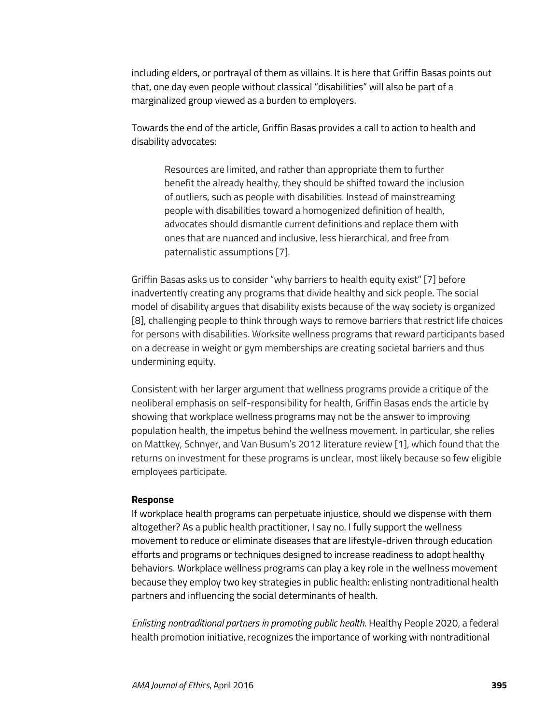including elders, or portrayal of them as villains. It is here that Griffin Basas points out that, one day even people without classical "disabilities" will also be part of a marginalized group viewed as a burden to employers.

Towards the end of the article, Griffin Basas provides a call to action to health and disability advocates:

Resources are limited, and rather than appropriate them to further benefit the already healthy, they should be shifted toward the inclusion of outliers, such as people with disabilities. Instead of mainstreaming people with disabilities toward a homogenized definition of health, advocates should dismantle current definitions and replace them with ones that are nuanced and inclusive, less hierarchical, and free from paternalistic assumptions [7].

Griffin Basas asks us to consider "why barriers to health equity exist" [7] before inadvertently creating any programs that divide healthy and sick people. The social model of disability argues that disability exists because of the way society is organized [8], challenging people to think through ways to remove barriers that restrict life choices for persons with disabilities. Worksite wellness programs that reward participants based on a decrease in weight or gym memberships are creating societal barriers and thus undermining equity.

Consistent with her larger argument that wellness programs provide a critique of the neoliberal emphasis on self-responsibility for health, Griffin Basas ends the article by showing that workplace wellness programs may not be the answer to improving population health, the impetus behind the wellness movement. In particular, she relies on Mattkey, Schnyer, and Van Busum's 2012 literature review [1], which found that the returns on investment for these programs is unclear, most likely because so few eligible employees participate.

#### **Response**

If workplace health programs can perpetuate injustice, should we dispense with them altogether? As a public health practitioner, I say no. I fully support the wellness movement to reduce or eliminate diseases that are lifestyle-driven through education efforts and programs or techniques designed to increase readiness to adopt healthy behaviors. Workplace wellness programs can play a key role in the wellness movement because they employ two key strategies in public health: enlisting nontraditional health partners and influencing the social determinants of health.

*Enlisting nontraditional partners in promoting public health*. Healthy People 2020, a federal health promotion initiative, recognizes the importance of working with nontraditional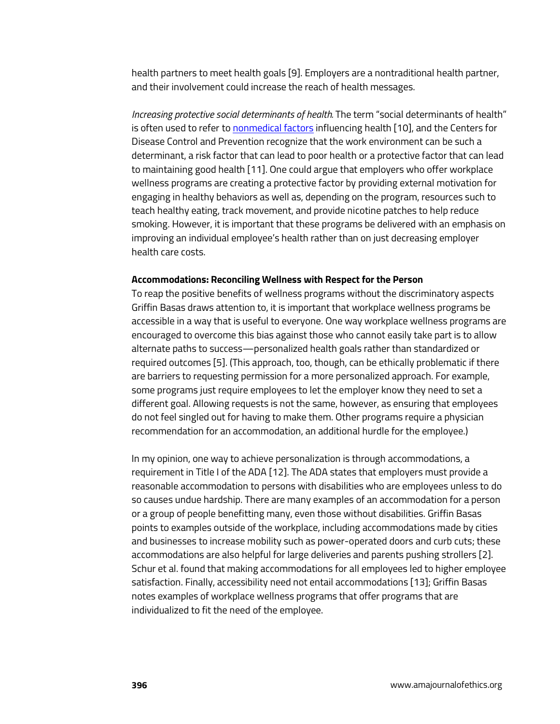health partners to meet health goals [9]. Employers are a nontraditional health partner, and their involvement could increase the reach of health messages.

*Increasing protective social determinants of health.* The term "social determinants of health" is often used to refer to [nonmedical factors](http://journalofethics.ama-assn.org/2013/04/mhst2-1304.html) influencing health [10], and the Centers for Disease Control and Prevention recognize that the work environment can be such a determinant, a risk factor that can lead to poor health or a protective factor that can lead to maintaining good health [11]. One could argue that employers who offer workplace wellness programs are creating a protective factor by providing external motivation for engaging in healthy behaviors as well as, depending on the program, resources such to teach healthy eating, track movement, and provide nicotine patches to help reduce smoking. However, it is important that these programs be delivered with an emphasis on improving an individual employee's health rather than on just decreasing employer health care costs.

#### **Accommodations: Reconciling Wellness with Respect for the Person**

To reap the positive benefits of wellness programs without the discriminatory aspects Griffin Basas draws attention to, it is important that workplace wellness programs be accessible in a way that is useful to everyone. One way workplace wellness programs are encouraged to overcome this bias against those who cannot easily take part is to allow alternate paths to success—personalized health goals rather than standardized or required outcomes [5]. (This approach, too, though, can be ethically problematic if there are barriers to requesting permission for a more personalized approach. For example, some programs just require employees to let the employer know they need to set a different goal. Allowing requests is not the same, however, as ensuring that employees do not feel singled out for having to make them. Other programs require a physician recommendation for an accommodation, an additional hurdle for the employee.)

In my opinion, one way to achieve personalization is through accommodations, a requirement in Title I of the ADA [12]. The ADA states that employers must provide a reasonable accommodation to persons with disabilities who are employees unless to do so causes undue hardship. There are many examples of an accommodation for a person or a group of people benefitting many, even those without disabilities. Griffin Basas points to examples outside of the workplace, including accommodations made by cities and businesses to increase mobility such as power-operated doors and curb cuts; these accommodations are also helpful for large deliveries and parents pushing strollers [2]. Schur et al. found that making accommodations for all employees led to higher employee satisfaction. Finally, accessibility need not entail accommodations [13]; Griffin Basas notes examples of workplace wellness programs that offer programs that are individualized to fit the need of the employee.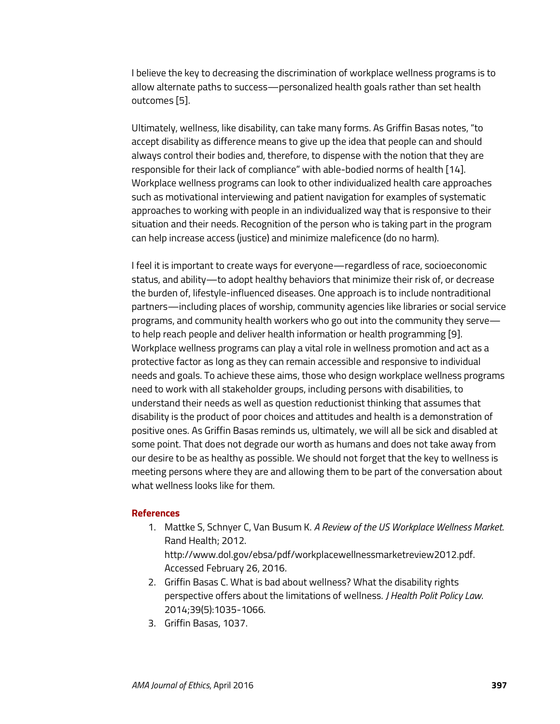I believe the key to decreasing the discrimination of workplace wellness programs is to allow alternate paths to success—personalized health goals rather than set health outcomes [5].

Ultimately, wellness, like disability, can take many forms. As Griffin Basas notes, "to accept disability as difference means to give up the idea that people can and should always control their bodies and, therefore, to dispense with the notion that they are responsible for their lack of compliance" with able-bodied norms of health [14]. Workplace wellness programs can look to other individualized health care approaches such as motivational interviewing and patient navigation for examples of systematic approaches to working with people in an individualized way that is responsive to their situation and their needs. Recognition of the person who is taking part in the program can help increase access (justice) and minimize maleficence (do no harm).

I feel it is important to create ways for everyone—regardless of race, socioeconomic status, and ability—to adopt healthy behaviors that minimize their risk of, or decrease the burden of, lifestyle-influenced diseases. One approach is to include nontraditional partners—including places of worship, community agencies like libraries or social service programs, and community health workers who go out into the community they serve to help reach people and deliver health information or health programming [9]. Workplace wellness programs can play a vital role in wellness promotion and act as a protective factor as long as they can remain accessible and responsive to individual needs and goals. To achieve these aims, those who design workplace wellness programs need to work with all stakeholder groups, including persons with disabilities, to understand their needs as well as question reductionist thinking that assumes that disability is the product of poor choices and attitudes and health is a demonstration of positive ones. As Griffin Basas reminds us, ultimately, we will all be sick and disabled at some point. That does not degrade our worth as humans and does not take away from our desire to be as healthy as possible. We should not forget that the key to wellness is meeting persons where they are and allowing them to be part of the conversation about what wellness looks like for them.

#### **References**

1. Mattke S, Schnyer C, Van Busum K. *A Review of the US Workplace Wellness Market*. Rand Health; 2012.

http://www.dol.gov/ebsa/pdf/workplacewellnessmarketreview2012.pdf. Accessed February 26, 2016.

- 2. Griffin Basas C. What is bad about wellness? What the disability rights perspective offers about the limitations of wellness. *J Health Polit Policy Law*. 2014;39(5):1035-1066.
- 3. Griffin Basas, 1037.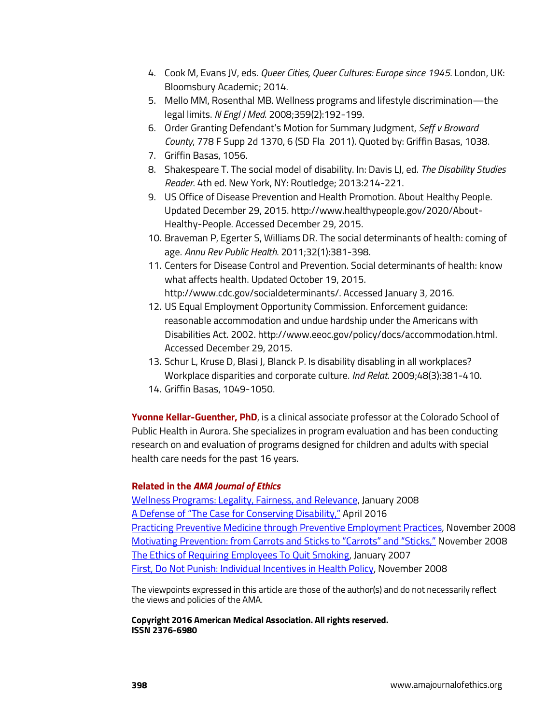- 4. Cook M, Evans JV, eds. *Queer Cities, Queer Cultures: Europe since 1945*. London, UK: Bloomsbury Academic; 2014.
- 5. Mello MM, Rosenthal MB. Wellness programs and lifestyle discrimination—the legal limits. *N Engl J Med*. 2008;359(2):192-199.
- 6. Order Granting Defendant's Motion for Summary Judgment, *Seff v Broward County*, 778 F Supp 2d 1370, 6 (SD Fla 2011). Quoted by: Griffin Basas, 1038.
- 7. Griffin Basas, 1056.
- 8. Shakespeare T. The social model of disability. In: Davis LJ, ed. *The Disability Studies Reader*. 4th ed. New York, NY: Routledge; 2013:214-221.
- 9. US Office of Disease Prevention and Health Promotion. About Healthy People. Updated December 29, 2015. http://www.healthypeople.gov/2020/About-Healthy-People. Accessed December 29, 2015.
- 10. Braveman P, Egerter S, Williams DR. The social determinants of health: coming of age. *Annu Rev Public Health*. 2011;32(1):381-398.
- 11. Centers for Disease Control and Prevention. Social determinants of health: know what affects health. Updated October 19, 2015. http://www.cdc.gov/socialdeterminants/. Accessed January 3, 2016.
- 12. US Equal Employment Opportunity Commission. Enforcement guidance: reasonable accommodation and undue hardship under the Americans with Disabilities Act. 2002. http://www.eeoc.gov/policy/docs/accommodation.html. Accessed December 29, 2015.
- 13. Schur L, Kruse D, Blasi J, Blanck P. Is disability disabling in all workplaces? Workplace disparities and corporate culture. *Ind Relat*. 2009;48(3):381-410.
- 14. Griffin Basas, 1049-1050.

Yvonne Kellar-Guenther, PhD, is a clinical associate professor at the Colorado School of Public Health in Aurora. She specializes in program evaluation and has been conducting research on and evaluation of programs designed for children and adults with special health care needs for the past 16 years.

#### **Related in the** *AMA Journal of Ethics*

[Wellness Programs: Legality, Fairness, and Relevance,](http://journalofethics.ama-assn.org/2008/01/pfor1-0801.html) January 2008 [A Defense of "The Case for Conserving Disability,"](http://journalofethics.ama-assn.org/2016/04/nlit2-1604.html) April 2016 [Practicing Preventive Medicine through Preventive Employment Practices,](http://journalofethics.ama-assn.org/2008/11/hlaw1-0811.html) November 2008 [Motivating Prevention: from Carrots and Sticks to "Carrots" and "Sticks,"](http://journalofethics.ama-assn.org/2008/11/oped1-0811.html) November 2008 [The Ethics of Requiring Employees To Quit Smoking,](http://journalofethics.ama-assn.org/2007/01/msoc1-0701.html) January 2007 [First, Do Not Punish: Individual Incentives in Health Policy,](http://journalofethics.ama-assn.org/2008/11/conl1-0811.html) November 2008

The viewpoints expressed in this article are those of the author(s) and do not necessarily reflect the views and policies of the AMA.

**Copyright 2016 American Medical Association. All rights reserved. ISSN 2376-6980**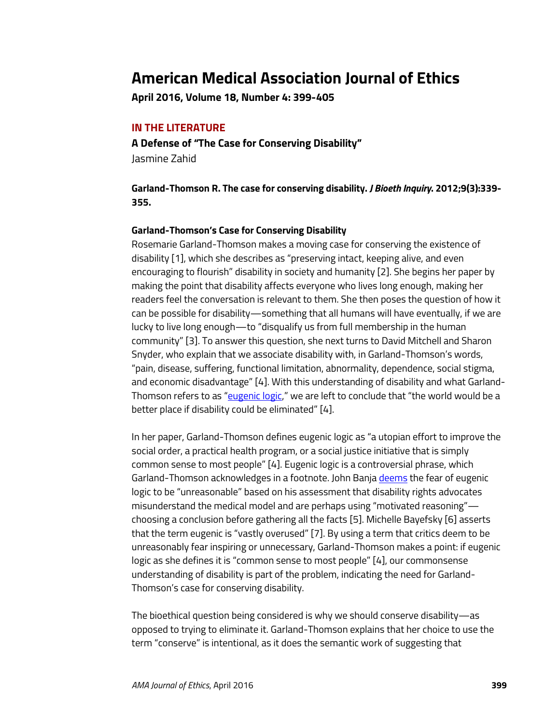# **American Medical Association Journal of Ethics**

**April 2016, Volume 18, Number 4: 399-405**

# **IN THE LITERATURE**

**A Defense of "The Case for Conserving Disability"** Jasmine Zahid

# **Garland-Thomson R. The case for conserving disability.** *J Bioeth Inquiry***. 2012;9(3):339- 355.**

#### **Garland-Thomson's Case for Conserving Disability**

Rosemarie Garland-Thomson makes a moving case for conserving the existence of disability [1], which she describes as "preserving intact, keeping alive, and even encouraging to flourish" disability in society and humanity [2]. She begins her paper by making the point that disability affects everyone who lives long enough, making her readers feel the conversation is relevant to them. She then poses the question of how it can be possible for disability—something that all humans will have eventually, if we are lucky to live long enough—to "disqualify us from full membership in the human community" [3]. To answer this question, she next turns to David Mitchell and Sharon Snyder, who explain that we associate disability with, in Garland-Thomson's words, "pain, disease, suffering, functional limitation, abnormality, dependence, social stigma, and economic disadvantage" [4]. With this understanding of disability and what Garland-Thomson refers to as ["eugenic logic,"](http://journalofethics.ama-assn.org/2016/04/stas1-1604.html) we are left to conclude that "the world would be a better place if disability could be eliminated" [4].

In her paper, Garland-Thomson defines eugenic logic as "a utopian effort to improve the social order, a practical health program, or a social justice initiative that is simply common sense to most people" [4]. Eugenic logic is a controversial phrase, which Garland-Thomson acknowledges in a footnote. John Banj[a deems](http://journalofethics.ama-assn.org/2015/06/msoc1-1506.html) the fear of eugenic logic to be "unreasonable" based on his assessment that disability rights advocates misunderstand the medical model and are perhaps using "motivated reasoning" choosing a conclusion before gathering all the facts [5]. Michelle Bayefsky [6] asserts that the term eugenic is "vastly overused" [7]. By using a term that critics deem to be unreasonably fear inspiring or unnecessary, Garland-Thomson makes a point: if eugenic logic as she defines it is "common sense to most people" [4], our commonsense understanding of disability is part of the problem, indicating the need for Garland-Thomson's case for conserving disability.

The bioethical question being considered is why we should conserve disability—as opposed to trying to eliminate it. Garland-Thomson explains that her choice to use the term "conserve" is intentional, as it does the semantic work of suggesting that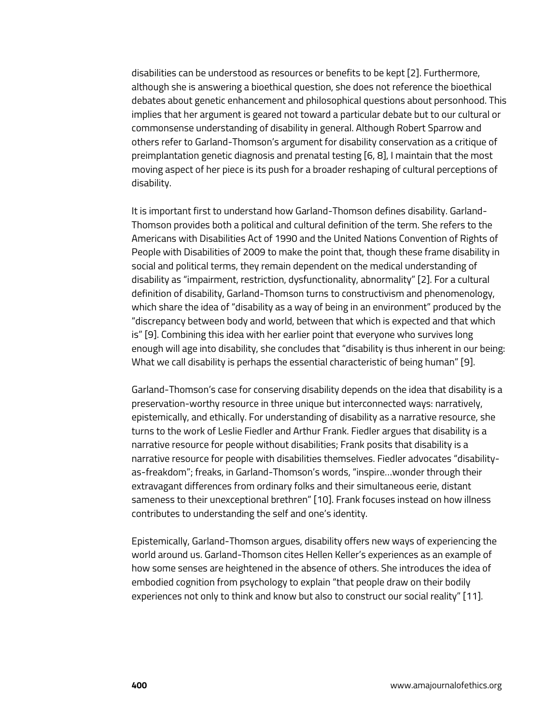disabilities can be understood as resources or benefits to be kept [2]. Furthermore, although she is answering a bioethical question, she does not reference the bioethical debates about genetic enhancement and philosophical questions about personhood. This implies that her argument is geared not toward a particular debate but to our cultural or commonsense understanding of disability in general. Although Robert Sparrow and others refer to Garland-Thomson's argument for disability conservation as a critique of preimplantation genetic diagnosis and prenatal testing [6, 8], I maintain that the most moving aspect of her piece is its push for a broader reshaping of cultural perceptions of disability.

It is important first to understand how Garland-Thomson defines disability. Garland-Thomson provides both a political and cultural definition of the term. She refers to the Americans with Disabilities Act of 1990 and the United Nations Convention of Rights of People with Disabilities of 2009 to make the point that, though these frame disability in social and political terms, they remain dependent on the medical understanding of disability as "impairment, restriction, dysfunctionality, abnormality" [2]. For a cultural definition of disability, Garland-Thomson turns to constructivism and phenomenology, which share the idea of "disability as a way of being in an environment" produced by the "discrepancy between body and world, between that which is expected and that which is" [9]. Combining this idea with her earlier point that everyone who survives long enough will age into disability, she concludes that "disability is thus inherent in our being: What we call disability is perhaps the essential characteristic of being human" [9].

Garland-Thomson's case for conserving disability depends on the idea that disability is a preservation-worthy resource in three unique but interconnected ways: narratively, epistemically, and ethically. For understanding of disability as a narrative resource, she turns to the work of Leslie Fiedler and Arthur Frank. Fiedler argues that disability is a narrative resource for people without disabilities; Frank posits that disability is a narrative resource for people with disabilities themselves. Fiedler advocates "disabilityas-freakdom"; freaks, in Garland-Thomson's words, "inspire…wonder through their extravagant differences from ordinary folks and their simultaneous eerie, distant sameness to their unexceptional brethren" [10]. Frank focuses instead on how illness contributes to understanding the self and one's identity.

Epistemically, Garland-Thomson argues, disability offers new ways of experiencing the world around us. Garland-Thomson cites Hellen Keller's experiences as an example of how some senses are heightened in the absence of others. She introduces the idea of embodied cognition from psychology to explain "that people draw on their bodily experiences not only to think and know but also to construct our social reality" [11].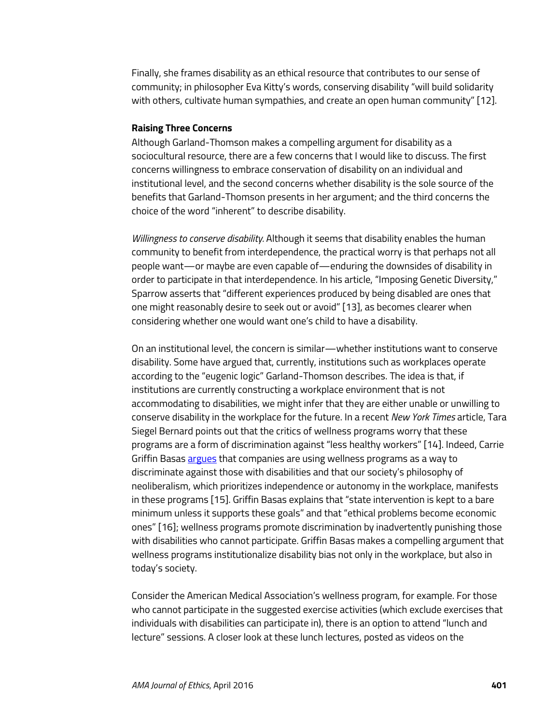Finally, she frames disability as an ethical resource that contributes to our sense of community; in philosopher Eva Kitty's words, conserving disability "will build solidarity with others, cultivate human sympathies, and create an open human community" [12].

#### **Raising Three Concerns**

Although Garland-Thomson makes a compelling argument for disability as a sociocultural resource, there are a few concerns that I would like to discuss. The first concerns willingness to embrace conservation of disability on an individual and institutional level, and the second concerns whether disability is the sole source of the benefits that Garland-Thomson presents in her argument; and the third concerns the choice of the word "inherent" to describe disability.

*Willingness to conserve disability.* Although it seems that disability enables the human community to benefit from interdependence, the practical worry is that perhaps not all people want—or maybe are even capable of—enduring the downsides of disability in order to participate in that interdependence. In his article, "Imposing Genetic Diversity," Sparrow asserts that "different experiences produced by being disabled are ones that one might reasonably desire to seek out or avoid" [13], as becomes clearer when considering whether one would want one's child to have a disability.

On an institutional level, the concern is similar—whether institutions want to conserve disability. Some have argued that, currently, institutions such as workplaces operate according to the "eugenic logic" Garland-Thomson describes. The idea is that, if institutions are currently constructing a workplace environment that is not accommodating to disabilities, we might infer that they are either unable or unwilling to conserve disability in the workplace for the future. In a recent *New York Times* article, Tara Siegel Bernard points out that the critics of wellness programs worry that these programs are a form of discrimination against "less healthy workers" [14]. Indeed, Carrie Griffin Basa[s argues](http://journalofethics.ama-assn.org/2016/04/nlit1-1604.html) that companies are using wellness programs as a way to discriminate against those with disabilities and that our society's philosophy of neoliberalism, which prioritizes independence or autonomy in the workplace, manifests in these programs [15]. Griffin Basas explains that "state intervention is kept to a bare minimum unless it supports these goals" and that "ethical problems become economic ones" [16]; wellness programs promote discrimination by inadvertently punishing those with disabilities who cannot participate. Griffin Basas makes a compelling argument that wellness programs institutionalize disability bias not only in the workplace, but also in today's society.

Consider the American Medical Association's wellness program, for example. For those who cannot participate in the suggested exercise activities (which exclude exercises that individuals with disabilities can participate in), there is an option to attend "lunch and lecture" sessions. A closer look at these lunch lectures, posted as videos on the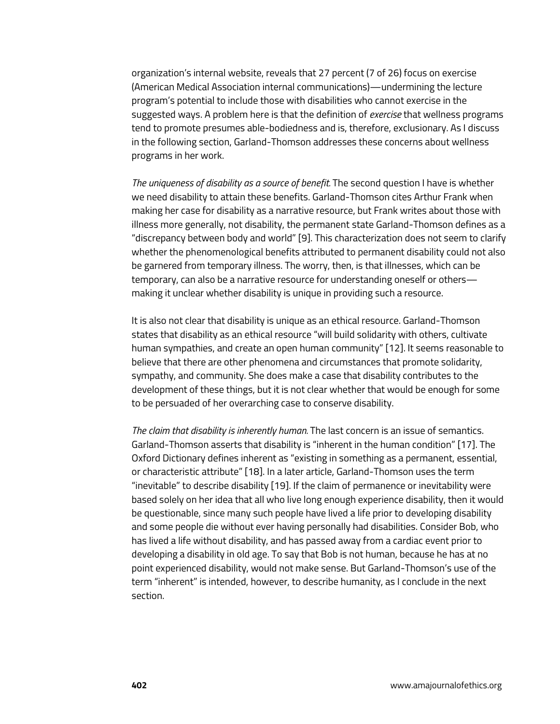organization's internal website, reveals that 27 percent (7 of 26) focus on exercise (American Medical Association internal communications)—undermining the lecture program's potential to include those with disabilities who cannot exercise in the suggested ways. A problem here is that the definition of *exercise* that wellness programs tend to promote presumes able-bodiedness and is, therefore, exclusionary. As I discuss in the following section, Garland-Thomson addresses these concerns about wellness programs in her work.

*The uniqueness of disability as a source of benefit.* The second question I have is whether we need disability to attain these benefits. Garland-Thomson cites Arthur Frank when making her case for disability as a narrative resource, but Frank writes about those with illness more generally, not disability, the permanent state Garland-Thomson defines as a "discrepancy between body and world" [9]. This characterization does not seem to clarify whether the phenomenological benefits attributed to permanent disability could not also be garnered from temporary illness. The worry, then, is that illnesses, which can be temporary, can also be a narrative resource for understanding oneself or others making it unclear whether disability is unique in providing such a resource.

It is also not clear that disability is unique as an ethical resource. Garland-Thomson states that disability as an ethical resource "will build solidarity with others, cultivate human sympathies, and create an open human community" [12]. It seems reasonable to believe that there are other phenomena and circumstances that promote solidarity, sympathy, and community. She does make a case that disability contributes to the development of these things, but it is not clear whether that would be enough for some to be persuaded of her overarching case to conserve disability.

*The claim that disability is inherently human.* The last concern is an issue of semantics. Garland-Thomson asserts that disability is "inherent in the human condition" [17]. The Oxford Dictionary defines inherent as "existing in something as a permanent, essential, or characteristic attribute" [18]. In a later article, Garland-Thomson uses the term "inevitable" to describe disability [19]. If the claim of permanence or inevitability were based solely on her idea that all who live long enough experience disability, then it would be questionable, since many such people have lived a life prior to developing disability and some people die without ever having personally had disabilities. Consider Bob, who has lived a life without disability, and has passed away from a cardiac event prior to developing a disability in old age. To say that Bob is not human, because he has at no point experienced disability, would not make sense. But Garland-Thomson's use of the term "inherent" is intended, however, to describe humanity, as I conclude in the next section.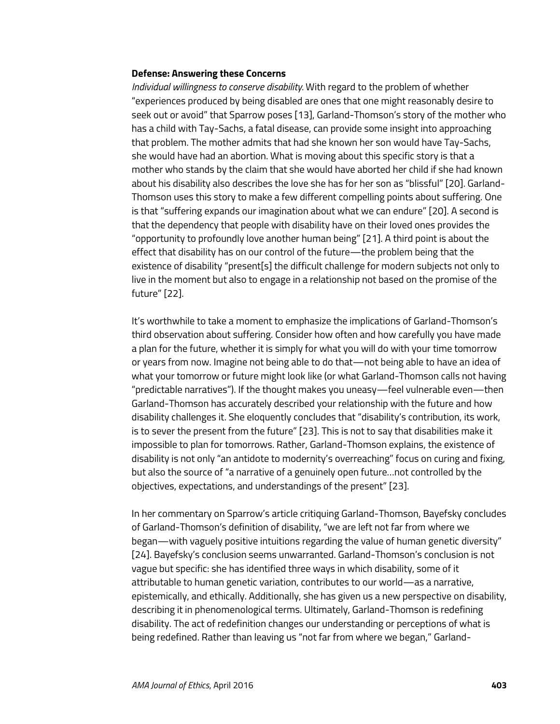#### **Defense: Answering these Concerns**

*Individual willingness to conserve disability.* With regard to the problem of whether "experiences produced by being disabled are ones that one might reasonably desire to seek out or avoid" that Sparrow poses [13], Garland-Thomson's story of the mother who has a child with Tay-Sachs, a fatal disease, can provide some insight into approaching that problem. The mother admits that had she known her son would have Tay-Sachs, she would have had an abortion. What is moving about this specific story is that a mother who stands by the claim that she would have aborted her child if she had known about his disability also describes the love she has for her son as "blissful" [20]. Garland-Thomson uses this story to make a few different compelling points about suffering. One is that "suffering expands our imagination about what we can endure" [20]. A second is that the dependency that people with disability have on their loved ones provides the "opportunity to profoundly love another human being" [21]. A third point is about the effect that disability has on our control of the future—the problem being that the existence of disability "present[s] the difficult challenge for modern subjects not only to live in the moment but also to engage in a relationship not based on the promise of the future" [22].

It's worthwhile to take a moment to emphasize the implications of Garland-Thomson's third observation about suffering. Consider how often and how carefully you have made a plan for the future, whether it is simply for what you will do with your time tomorrow or years from now. Imagine not being able to do that—not being able to have an idea of what your tomorrow or future might look like (or what Garland-Thomson calls not having "predictable narratives"). If the thought makes you uneasy—feel vulnerable even—then Garland-Thomson has accurately described your relationship with the future and how disability challenges it. She eloquently concludes that "disability's contribution, its work, is to sever the present from the future" [23]. This is not to say that disabilities make it impossible to plan for tomorrows. Rather, Garland-Thomson explains, the existence of disability is not only "an antidote to modernity's overreaching" focus on curing and fixing, but also the source of "a narrative of a genuinely open future…not controlled by the objectives, expectations, and understandings of the present" [23].

In her commentary on Sparrow's article critiquing Garland-Thomson, Bayefsky concludes of Garland-Thomson's definition of disability, "we are left not far from where we began—with vaguely positive intuitions regarding the value of human genetic diversity" [24]. Bayefsky's conclusion seems unwarranted. Garland-Thomson's conclusion is not vague but specific: she has identified three ways in which disability, some of it attributable to human genetic variation, contributes to our world—as a narrative, epistemically, and ethically. Additionally, she has given us a new perspective on disability, describing it in phenomenological terms. Ultimately, Garland-Thomson is redefining disability. The act of redefinition changes our understanding or perceptions of what is being redefined. Rather than leaving us "not far from where we began," Garland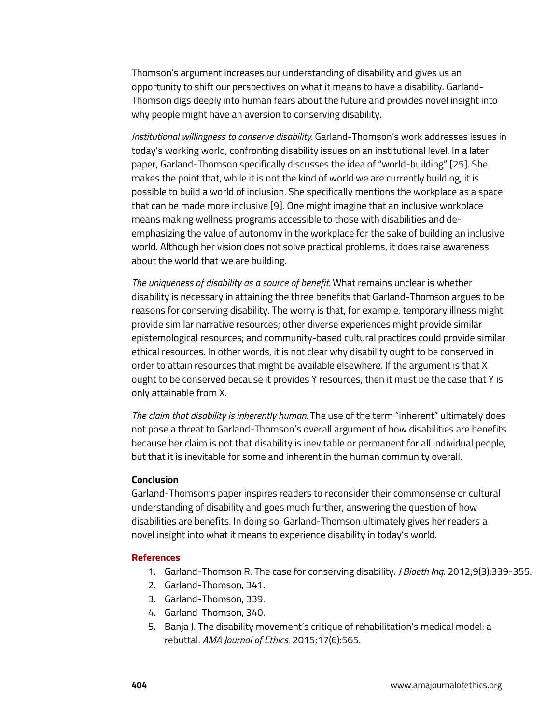Thomson's argument increases our understanding of disability and gives us an opportunity to shift our perspectives on what it means to have a disability. Garland-Thomson digs deeply into human fears about the future and provides novel insight into why people might have an aversion to conserving disability.

*Institutional willingness to conserve disability.* Garland-Thomson's work addresses issues in today's working world, confronting disability issues on an institutional level. In a later paper, Garland-Thomson specifically discusses the idea of "world-building" [25]. She makes the point that, while it is not the kind of world we are currently building, it is possible to build a world of inclusion. She specifically mentions the workplace as a space that can be made more inclusive [9]. One might imagine that an inclusive workplace means making wellness programs accessible to those with disabilities and deemphasizing the value of autonomy in the workplace for the sake of building an inclusive world. Although her vision does not solve practical problems, it does raise awareness about the world that we are building.

*The uniqueness of disability as a source of benefit.* What remains unclear is whether disability is necessary in attaining the three benefits that Garland-Thomson argues to be reasons for conserving disability. The worry is that, for example, temporary illness might provide similar narrative resources; other diverse experiences might provide similar epistemological resources; and community-based cultural practices could provide similar ethical resources. In other words, it is not clear why disability ought to be conserved in order to attain resources that might be available elsewhere. If the argument is that X ought to be conserved because it provides Y resources, then it must be the case that Y is only attainable from X.

*The claim that disability is inherently human.* The use of the term "inherent" ultimately does not pose a threat to Garland-Thomson's overall argument of how disabilities are benefits because her claim is not that disability is inevitable or permanent for all individual people, but that it is inevitable for some and inherent in the human community overall.

#### **Conclusion**

Garland-Thomson's paper inspires readers to reconsider their commonsense or cultural understanding of disability and goes much further, answering the question of how disabilities are benefits. In doing so, Garland-Thomson ultimately gives her readers a novel insight into what it means to experience disability in today's world.

#### **References**

- 1. Garland-Thomson R. The case for conserving disability. *J Bioeth Inq*. 2012;9(3):339-355.
- 2. Garland-Thomson, 341.
- 3. Garland-Thomson, 339.
- 4. Garland-Thomson, 340.
- 5. Banja J. The disability movement's critique of rehabilitation's medical model: a rebuttal. *AMA Journal of Ethics*. 2015;17(6):565.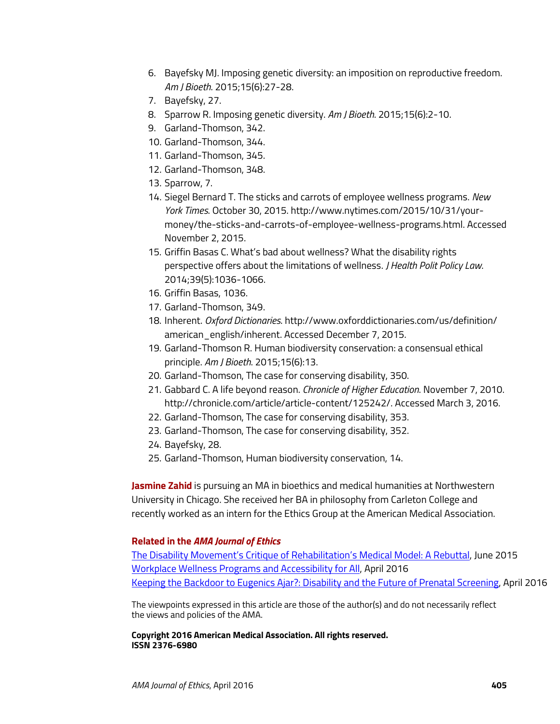- 6. Bayefsky MJ. Imposing genetic diversity: an imposition on reproductive freedom. *Am J Bioeth*. 2015;15(6):27-28.
- 7. Bayefsky, 27.
- 8. Sparrow R. Imposing genetic diversity. *Am J Bioeth*. 2015;15(6):2-10.
- 9. Garland-Thomson, 342.
- 10. Garland-Thomson, 344.
- 11. Garland-Thomson, 345.
- 12. Garland-Thomson, 348.
- 13. Sparrow, 7.
- 14. Siegel Bernard T. The sticks and carrots of employee wellness programs. *New York Times*. October 30, 2015. http://www.nytimes.com/2015/10/31/yourmoney/the-sticks-and-carrots-of-employee-wellness-programs.html. Accessed November 2, 2015.
- 15. Griffin Basas C. What's bad about wellness? What the disability rights perspective offers about the limitations of wellness. *J Health Polit Policy Law*. 2014;39(5):1036-1066.
- 16. Griffin Basas, 1036.
- 17. Garland-Thomson, 349.
- 18. Inherent. *Oxford Dictionaries*. http://www.oxforddictionaries.com/us/definition/ american\_english/inherent. Accessed December 7, 2015.
- 19. Garland-Thomson R. Human biodiversity conservation: a consensual ethical principle. *Am J Bioeth*. 2015;15(6):13.
- 20. Garland-Thomson, The case for conserving disability, 350.
- 21. Gabbard C. A life beyond reason. *Chronicle of Higher Education*. November 7, 2010. http://chronicle.com/article/article-content/125242/. Accessed March 3, 2016.
- 22. Garland-Thomson, The case for conserving disability, 353.
- 23. Garland-Thomson, The case for conserving disability, 352.
- 24. Bayefsky, 28.
- 25. Garland-Thomson, Human biodiversity conservation, 14.

**Jasmine Zahid** is pursuing an MA in bioethics and medical humanities at Northwestern University in Chicago. She received her BA in philosophy from Carleton College and recently worked as an intern for the Ethics Group at the American Medical Association.

#### **Related in the** *AMA Journal of Ethics*

[The Disability Movement's Critique of Rehabilitation's Medical Model: A Rebuttal,](http://journalofethics.ama-assn.org/2015/06/msoc1-1506.html) June 2015 [Workplace Wellness Programs and Accessibility for All,](http://journalofethics.ama-assn.org/2016/04/nlit1-1604.html) April 2016 [Keeping the Backdoor to Eugenics Ajar?: Disability and the Future of Prenatal Screening,](http://journalofethics.ama-assn.org/2016/04/stas1-1604.html) April 2016

The viewpoints expressed in this article are those of the author(s) and do not necessarily reflect the views and policies of the AMA.

#### **Copyright 2016 American Medical Association. All rights reserved. ISSN 2376-6980**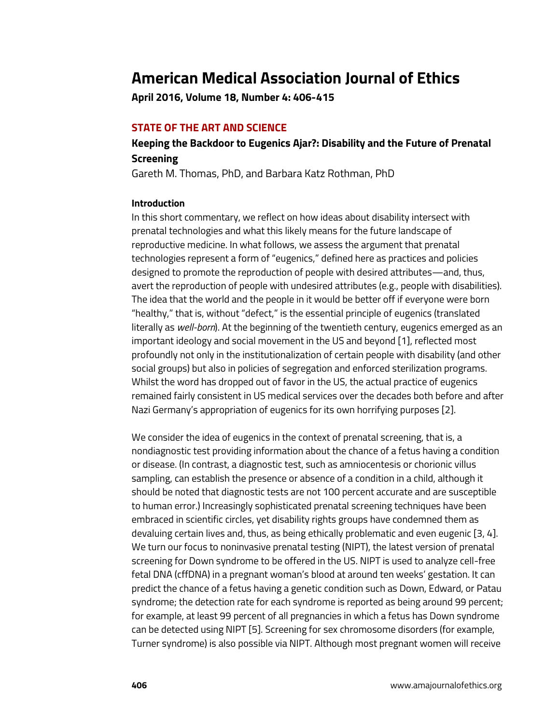# **American Medical Association Journal of Ethics**

**April 2016, Volume 18, Number 4: 406-415** 

### **STATE OF THE ART AND SCIENCE**

# **Keeping the Backdoor to Eugenics Ajar?: Disability and the Future of Prenatal Screening**

Gareth M. Thomas, PhD, and Barbara Katz Rothman, PhD

#### **Introduction**

In this short commentary, we reflect on how ideas about disability intersect with prenatal technologies and what this likely means for the future landscape of reproductive medicine. In what follows, we assess the argument that prenatal technologies represent a form of "eugenics," defined here as practices and policies designed to promote the reproduction of people with desired attributes—and, thus, avert the reproduction of people with undesired attributes (e.g., people with disabilities). The idea that the world and the people in it would be better off if everyone were born "healthy," that is, without "defect," is the essential principle of eugenics (translated literally as *well-born*). At the beginning of the twentieth century, eugenics emerged as an important ideology and social movement in the US and beyond [1], reflected most profoundly not only in the institutionalization of certain people with disability (and other social groups) but also in policies of segregation and enforced sterilization programs. Whilst the word has dropped out of favor in the US, the actual practice of eugenics remained fairly consistent in US medical services over the decades both before and after Nazi Germany's appropriation of eugenics for its own horrifying purposes [2].

We consider the idea of eugenics in the context of prenatal screening, that is, a nondiagnostic test providing information about the chance of a fetus having a condition or disease. (In contrast, a diagnostic test, such as amniocentesis or chorionic villus sampling, can establish the presence or absence of a condition in a child, although it should be noted that diagnostic tests are not 100 percent accurate and are susceptible to human error.) Increasingly sophisticated prenatal screening techniques have been embraced in scientific circles, yet disability rights groups have condemned them as devaluing certain lives and, thus, as being ethically problematic and even eugenic [3, 4]. We turn our focus to noninvasive prenatal testing (NIPT), the latest version of prenatal screening for Down syndrome to be offered in the US. NIPT is used to analyze cell-free fetal DNA (cffDNA) in a pregnant woman's blood at around ten weeks' gestation. It can predict the chance of a fetus having a genetic condition such as Down, Edward, or Patau syndrome; the detection rate for each syndrome is reported as being around 99 percent; for example, at least 99 percent of all pregnancies in which a fetus has Down syndrome can be detected using NIPT [5]. Screening for sex chromosome disorders (for example, Turner syndrome) is also possible via NIPT. Although most pregnant women will receive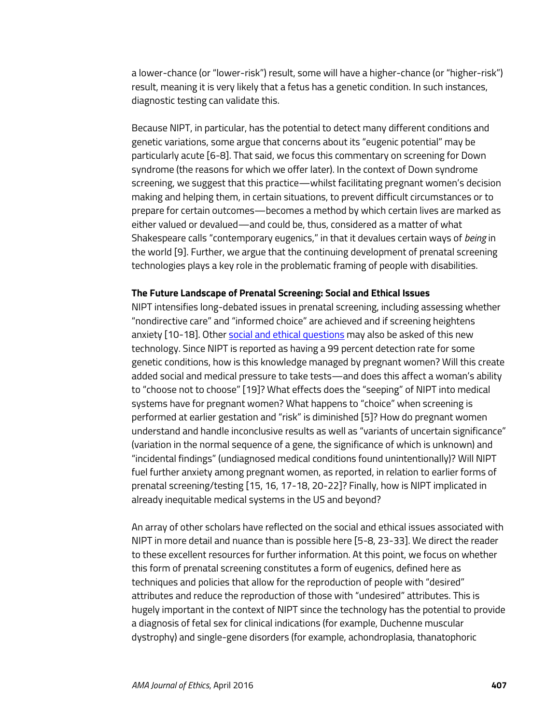a lower-chance (or "lower-risk") result, some will have a higher-chance (or "higher-risk") result, meaning it is very likely that a fetus has a genetic condition. In such instances, diagnostic testing can validate this.

Because NIPT, in particular, has the potential to detect many different conditions and genetic variations, some argue that concerns about its "eugenic potential" may be particularly acute [6-8]. That said, we focus this commentary on screening for Down syndrome (the reasons for which we offer later). In the context of Down syndrome screening, we suggest that this practice—whilst facilitating pregnant women's decision making and helping them, in certain situations, to prevent difficult circumstances or to prepare for certain outcomes—becomes a method by which certain lives are marked as either valued or devalued—and could be, thus, considered as a matter of what Shakespeare calls "contemporary eugenics," in that it devalues certain ways of *being* in the world [9]. Further, we argue that the continuing development of prenatal screening technologies plays a key role in the problematic framing of people with disabilities.

#### **The Future Landscape of Prenatal Screening: Social and Ethical Issues**

NIPT intensifies long-debated issues in prenatal screening, including assessing whether "nondirective care" and "informed choice" are achieved and if screening heightens anxiety [10-18]. Other [social and ethical questions](http://journalofethics.ama-assn.org/2003/05/pfor1-0305.html) may also be asked of this new technology. Since NIPT is reported as having a 99 percent detection rate for some genetic conditions, how is this knowledge managed by pregnant women? Will this create added social and medical pressure to take tests—and does this affect a woman's ability to "choose not to choose" [19]? What effects does the "seeping" of NIPT into medical systems have for pregnant women? What happens to "choice" when screening is performed at earlier gestation and "risk" is diminished [5]? How do pregnant women understand and handle inconclusive results as well as "variants of uncertain significance" (variation in the normal sequence of a gene, the significance of which is unknown) and "incidental findings" (undiagnosed medical conditions found unintentionally)? Will NIPT fuel further anxiety among pregnant women, as reported, in relation to earlier forms of prenatal screening/testing [15, 16, 17-18, 20-22]? Finally, how is NIPT implicated in already inequitable medical systems in the US and beyond?

An array of other scholars have reflected on the social and ethical issues associated with NIPT in more detail and nuance than is possible here [5-8, 23-33]. We direct the reader to these excellent resources for further information. At this point, we focus on whether this form of prenatal screening constitutes a form of eugenics, defined here as techniques and policies that allow for the reproduction of people with "desired" attributes and reduce the reproduction of those with "undesired" attributes. This is hugely important in the context of NIPT since the technology has the potential to provide a diagnosis of fetal sex for clinical indications (for example, Duchenne muscular dystrophy) and single-gene disorders (for example, achondroplasia, thanatophoric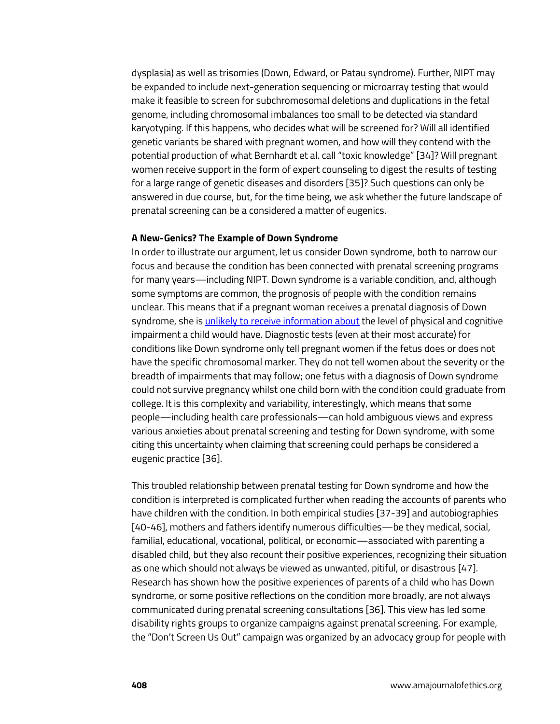dysplasia) as well as trisomies (Down, Edward, or Patau syndrome). Further, NIPT may be expanded to include next-generation sequencing or microarray testing that would make it feasible to screen for subchromosomal deletions and duplications in the fetal genome, including chromosomal imbalances too small to be detected via standard karyotyping. If this happens, who decides what will be screened for? Will all identified genetic variants be shared with pregnant women, and how will they contend with the potential production of what Bernhardt et al. call "toxic knowledge" [34]? Will pregnant women receive support in the form of expert counseling to digest the results of testing for a large range of genetic diseases and disorders [35]? Such questions can only be answered in due course, but, for the time being, we ask whether the future landscape of prenatal screening can be a considered a matter of eugenics.

#### **A New-Genics? The Example of Down Syndrome**

In order to illustrate our argument, let us consider Down syndrome, both to narrow our focus and because the condition has been connected with prenatal screening programs for many years—including NIPT. Down syndrome is a variable condition, and, although some symptoms are common, the prognosis of people with the condition remains unclear. This means that if a pregnant woman receives a prenatal diagnosis of Down syndrome, she is [unlikely to receive information about](http://journalofethics.ama-assn.org/2016/04/ecas1-1604.html) the level of physical and cognitive impairment a child would have. Diagnostic tests (even at their most accurate) for conditions like Down syndrome only tell pregnant women if the fetus does or does not have the specific chromosomal marker. They do not tell women about the severity or the breadth of impairments that may follow; one fetus with a diagnosis of Down syndrome could not survive pregnancy whilst one child born with the condition could graduate from college. It is this complexity and variability, interestingly, which means that some people—including health care professionals—can hold ambiguous views and express various anxieties about prenatal screening and testing for Down syndrome, with some citing this uncertainty when claiming that screening could perhaps be considered a eugenic practice [36].

This troubled relationship between prenatal testing for Down syndrome and how the condition is interpreted is complicated further when reading the accounts of parents who have children with the condition. In both empirical studies [37-39] and autobiographies [40-46], mothers and fathers identify numerous difficulties—be they medical, social, familial, educational, vocational, political, or economic—associated with parenting a disabled child, but they also recount their positive experiences, recognizing their situation as one which should not always be viewed as unwanted, pitiful, or disastrous [47]. Research has shown how the positive experiences of parents of a child who has Down syndrome, or some positive reflections on the condition more broadly, are not always communicated during prenatal screening consultations [36]. This view has led some disability rights groups to organize campaigns against prenatal screening. For example, the "Don't Screen Us Out" campaign was organized by an advocacy group for people with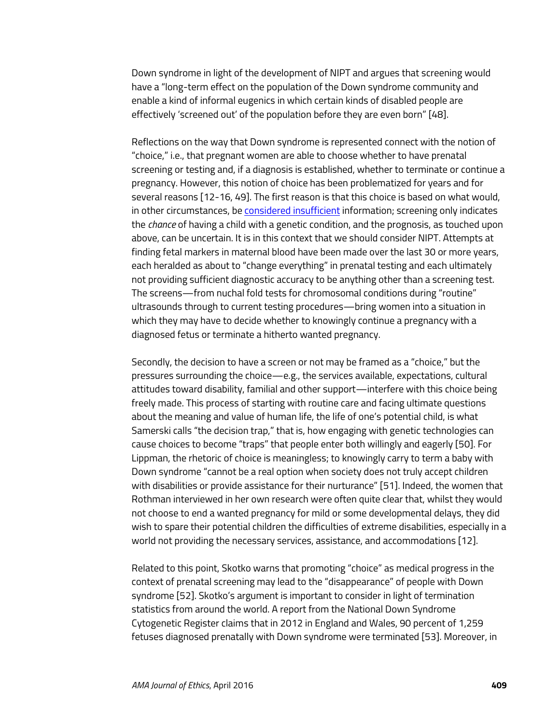Down syndrome in light of the development of NIPT and argues that screening would have a "long-term effect on the population of the Down syndrome community and enable a kind of informal eugenics in which certain kinds of disabled people are effectively 'screened out' of the population before they are even born" [48].

Reflections on the way that Down syndrome is represented connect with the notion of "choice," i.e., that pregnant women are able to choose whether to have prenatal screening or testing and, if a diagnosis is established, whether to terminate or continue a pregnancy. However, this notion of choice has been problematized for years and for several reasons [12-16, 49]. The first reason is that this choice is based on what would, in other circumstances, b[e considered insufficient](http://journalofethics.ama-assn.org/2009/09/oped1-0909.html) information; screening only indicates the *chance* of having a child with a genetic condition, and the prognosis, as touched upon above, can be uncertain. It is in this context that we should consider NIPT. Attempts at finding fetal markers in maternal blood have been made over the last 30 or more years, each heralded as about to "change everything" in prenatal testing and each ultimately not providing sufficient diagnostic accuracy to be anything other than a screening test. The screens—from nuchal fold tests for chromosomal conditions during "routine" ultrasounds through to current testing procedures—bring women into a situation in which they may have to decide whether to knowingly continue a pregnancy with a diagnosed fetus or terminate a hitherto wanted pregnancy.

Secondly, the decision to have a screen or not may be framed as a "choice," but the pressures surrounding the choice—e.g., the services available, expectations, cultural attitudes toward disability, familial and other support—interfere with this choice being freely made. This process of starting with routine care and facing ultimate questions about the meaning and value of human life, the life of one's potential child, is what Samerski calls "the decision trap," that is, how engaging with genetic technologies can cause choices to become "traps" that people enter both willingly and eagerly [50]. For Lippman, the rhetoric of choice is meaningless; to knowingly carry to term a baby with Down syndrome "cannot be a real option when society does not truly accept children with disabilities or provide assistance for their nurturance" [51]. Indeed, the women that Rothman interviewed in her own research were often quite clear that, whilst they would not choose to end a wanted pregnancy for mild or some developmental delays, they did wish to spare their potential children the difficulties of extreme disabilities, especially in a world not providing the necessary services, assistance, and accommodations [12].

Related to this point, Skotko warns that promoting "choice" as medical progress in the context of prenatal screening may lead to the "disappearance" of people with Down syndrome [52]. Skotko's argument is important to consider in light of termination statistics from around the world. A report from the National Down Syndrome Cytogenetic Register claims that in 2012 in England and Wales, 90 percent of 1,259 fetuses diagnosed prenatally with Down syndrome were terminated [53]. Moreover, in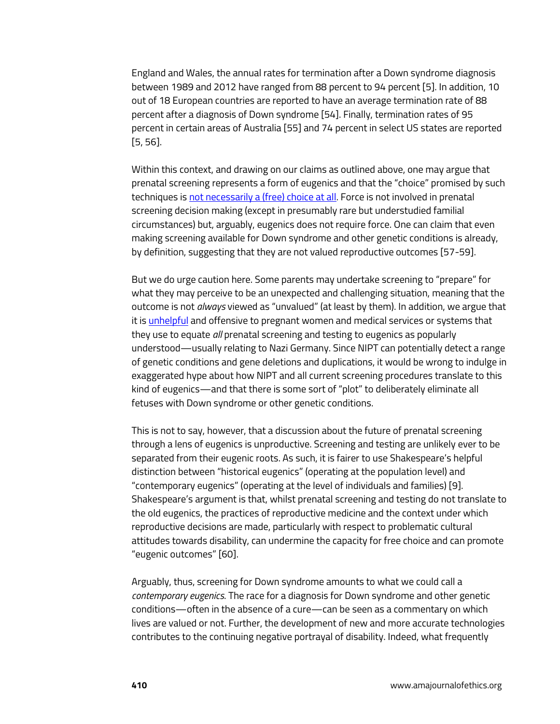England and Wales, the annual rates for termination after a Down syndrome diagnosis between 1989 and 2012 have ranged from 88 percent to 94 percent [5]. In addition, 10 out of 18 European countries are reported to have an average termination rate of 88 percent after a diagnosis of Down syndrome [54]. Finally, termination rates of 95 percent in certain areas of Australia [55] and 74 percent in select US states are reported [5, 56].

Within this context, and drawing on our claims as outlined above, one may argue that prenatal screening represents a form of eugenics and that the "choice" promised by such techniques is [not necessarily a \(free\) choice at all.](http://journalofethics.ama-assn.org/2006/01/oped2-0601.html) Force is not involved in prenatal screening decision making (except in presumably rare but understudied familial circumstances) but, arguably, eugenics does not require force. One can claim that even making screening available for Down syndrome and other genetic conditions is already, by definition, suggesting that they are not valued reproductive outcomes [57-59].

But we do urge caution here. Some parents may undertake screening to "prepare" for what they may perceive to be an unexpected and challenging situation, meaning that the outcome is not *always* viewed as "unvalued" (at least by them). In addition, we argue that it i[s unhelpful](http://journalofethics.ama-assn.org/2006/01/oped1-0601.html) and offensive to pregnant women and medical services or systems that they use to equate *all* prenatal screening and testing to eugenics as popularly understood—usually relating to Nazi Germany. Since NIPT can potentially detect a range of genetic conditions and gene deletions and duplications, it would be wrong to indulge in exaggerated hype about how NIPT and all current screening procedures translate to this kind of eugenics—and that there is some sort of "plot" to deliberately eliminate all fetuses with Down syndrome or other genetic conditions.

This is not to say, however, that a discussion about the future of prenatal screening through a lens of eugenics is unproductive. Screening and testing are unlikely ever to be separated from their eugenic roots. As such, it is fairer to use Shakespeare's helpful distinction between "historical eugenics" (operating at the population level) and "contemporary eugenics" (operating at the level of individuals and families) [9]. Shakespeare's argument is that, whilst prenatal screening and testing do not translate to the old eugenics, the practices of reproductive medicine and the context under which reproductive decisions are made, particularly with respect to problematic cultural attitudes towards disability, can undermine the capacity for free choice and can promote "eugenic outcomes" [60].

Arguably, thus, screening for Down syndrome amounts to what we could call a *contemporary eugenics*. The race for a diagnosis for Down syndrome and other genetic conditions—often in the absence of a cure—can be seen as a commentary on which lives are valued or not. Further, the development of new and more accurate technologies contributes to the continuing negative portrayal of disability. Indeed, what frequently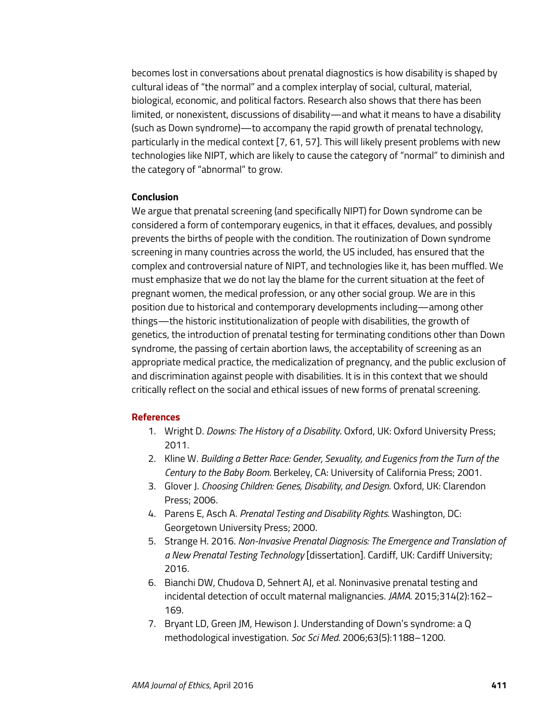becomes lost in conversations about prenatal diagnostics is how disability is shaped by cultural ideas of "the normal" and a complex interplay of social, cultural, material, biological, economic, and political factors. Research also shows that there has been limited, or nonexistent, discussions of disability—and what it means to have a disability (such as Down syndrome)—to accompany the rapid growth of prenatal technology, particularly in the medical context [7, 61, 57]. This will likely present problems with new technologies like NIPT, which are likely to cause the category of "normal" to diminish and the category of "abnormal" to grow.

#### **Conclusion**

We argue that prenatal screening (and specifically NIPT) for Down syndrome can be considered a form of contemporary eugenics, in that it effaces, devalues, and possibly prevents the births of people with the condition. The routinization of Down syndrome screening in many countries across the world, the US included, has ensured that the complex and controversial nature of NIPT, and technologies like it, has been muffled. We must emphasize that we do not lay the blame for the current situation at the feet of pregnant women, the medical profession, or any other social group. We are in this position due to historical and contemporary developments including—among other things—the historic institutionalization of people with disabilities, the growth of genetics, the introduction of prenatal testing for terminating conditions other than Down syndrome, the passing of certain abortion laws, the acceptability of screening as an appropriate medical practice, the medicalization of pregnancy, and the public exclusion of and discrimination against people with disabilities. It is in this context that we should critically reflect on the social and ethical issues of new forms of prenatal screening.

#### **References**

- 1. Wright D. *Downs: The History of a Disability*. Oxford, UK: Oxford University Press; 2011.
- 2. Kline W. *Building a Better Race: Gender, Sexuality, and Eugenics from the Turn of the Century to the Baby Boom*. Berkeley, CA: University of California Press; 2001.
- 3. Glover J. *Choosing Children: Genes, Disability, and Design*. Oxford, UK: Clarendon Press; 2006.
- 4. Parens E, Asch A. *Prenatal Testing and Disability Rights*. Washington, DC: Georgetown University Press; 2000.
- 5. Strange H. 2016. *Non-Invasive Prenatal Diagnosis: The Emergence and Translation of a New Prenatal Testing Technology* [dissertation]. Cardiff, UK: Cardiff University; 2016.
- 6. Bianchi DW, Chudova D, Sehnert AJ, et al. Noninvasive prenatal testing and incidental detection of occult maternal malignancies. *JAMA*. 2015;314(2):162– 169.
- 7. Bryant LD, Green JM, Hewison J. Understanding of Down's syndrome: a Q methodological investigation. *Soc Sci Med*. 2006;63(5):1188–1200.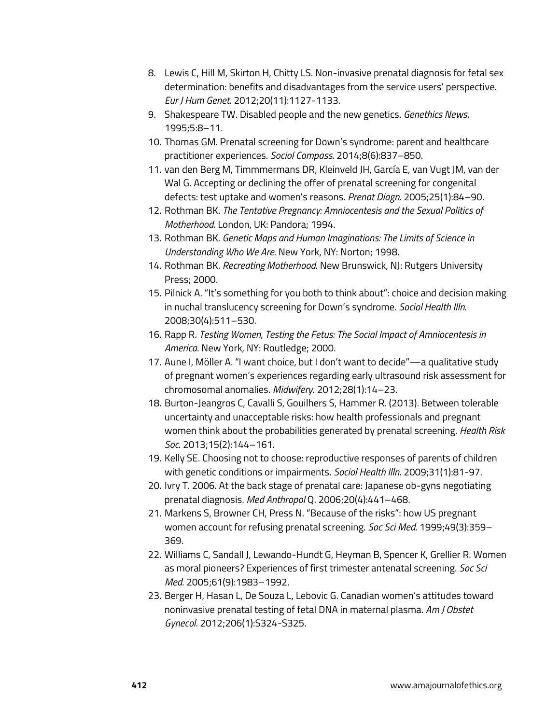- 8. Lewis C, Hill M, Skirton H, Chitty LS. Non-invasive prenatal diagnosis for fetal sex determination: benefits and disadvantages from the service users' perspective. *Eur J Hum Genet*. 2012;20(11):1127-1133.
- 9. Shakespeare TW. Disabled people and the new genetics. *Genethics News*. 1995;5:8–11.
- 10. Thomas GM. Prenatal screening for Down's syndrome: parent and healthcare practitioner experiences. *Sociol Compass*. 2014;8(6):837–850.
- 11. van den Berg M, Timmmermans DR, Kleinveld JH, García E, van Vugt JM, van der Wal G. Accepting or declining the offer of prenatal screening for congenital defects: test uptake and women's reasons. *Prenat Diagn*. 2005;25(1):84–90.
- 12. Rothman BK. *The Tentative Pregnancy: Amniocentesis and the Sexual Politics of Motherhood*. London, UK: Pandora; 1994.
- 13. Rothman BK. *Genetic Maps and Human Imaginations: The Limits of Science in Understanding Who We Are*. New York, NY: Norton; 1998.
- 14. Rothman BK. *Recreating Motherhood*. New Brunswick, NJ: Rutgers University Press; 2000.
- 15. Pilnick A. "It's something for you both to think about": choice and decision making in nuchal translucency screening for Down's syndrome. *Sociol Health Illn*. 2008;30(4):511–530.
- 16. Rapp R. *Testing Women, Testing the Fetus: The Social Impact of Amniocentesis in America*. New York, NY: Routledge; 2000.
- 17. Aune I, Möller A. "I want choice, but I don't want to decide"—a qualitative study of pregnant women's experiences regarding early ultrasound risk assessment for chromosomal anomalies. *Midwifery*. 2012;28(1):14–23.
- 18. Burton-Jeangros C, Cavalli S, Gouilhers S, Hammer R. (2013). Between tolerable uncertainty and unacceptable risks: how health professionals and pregnant women think about the probabilities generated by prenatal screening. *Health Risk Soc*. 2013;15(2):144–161.
- 19. Kelly SE. Choosing not to choose: reproductive responses of parents of children with genetic conditions or impairments. *Sociol Health Illn*. 2009;31(1):81-97.
- 20. Ivry T. 2006. At the back stage of prenatal care: Japanese ob-gyns negotiating prenatal diagnosis. *Med Anthropol* Q. 2006;20(4):441–468.
- 21. Markens S, Browner CH, Press N. "Because of the risks": how US pregnant women account for refusing prenatal screening. *Soc Sci Med*. 1999;49(3):359– 369.
- 22. Williams C, Sandall J, Lewando-Hundt G, Heyman B, Spencer K, Grellier R. Women as moral pioneers? Experiences of first trimester antenatal screening. *Soc Sci Med*. 2005;61(9):1983–1992.
- 23. Berger H, Hasan L, De Souza L, Lebovic G. Canadian women's attitudes toward noninvasive prenatal testing of fetal DNA in maternal plasma. *Am J Obstet Gynecol*. 2012;206(1):S324-S325.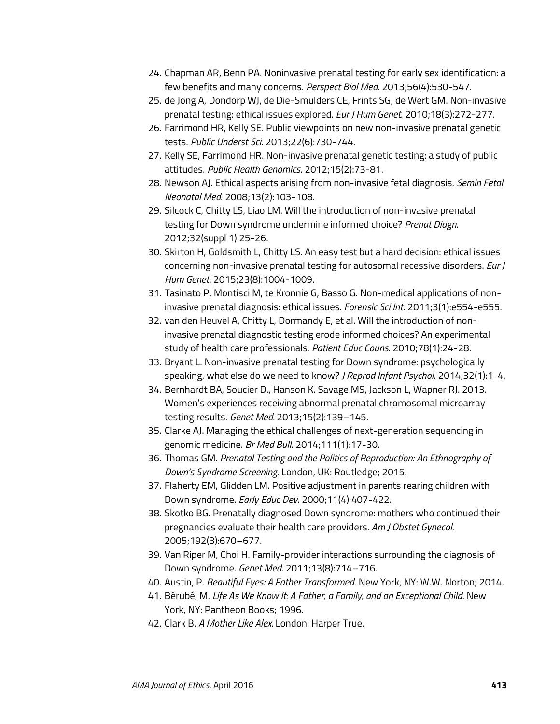- 24. Chapman AR, Benn PA. Noninvasive prenatal testing for early sex identification: a few benefits and many concerns. *Perspect Biol Med*. 2013;56(4):530-547.
- 25. de Jong A, Dondorp WJ, de Die-Smulders CE, Frints SG, de Wert GM. Non-invasive prenatal testing: ethical issues explored. *Eur J Hum Genet*. 2010;18(3):272-277.
- 26. Farrimond HR, Kelly SE. Public viewpoints on new non-invasive prenatal genetic tests. *Public Underst Sci*. 2013;22(6):730-744.
- 27. Kelly SE, Farrimond HR. Non-invasive prenatal genetic testing: a study of public attitudes. *Public Health Genomics*. 2012;15(2):73-81.
- 28. Newson AJ. Ethical aspects arising from non-invasive fetal diagnosis. *Semin Fetal Neonatal Med*. 2008;13(2):103-108.
- 29. Silcock C, Chitty LS, Liao LM. Will the introduction of non-invasive prenatal testing for Down syndrome undermine informed choice? *Prenat Diagn*. 2012;32(suppl 1):25-26.
- 30. Skirton H, Goldsmith L, Chitty LS. An easy test but a hard decision: ethical issues concerning non-invasive prenatal testing for autosomal recessive disorders. *Eur J Hum Genet*. 2015;23(8):1004-1009.
- 31. Tasinato P, Montisci M, te Kronnie G, Basso G. Non-medical applications of noninvasive prenatal diagnosis: ethical issues. *Forensic Sci Int*. 2011;3(1):e554-e555.
- 32. van den Heuvel A, Chitty L, Dormandy E, et al. Will the introduction of noninvasive prenatal diagnostic testing erode informed choices? An experimental study of health care professionals. *Patient Educ Couns*. 2010;78(1):24-28.
- 33. Bryant L. Non-invasive prenatal testing for Down syndrome: psychologically speaking, what else do we need to know? *J Reprod Infant Psychol*. 2014;32(1):1-4.
- 34. Bernhardt BA, Soucier D., Hanson K. Savage MS, Jackson L, Wapner RJ. 2013. Women's experiences receiving abnormal prenatal chromosomal microarray testing results. *Genet Med.* 2013;15(2):139–145.
- 35. Clarke AJ. Managing the ethical challenges of next-generation sequencing in genomic medicine. *Br Med Bull*. 2014;111(1):17-30.
- 36. Thomas GM. *Prenatal Testing and the Politics of Reproduction: An Ethnography of Down's Syndrome Screening*. London, UK: Routledge; 2015.
- 37. Flaherty EM, Glidden LM. Positive adjustment in parents rearing children with Down syndrome. *Early Educ Dev*. 2000;11(4):407-422.
- 38. Skotko BG. Prenatally diagnosed Down syndrome: mothers who continued their pregnancies evaluate their health care providers. *Am J Obstet Gynecol*. 2005;192(3):670–677.
- 39. Van Riper M, Choi H. Family-provider interactions surrounding the diagnosis of Down syndrome. *Genet Med*. 2011;13(8):714–716.
- 40. Austin, P. *Beautiful Eyes: A Father Transformed*. New York, NY: W.W. Norton; 2014.
- 41. Bérubé, M. *Life As We Know It: A Father, a Family, and an Exceptional Child*. New York, NY: Pantheon Books; 1996.
- 42. Clark B. *A Mother Like Alex.* London: Harper True.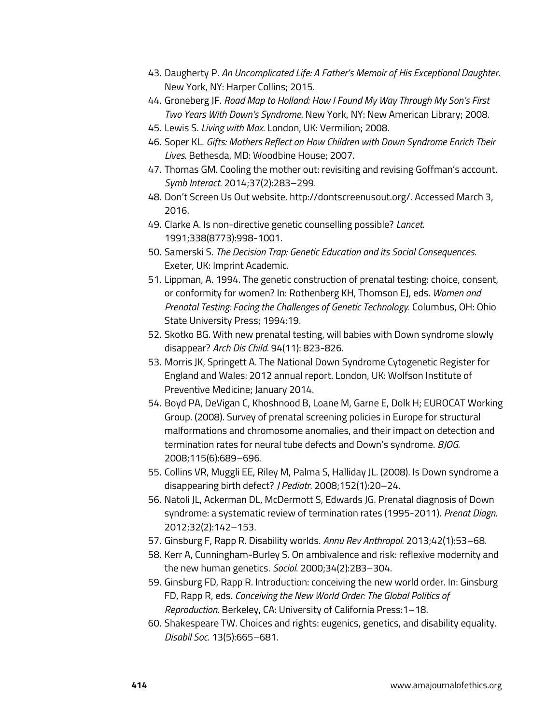- 43. Daugherty P. *An Uncomplicated Life: A Father's Memoir of His Exceptional Daughter*. New York, NY: Harper Collins; 2015.
- 44. Groneberg JF. *Road Map to Holland: How I Found My Way Through My Son's First Two Years With Down's Syndrome*. New York, NY: New American Library; 2008.
- 45. Lewis S. *Living with Max*. London, UK: Vermilion; 2008.
- 46. Soper KL. *Gifts: Mothers Reflect on How Children with Down Syndrome Enrich Their Lives*. Bethesda, MD: Woodbine House; 2007.
- 47. Thomas GM. Cooling the mother out: revisiting and revising Goffman's account. *Symb Interact*. 2014;37(2):283–299.
- 48. Don't Screen Us Out website. http://dontscreenusout.org/. Accessed March 3, 2016.
- 49. Clarke A. Is non-directive genetic counselling possible? *Lancet*. 1991;338(8773):998-1001.
- 50. Samerski S. *The Decision Trap: Genetic Education and its Social Consequences*. Exeter, UK: Imprint Academic.
- 51. Lippman, A. 1994. The genetic construction of prenatal testing: choice, consent, or conformity for women? In: Rothenberg KH, Thomson EJ, eds. *Women and Prenatal Testing: Facing the Challenges of Genetic Technology*. Columbus, OH: Ohio State University Press; 1994:19.
- 52. Skotko BG. With new prenatal testing, will babies with Down syndrome slowly disappear? *Arch Dis Child*. 94(11): 823-826.
- 53. Morris JK, Springett A. The National Down Syndrome Cytogenetic Register for England and Wales: 2012 annual report. London, UK: Wolfson Institute of Preventive Medicine; January 2014.
- 54. Boyd PA, DeVigan C, Khoshnood B, Loane M, Garne E, Dolk H; EUROCAT Working Group. (2008). Survey of prenatal screening policies in Europe for structural malformations and chromosome anomalies, and their impact on detection and termination rates for neural tube defects and Down's syndrome. *BJOG*. 2008;115(6):689–696.
- 55. Collins VR, Muggli EE, Riley M, Palma S, Halliday JL. (2008). Is Down syndrome a disappearing birth defect? *J Pediatr*. 2008;152(1):20–24.
- 56. Natoli JL, Ackerman DL, McDermott S, Edwards JG. Prenatal diagnosis of Down syndrome: a systematic review of termination rates (1995-2011). *Prenat Diagn*. 2012;32(2):142–153.
- 57. Ginsburg F, Rapp R. Disability worlds. *Annu Rev Anthropol*. 2013;42(1):53–68.
- 58. Kerr A, Cunningham-Burley S. On ambivalence and risk: reflexive modernity and the new human genetics. *Sociol*. 2000;34(2):283–304.
- 59. Ginsburg FD, Rapp R. Introduction: conceiving the new world order. In: Ginsburg FD, Rapp R, eds. *Conceiving the New World Order: The Global Politics of Reproduction*. Berkeley, CA: University of California Press:1–18.
- 60. Shakespeare TW. Choices and rights: eugenics, genetics, and disability equality. *Disabil Soc*. 13(5):665–681.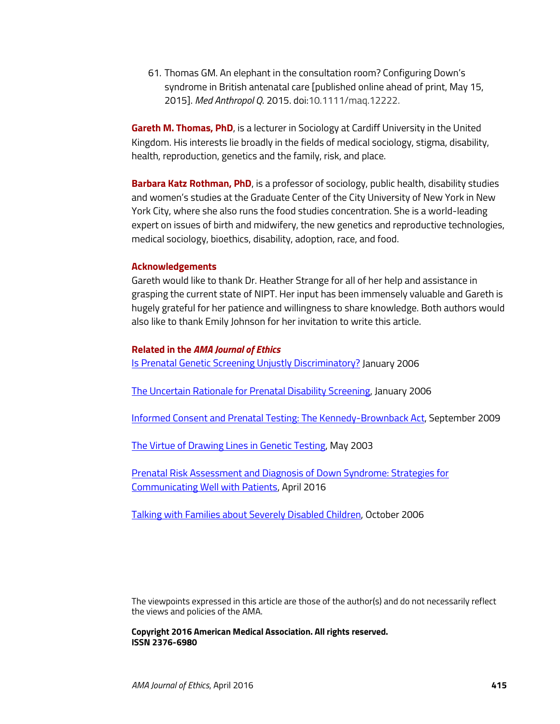61. Thomas GM. An elephant in the consultation room? Configuring Down's syndrome in British antenatal care [published online ahead of print, May 15, 2015]. *Med Anthropol Q*. 2015. doi:10.1111/maq.12222.

**Gareth M. Thomas, PhD**, is a lecturer in Sociology at Cardiff University in the United Kingdom. His interests lie broadly in the fields of medical sociology, stigma, disability, health, reproduction, genetics and the family, risk, and place.

**Barbara Katz Rothman, PhD**, is a professor of sociology, public health, disability studies and women's studies at the Graduate Center of the City University of New York in New York City, where she also runs the food studies concentration. She is a world-leading expert on issues of birth and midwifery, the new genetics and reproductive technologies, medical sociology, bioethics, disability, adoption, race, and food.

#### **Acknowledgements**

Gareth would like to thank Dr. Heather Strange for all of her help and assistance in grasping the current state of NIPT. Her input has been immensely valuable and Gareth is hugely grateful for her patience and willingness to share knowledge. Both authors would also like to thank Emily Johnson for her invitation to write this article.

#### **Related in the** *AMA Journal of Ethics*

[Is Prenatal Genetic Screening Unjustly Discriminatory?](http://journalofethics.ama-assn.org/2006/01/oped1-0601.html) January 2006

[The Uncertain Rationale for Prenatal Disability Screening,](http://journalofethics.ama-assn.org/2006/01/oped2-0601.html) January 2006

[Informed Consent and Prenatal Testing: The Kennedy-Brownback Act,](http://journalofethics.ama-assn.org/2009/09/oped1-0909.html) September 2009

[The Virtue of Drawing Lines in Genetic Testing,](http://journalofethics.ama-assn.org/2003/05/pfor1-0305.html) May 2003

[Prenatal Risk Assessment and Diagnosis of Down Syndrome: Strategies for](http://journalofethics.ama-assn.org/2016/04/ecas1-1604.html)  [Communicating Well with Patients,](http://journalofethics.ama-assn.org/2016/04/ecas1-1604.html) April 2016

[Talking with Families about Severely Disabled Children,](http://journalofethics.ama-assn.org/2006/10/msoc1-0610.html) October 2006

The viewpoints expressed in this article are those of the author(s) and do not necessarily reflect the views and policies of the AMA.

**Copyright 2016 American Medical Association. All rights reserved. ISSN 2376-6980**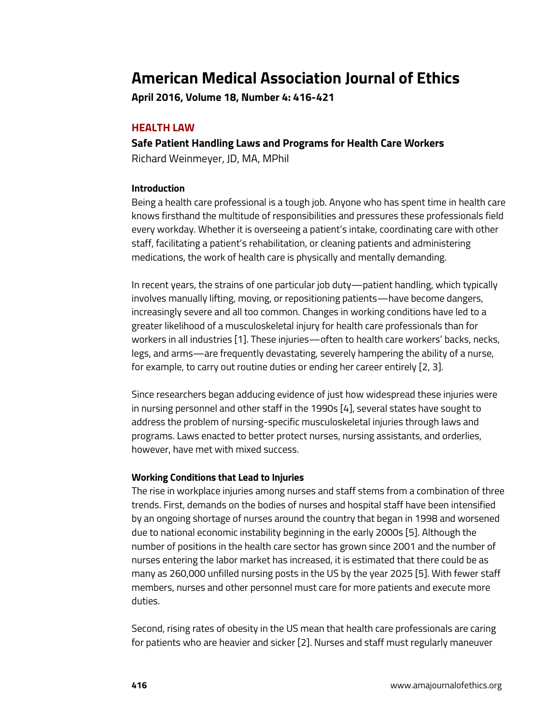# **American Medical Association Journal of Ethics**

**April 2016, Volume 18, Number 4: 416-421**

### **HEALTH LAW**

**Safe Patient Handling Laws and Programs for Health Care Workers**

Richard Weinmeyer, JD, MA, MPhil

#### **Introduction**

Being a health care professional is a tough job. Anyone who has spent time in health care knows firsthand the multitude of responsibilities and pressures these professionals field every workday. Whether it is overseeing a patient's intake, coordinating care with other staff, facilitating a patient's rehabilitation, or cleaning patients and administering medications, the work of health care is physically and mentally demanding.

In recent years, the strains of one particular job duty—patient handling, which typically involves manually lifting, moving, or repositioning patients—have become dangers, increasingly severe and all too common. Changes in working conditions have led to a greater likelihood of a musculoskeletal injury for health care professionals than for workers in all industries [1]. These injuries—often to health care workers' backs, necks, legs, and arms—are frequently devastating, severely hampering the ability of a nurse, for example, to carry out routine duties or ending her career entirely [2, 3].

Since researchers began adducing evidence of just how widespread these injuries were in nursing personnel and other staff in the 1990s [4], several states have sought to address the problem of nursing-specific musculoskeletal injuries through laws and programs. Laws enacted to better protect nurses, nursing assistants, and orderlies, however, have met with mixed success.

### **Working Conditions that Lead to Injuries**

The rise in workplace injuries among nurses and staff stems from a combination of three trends. First, demands on the bodies of nurses and hospital staff have been intensified by an ongoing shortage of nurses around the country that began in 1998 and worsened due to national economic instability beginning in the early 2000s [5]. Although the number of positions in the health care sector has grown since 2001 and the number of nurses entering the labor market has increased, it is estimated that there could be as many as 260,000 unfilled nursing posts in the US by the year 2025 [5]. With fewer staff members, nurses and other personnel must care for more patients and execute more duties.

Second, rising rates of obesity in the US mean that health care professionals are caring for patients who are heavier and sicker [2]. Nurses and staff must regularly maneuver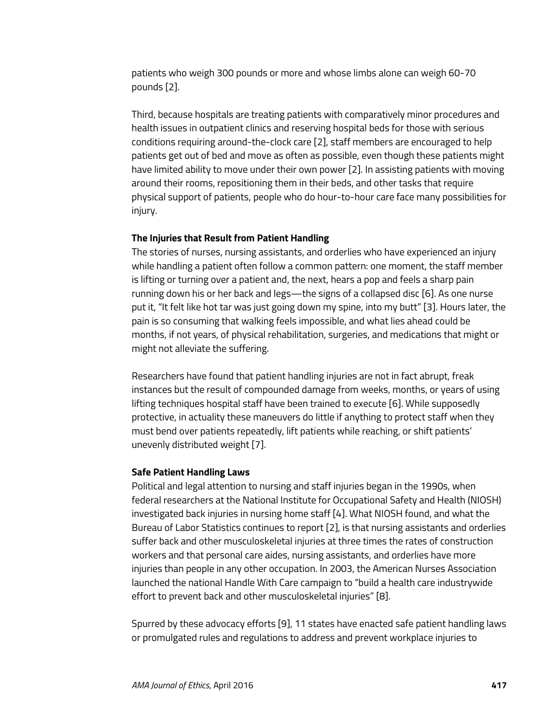patients who weigh 300 pounds or more and whose limbs alone can weigh 60-70 pounds [2].

Third, because hospitals are treating patients with comparatively minor procedures and health issues in outpatient clinics and reserving hospital beds for those with serious conditions requiring around-the-clock care [2], staff members are encouraged to help patients get out of bed and move as often as possible, even though these patients might have limited ability to move under their own power [2]. In assisting patients with moving around their rooms, repositioning them in their beds, and other tasks that require physical support of patients, people who do hour-to-hour care face many possibilities for injury.

#### **The Injuries that Result from Patient Handling**

The stories of nurses, nursing assistants, and orderlies who have experienced an injury while handling a patient often follow a common pattern: one moment, the staff member is lifting or turning over a patient and, the next, hears a pop and feels a sharp pain running down his or her back and legs—the signs of a collapsed disc [6]. As one nurse put it, "It felt like hot tar was just going down my spine, into my butt" [3]. Hours later, the pain is so consuming that walking feels impossible, and what lies ahead could be months, if not years, of physical rehabilitation, surgeries, and medications that might or might not alleviate the suffering.

Researchers have found that patient handling injuries are not in fact abrupt, freak instances but the result of compounded damage from weeks, months, or years of using lifting techniques hospital staff have been trained to execute [6]. While supposedly protective, in actuality these maneuvers do little if anything to protect staff when they must bend over patients repeatedly, lift patients while reaching, or shift patients' unevenly distributed weight [7].

#### **Safe Patient Handling Laws**

Political and legal attention to nursing and staff injuries began in the 1990s, when federal researchers at the National Institute for Occupational Safety and Health (NIOSH) investigated back injuries in nursing home staff [4]. What NIOSH found, and what the Bureau of Labor Statistics continues to report [2], is that nursing assistants and orderlies suffer back and other musculoskeletal injuries at three times the rates of construction workers and that personal care aides, nursing assistants, and orderlies have more injuries than people in any other occupation. In 2003, the American Nurses Association launched the national Handle With Care campaign to "build a health care industrywide effort to prevent back and other musculoskeletal injuries" [8].

Spurred by these advocacy efforts [9], 11 states have enacted safe patient handling laws or promulgated rules and regulations to address and prevent workplace injuries to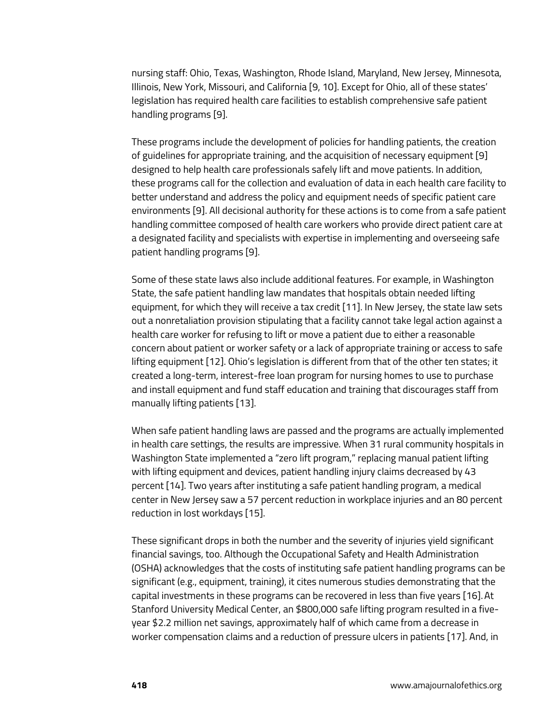nursing staff: Ohio, Texas, Washington, Rhode Island, Maryland, New Jersey, Minnesota, Illinois, New York, Missouri, and California [9, 10]. Except for Ohio, all of these states' legislation has required health care facilities to establish comprehensive safe patient handling programs [9].

These programs include the development of policies for handling patients, the creation of guidelines for appropriate training, and the acquisition of necessary equipment [9] designed to help health care professionals safely lift and move patients. In addition, these programs call for the collection and evaluation of data in each health care facility to better understand and address the policy and equipment needs of specific patient care environments [9]. All decisional authority for these actions is to come from a safe patient handling committee composed of health care workers who provide direct patient care at a designated facility and specialists with expertise in implementing and overseeing safe patient handling programs [9].

Some of these state laws also include additional features. For example, in Washington State, the safe patient handling law mandates that hospitals obtain needed lifting equipment, for which they will receive a tax credit [11]. In New Jersey, the state law sets out a nonretaliation provision stipulating that a facility cannot take legal action against a health care worker for refusing to lift or move a patient due to either a reasonable concern about patient or worker safety or a lack of appropriate training or access to safe lifting equipment [12]. Ohio's legislation is different from that of the other ten states; it created a long-term, interest-free loan program for nursing homes to use to purchase and install equipment and fund staff education and training that discourages staff from manually lifting patients [13].

When safe patient handling laws are passed and the programs are actually implemented in health care settings, the results are impressive. When 31 rural community hospitals in Washington State implemented a "zero lift program," replacing manual patient lifting with lifting equipment and devices, patient handling injury claims decreased by 43 percent [14]. Two years after instituting a safe patient handling program, a medical center in New Jersey saw a 57 percent reduction in workplace injuries and an 80 percent reduction in lost workdays [15].

These significant drops in both the number and the severity of injuries yield significant financial savings, too. Although the Occupational Safety and Health Administration (OSHA) acknowledges that the costs of instituting safe patient handling programs can be significant (e.g., equipment, training), it cites numerous studies demonstrating that the capital investments in these programs can be recovered in less than five years [16].At Stanford University Medical Center, an \$800,000 safe lifting program resulted in a fiveyear \$2.2 million net savings, approximately half of which came from a decrease in worker compensation claims and a reduction of pressure ulcers in patients [17]. And, in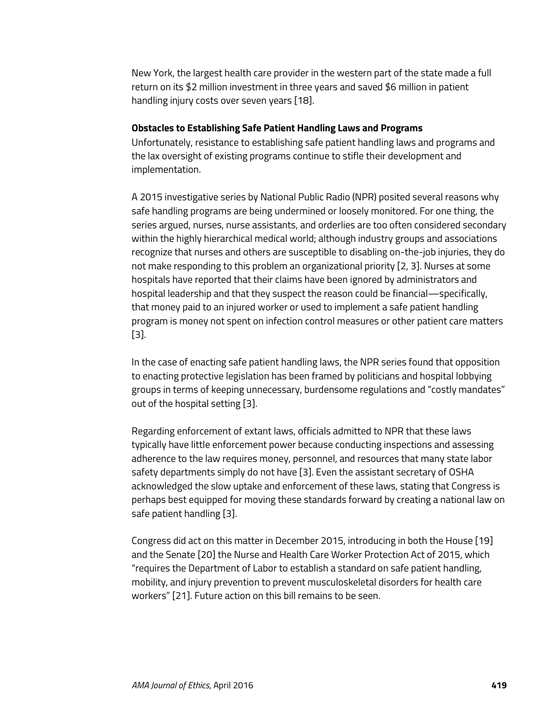New York, the largest health care provider in the western part of the state made a full return on its \$2 million investment in three years and saved \$6 million in patient handling injury costs over seven years [18].

#### **Obstacles to Establishing Safe Patient Handling Laws and Programs**

Unfortunately, resistance to establishing safe patient handling laws and programs and the lax oversight of existing programs continue to stifle their development and implementation.

A 2015 investigative series by National Public Radio (NPR) posited several reasons why safe handling programs are being undermined or loosely monitored. For one thing, the series argued, nurses, nurse assistants, and orderlies are too often considered secondary within the highly hierarchical medical world; although industry groups and associations recognize that nurses and others are susceptible to disabling on-the-job injuries, they do not make responding to this problem an organizational priority [2, 3]. Nurses at some hospitals have reported that their claims have been ignored by administrators and hospital leadership and that they suspect the reason could be financial—specifically, that money paid to an injured worker or used to implement a safe patient handling program is money not spent on infection control measures or other patient care matters [3].

In the case of enacting safe patient handling laws, the NPR series found that opposition to enacting protective legislation has been framed by politicians and hospital lobbying groups in terms of keeping unnecessary, burdensome regulations and "costly mandates" out of the hospital setting [3].

Regarding enforcement of extant laws, officials admitted to NPR that these laws typically have little enforcement power because conducting inspections and assessing adherence to the law requires money, personnel, and resources that many state labor safety departments simply do not have [3]. Even the assistant secretary of OSHA acknowledged the slow uptake and enforcement of these laws, stating that Congress is perhaps best equipped for moving these standards forward by creating a national law on safe patient handling [3].

Congress did act on this matter in December 2015, introducing in both the House [19] and the Senate [20] the Nurse and Health Care Worker Protection Act of 2015, which "requires the Department of Labor to establish a standard on safe patient handling, mobility, and injury prevention to prevent musculoskeletal disorders for health care workers" [21]. Future action on this bill remains to be seen.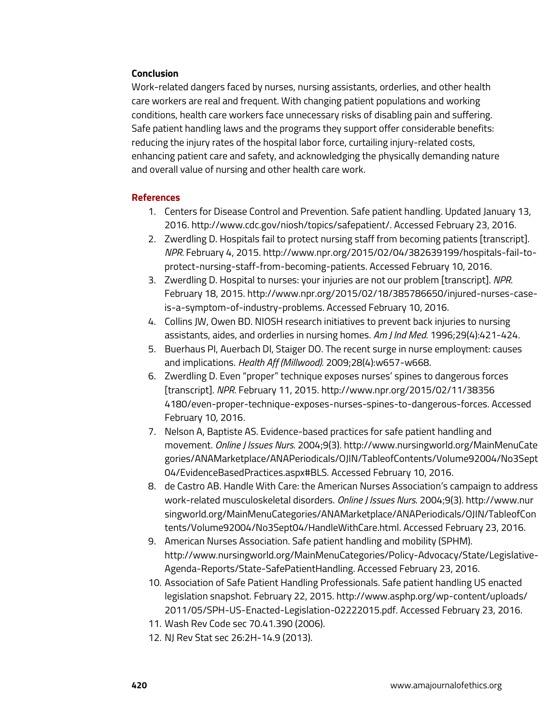# **Conclusion**

Work-related dangers faced by nurses, nursing assistants, orderlies, and other health care workers are real and frequent. With changing patient populations and working conditions, health care workers face unnecessary risks of disabling pain and suffering. Safe patient handling laws and the programs they support offer considerable benefits: reducing the injury rates of the hospital labor force, curtailing injury-related costs, enhancing patient care and safety, and acknowledging the physically demanding nature and overall value of nursing and other health care work.

### **References**

- 1. Centers for Disease Control and Prevention. Safe patient handling. Updated January 13, 2016. http://www.cdc.gov/niosh/topics/safepatient/. Accessed February 23, 2016.
- 2. Zwerdling D. Hospitals fail to protect nursing staff from becoming patients [transcript]. *NPR.* February 4, 2015. http://www.npr.org/2015/02/04/382639199/hospitals-fail-toprotect-nursing-staff-from-becoming-patients. Accessed February 10, 2016.
- 3. Zwerdling D. Hospital to nurses: your injuries are not our problem [transcript]. *NPR*. February 18, 2015. http://www.npr.org/2015/02/18/385786650/injured-nurses-caseis-a-symptom-of-industry-problems. Accessed February 10, 2016.
- 4. Collins JW, Owen BD. NIOSH research initiatives to prevent back injuries to nursing assistants, aides, and orderlies in nursing homes. *Am J Ind Med*. 1996;29(4):421-424.
- 5. Buerhaus PI, Auerbach DI, Staiger DO. The recent surge in nurse employment: causes and implications. *Health Aff (Millwood)*. 2009;28(4):w657-w668.
- 6. Zwerdling D. Even "proper" technique exposes nurses' spines to dangerous forces [transcript]. *NPR*. February 11, 2015. http://www.npr.org/2015/02/11/38356 4180/even-proper-technique-exposes-nurses-spines-to-dangerous-forces. Accessed February 10, 2016.
- 7. Nelson A, Baptiste AS. Evidence-based practices for safe patient handling and movement. *Online J Issues Nurs*. 2004;9(3). http://www.nursingworld.org/MainMenuCate gories/ANAMarketplace/ANAPeriodicals/OJIN/TableofContents/Volume92004/No3Sept 04/EvidenceBasedPractices.aspx#BLS. Accessed February 10, 2016.
- 8. de Castro AB. Handle With Care: the American Nurses Association's campaign to address work-related musculoskeletal disorders. *Online J Issues Nurs*. 2004;9(3). http://www.nur singworld.org/MainMenuCategories/ANAMarketplace/ANAPeriodicals/OJIN/TableofCon tents/Volume92004/No3Sept04/HandleWithCare.html. Accessed February 23, 2016.
- 9. American Nurses Association. Safe patient handling and mobility (SPHM). http://www.nursingworld.org/MainMenuCategories/Policy-Advocacy/State/Legislative-Agenda-Reports/State-SafePatientHandling. Accessed February 23, 2016.
- 10. Association of Safe Patient Handling Professionals. Safe patient handling US enacted legislation snapshot. February 22, 2015. http://www.asphp.org/wp-content/uploads/ 2011/05/SPH-US-Enacted-Legislation-02222015.pdf. Accessed February 23, 2016.
- 11. Wash Rev Code sec 70.41.390 (2006).
- 12. NJ Rev Stat sec 26:2H-14.9 (2013).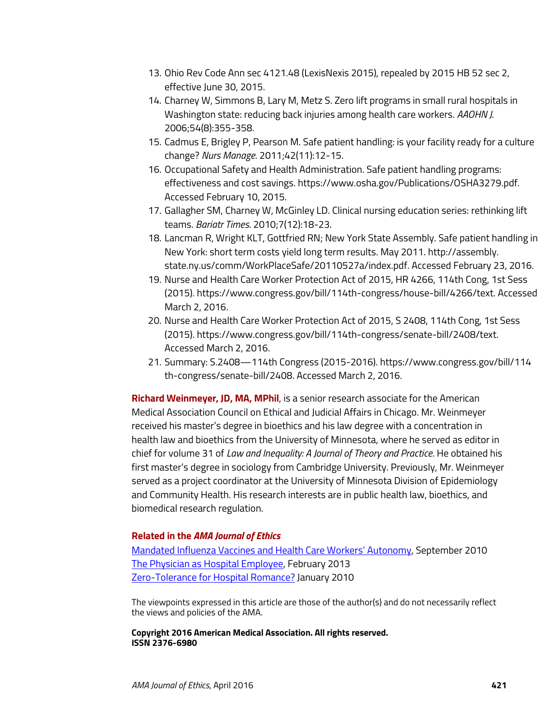- 13. Ohio Rev Code Ann sec 4121.48 (LexisNexis 2015), repealed by 2015 HB 52 sec 2, effective June 30, 2015.
- 14. Charney W, Simmons B, Lary M, Metz S. Zero lift programs in small rural hospitals in Washington state: reducing back injuries among health care workers. *AAOHN J*. 2006;54(8):355-358.
- 15. Cadmus E, Brigley P, Pearson M. Safe patient handling: is your facility ready for a culture change? *Nurs Manage*. 2011;42(11):12-15.
- 16. Occupational Safety and Health Administration. Safe patient handling programs: effectiveness and cost savings. https://www.osha.gov/Publications/OSHA3279.pdf. Accessed February 10, 2015.
- 17. Gallagher SM, Charney W, McGinley LD. Clinical nursing education series: rethinking lift teams. *Bariatr Times*. 2010;7(12):18-23.
- 18. Lancman R, Wright KLT, Gottfried RN; New York State Assembly. Safe patient handling in New York: short term costs yield long term results. May 2011. http://assembly. state.ny.us/comm/WorkPlaceSafe/20110527a/index.pdf. Accessed February 23, 2016.
- 19. Nurse and Health Care Worker Protection Act of 2015, HR 4266, 114th Cong, 1st Sess (2015). https://www.congress.gov/bill/114th-congress/house-bill/4266/text. Accessed March 2, 2016.
- 20. Nurse and Health Care Worker Protection Act of 2015, S 2408, 114th Cong, 1st Sess (2015). https://www.congress.gov/bill/114th-congress/senate-bill/2408/text. Accessed March 2, 2016.
- 21. Summary: S.2408—114th Congress (2015-2016). https://www.congress.gov/bill/114 th-congress/senate-bill/2408. Accessed March 2, 2016.

**Richard Weinmeyer, JD, MA, MPhil**, is a senior research associate for the American Medical Association Council on Ethical and Judicial Affairs in Chicago. Mr. Weinmeyer received his master's degree in bioethics and his law degree with a concentration in health law and bioethics from the University of Minnesota, where he served as editor in chief for volume 31 of *Law and Inequality: A Journal of Theory and Practice*. He obtained his first master's degree in sociology from Cambridge University. Previously, Mr. Weinmeyer served as a project coordinator at the University of Minnesota Division of Epidemiology and Community Health. His research interests are in public health law, bioethics, and biomedical research regulation.

#### **Related in the** *AMA Journal of Ethics*

[Mandated Influenza Vaccines and Health Care Workers' Autonomy,](http://journalofethics.ama-assn.org/2010/09/ccas2-1009.html) September 2010 [The Physician as Hospital Employee,](http://journalofethics.ama-assn.org/2013/02/ecas2-1302.html) February 2013 [Zero-Tolerance for Hospital Romance?](http://journalofethics.ama-assn.org/2010/01/ccas3-1001.html) January 2010

The viewpoints expressed in this article are those of the author(s) and do not necessarily reflect the views and policies of the AMA.

#### **Copyright 2016 American Medical Association. All rights reserved. ISSN 2376-6980**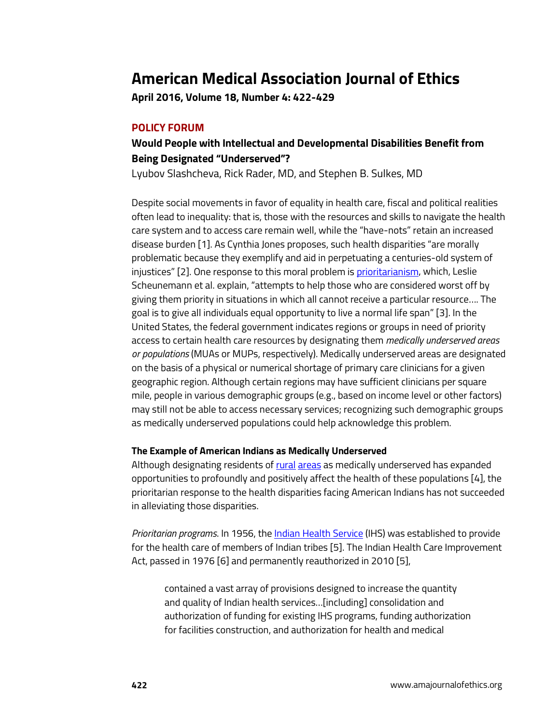# **American Medical Association Journal of Ethics**

**April 2016, Volume 18, Number 4: 422-429** 

### **POLICY FORUM**

# **Would People with Intellectual and Developmental Disabilities Benefit from Being Designated "Underserved"?**

Lyubov Slashcheva, Rick Rader, MD, and Stephen B. Sulkes, MD

Despite social movements in favor of equality in health care, fiscal and political realities often lead to inequality: that is, those with the resources and skills to navigate the health care system and to access care remain well, while the "have-nots" retain an increased disease burden [1]. As Cynthia Jones proposes, such health disparities "are morally problematic because they exemplify and aid in perpetuating a centuries-old system of injustices" [2]. One response to this moral problem is *prioritarianism*, which, Leslie Scheunemann et al. explain, "attempts to help those who are considered worst off by giving them priority in situations in which all cannot receive a particular resource…. The goal is to give all individuals equal opportunity to live a normal life span" [3]. In the United States, the federal government indicates regions or groups in need of priority access to certain health care resources by designating them *medically underserved areas or populations* (MUAs or MUPs, respectively). Medically underserved areas are designated on the basis of a physical or numerical shortage of primary care clinicians for a given geographic region. Although certain regions may have sufficient clinicians per square mile, people in various demographic groups (e.g., based on income level or other factors) may still not be able to access necessary services; recognizing such demographic groups as medically underserved populations could help acknowledge this problem.

### **The Example of American Indians as Medically Underserved**

Although designating residents of [rural](http://journalofethics.ama-assn.org/2011/05/pfor1-1105.html) [areas](http://journalofethics.ama-assn.org/2011/05/oped1-1105.html) as medically underserved has expanded opportunities to profoundly and positively affect the health of these populations [4], the prioritarian response to the health disparities facing American Indians has not succeeded in alleviating those disparities.

*Prioritarian programs*. In 1956, the [Indian Health Service](http://journalofethics.ama-assn.org/2009/10/mhst1-0910.html) (IHS) was established to provide for the health care of members of Indian tribes [5]. The Indian Health Care Improvement Act, passed in 1976 [6] and permanently reauthorized in 2010 [5],

contained a vast array of provisions designed to increase the quantity and quality of Indian health services…[including] consolidation and authorization of funding for existing IHS programs, funding authorization for facilities construction, and authorization for health and medical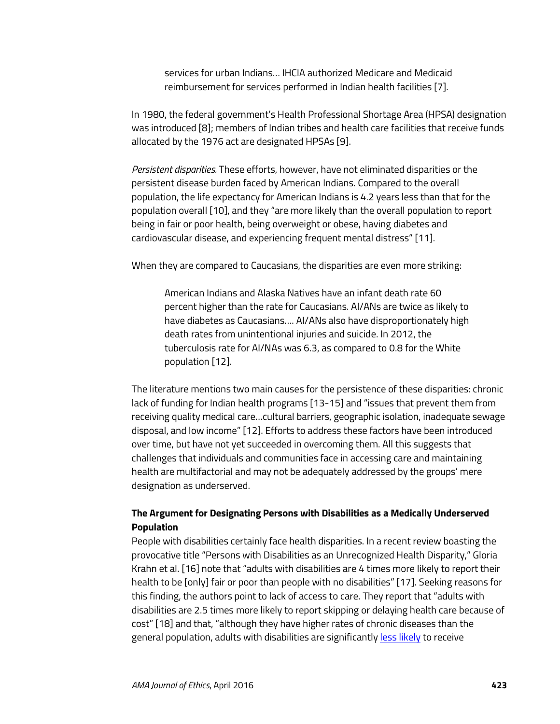services for urban Indians… IHCIA authorized Medicare and Medicaid reimbursement for services performed in Indian health facilities [7].

In 1980, the federal government's Health Professional Shortage Area (HPSA) designation was introduced [8]; members of Indian tribes and health care facilities that receive funds allocated by the 1976 act are designated HPSAs [9].

*Persistent disparities.* These efforts, however, have not eliminated disparities or the persistent disease burden faced by American Indians. Compared to the overall population, the life expectancy for American Indians is 4.2 years less than that for the population overall [10], and they "are more likely than the overall population to report being in fair or poor health, being overweight or obese, having diabetes and cardiovascular disease, and experiencing frequent mental distress" [11].

When they are compared to Caucasians, the disparities are even more striking:

American Indians and Alaska Natives have an infant death rate 60 percent higher than the rate for Caucasians. AI/ANs are twice as likely to have diabetes as Caucasians…. AI/ANs also have disproportionately high death rates from unintentional injuries and suicide. In 2012, the tuberculosis rate for AI/NAs was 6.3, as compared to 0.8 for the White population [12].

The literature mentions two main causes for the persistence of these disparities: chronic lack of funding for Indian health programs [13-15] and "issues that prevent them from receiving quality medical care…cultural barriers, geographic isolation, inadequate sewage disposal, and low income" [12]. Efforts to address these factors have been introduced over time, but have not yet succeeded in overcoming them. All this suggests that challenges that individuals and communities face in accessing care and maintaining health are multifactorial and may not be adequately addressed by the groups' mere designation as underserved.

# **The Argument for Designating Persons with Disabilities as a Medically Underserved Population**

People with disabilities certainly face health disparities. In a recent review boasting the provocative title "Persons with Disabilities as an Unrecognized Health Disparity," Gloria Krahn et al. [16] note that "adults with disabilities are 4 times more likely to report their health to be [only] fair or poor than people with no disabilities" [17]. Seeking reasons for this finding, the authors point to lack of access to care. They report that "adults with disabilities are 2.5 times more likely to report skipping or delaying health care because of cost" [18] and that, "although they have higher rates of ch[ronic diseas](http://journalofethics.ama-assn.org/2016/04/ecas2-1604.html)es than the general population, adults with disabilities are significantly **less likely** to receive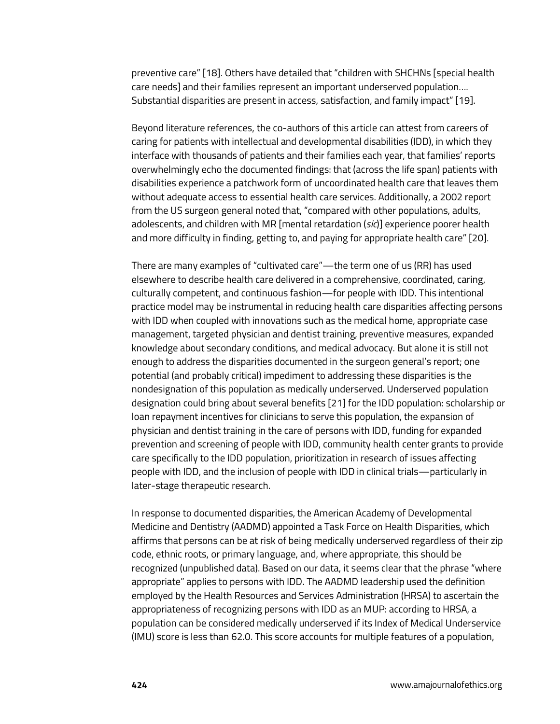preventive care" [18]. Others have detailed that "children with SHCHNs [special health care needs] and their families represent an important underserved population…. Substantial disparities are present in access, satisfaction, and family impact" [19].

Beyond literature references, the co-authors of this article can attest from careers of caring for patients with intellectual and developmental disabilities (IDD), in which they interface with thousands of patients and their families each year, that families' reports overwhelmingly echo the documented findings: that (across the life span) patients with disabilities experience a patchwork form of uncoordinated health care that leaves them without adequate access to essential health care services. Additionally, a 2002 report from the US surgeon general noted that, "compared with other populations, adults, adolescents, and children with MR [mental retardation (*sic*)] experience poorer health and more difficulty in finding, getting to, and paying for appropriate health care" [20].

There are many examples of "cultivated care"—the term one of us (RR) has used elsewhere to describe health care delivered in a comprehensive, coordinated, caring, culturally competent, and continuous fashion—for people with IDD. This intentional practice model may be instrumental in reducing health care disparities affecting persons with IDD when coupled with innovations such as the medical home, appropriate case management, targeted physician and dentist training, preventive measures, expanded knowledge about secondary conditions, and medical advocacy. But alone it is still not enough to address the disparities documented in the surgeon general's report; one potential (and probably critical) impediment to addressing these disparities is the nondesignation of this population as medically underserved. Underserved population designation could bring about several benefits [21] for the IDD population: scholarship or loan repayment incentives for clinicians to serve this population, the expansion of physician and dentist training in the care of persons with IDD, funding for expanded prevention and screening of people with IDD, community health center grants to provide care specifically to the IDD population, prioritization in research of issues affecting people with IDD, and the inclusion of people with IDD in clinical trials—particularly in later-stage therapeutic research.

In response to documented disparities, the American Academy of Developmental Medicine and Dentistry (AADMD) appointed a Task Force on Health Disparities, which affirms that persons can be at risk of being medically underserved regardless of their zip code, ethnic roots, or primary language, and, where appropriate, this should be recognized (unpublished data). Based on our data, it seems clear that the phrase "where appropriate" applies to persons with IDD. The AADMD leadership used the definition employed by the Health Resources and Services Administration (HRSA) to ascertain the appropriateness of recognizing persons with IDD as an MUP: according to HRSA, a population can be considered medically underserved if its Index of Medical Underservice (IMU) score is less than 62.0. This score accounts for multiple features of a population,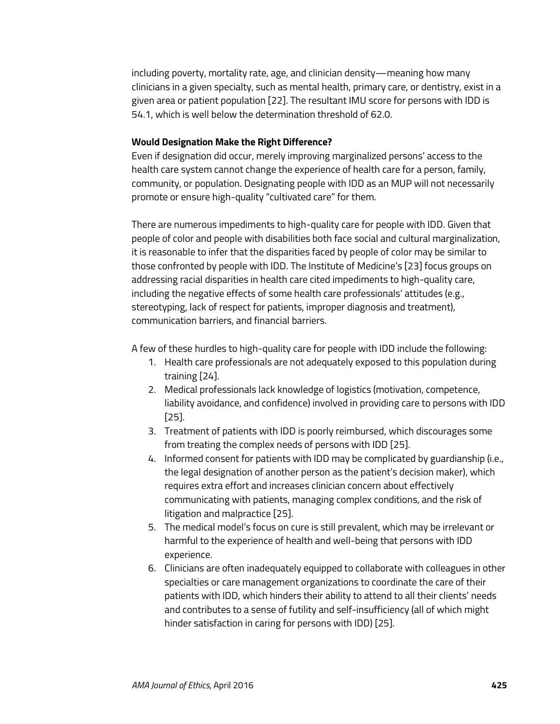including poverty, mortality rate, age, and clinician density—meaning how many clinicians in a given specialty, such as mental health, primary care, or dentistry, exist in a given area or patient population [22]. The resultant IMU score for persons with IDD is 54.1, which is well below the determination threshold of 62.0.

## **Would Designation Make the Right Difference?**

Even if designation did occur, merely improving marginalized persons' access to the health care system cannot change the experience of health care for a person, family, community, or population. Designating people with IDD as an MUP will not necessarily promote or ensure high-quality "cultivated care" for them.

There are numerous impediments to high-quality care for people with IDD. Given that people of color and people with disabilities both face social and cultural marginalization, it is reasonable to infer that the disparities faced by people of color may be similar to those confronted by people with IDD. The Institute of Medicine's [23] focus groups on addressing racial disparities in health care cited impediments to high-quality care, including the negative effects of some health care professionals' attitudes (e.g., stereotyping, lack of respect for patients, improper diagnosis and treatment), communication barriers, and financial barriers.

A few of these hurdles to high-quality care for people with IDD include the following:

- 1. Health care professionals are not adequately exposed to this population during training [24].
- 2. Medical professionals lack knowledge of logistics (motivation, competence, liability avoidance, and confidence) involved in providing care to persons with IDD [25].
- 3. Treatment of patients with IDD is poorly reimbursed, which discourages some from treating the complex needs of persons with IDD [25].
- 4. Informed consent for patients with IDD may be complicated by guardianship (i.e., the legal designation of another person as the patient's decision maker), which requires extra effort and increases clinician concern about effectively communicating with patients, managing complex conditions, and the risk of litigation and malpractice [25].
- 5. The medical model's focus on cure is still prevalent, which may be irrelevant or harmful to the experience of health and well-being that persons with IDD experience.
- 6. Clinicians are often inadequately equipped to collaborate with colleagues in other specialties or care management organizations to coordinate the care of their patients with IDD, which hinders their ability to attend to all their clients' needs and contributes to a sense of futility and self-insufficiency (all of which might hinder satisfaction in caring for persons with IDD) [25].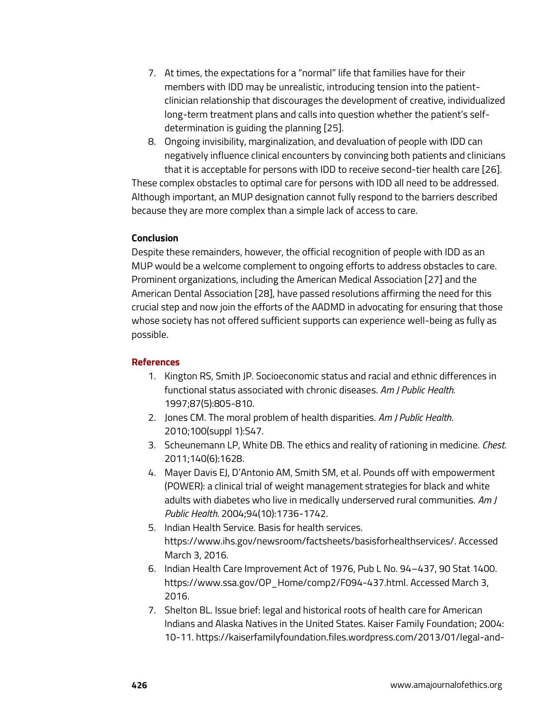- 7. At times, the expectations for a "normal" life that families have for their members with IDD may be unrealistic, introducing tension into the patientclinician relationship that discourages the development of creative, individualized long-term treatment plans and calls into question whether the patient's selfdetermination is guiding the planning [25].
- 8. Ongoing invisibility, marginalization, and devaluation of people with IDD can negatively influence clinical encounters by convincing both patients and clinicians that it is acceptable for persons with IDD to receive second-tier health care [26].

These complex obstacles to optimal care for persons with IDD all need to be addressed. Although important, an MUP designation cannot fully respond to the barriers described because they are more complex than a simple lack of access to care.

## **Conclusion**

Despite these remainders, however, the official recognition of people with IDD as an MUP would be a welcome complement to ongoing efforts to address obstacles to care. Prominent organizations, including the American Medical Association [27] and the American Dental Association [28], have passed resolutions affirming the need for this crucial step and now join the efforts of the AADMD in advocating for ensuring that those whose society has not offered sufficient supports can experience well-being as fully as possible.

## **References**

- 1. Kington RS, Smith JP. Socioeconomic status and racial and ethnic differences in functional status associated with chronic diseases. *Am J Public Health.* 1997;87(5):805-810.
- 2. Jones CM. The moral problem of health disparities. *Am J Public Health*. 2010;100(suppl 1):S47.
- 3. Scheunemann LP, White DB. The ethics and reality of rationing in medicine. *Chest*. 2011;140(6):1628.
- 4. Mayer Davis EJ, D'Antonio AM, Smith SM, et al. Pounds off with empowerment (POWER): a clinical trial of weight management strategies for black and white adults with diabetes who live in medically underserved rural communities. *Am J Public Health*. 2004;94(10):1736-1742.
- 5. Indian Health Service. Basis for health services. https://www.ihs.gov/newsroom/factsheets/basisforhealthservices/. Accessed March 3, 2016.
- 6. Indian Health Care Improvement Act of 1976, Pub L No. 94–437, 90 Stat 1400. https://www.ssa.gov/OP\_Home/comp2/F094-437.html. Accessed March 3, 2016.
- 7. Shelton BL. Issue brief: legal and historical roots of health care for American Indians and Alaska Natives in the United States. Kaiser Family Foundation; 2004: 10-11. https://kaiserfamilyfoundation.files.wordpress.com/2013/01/legal-and-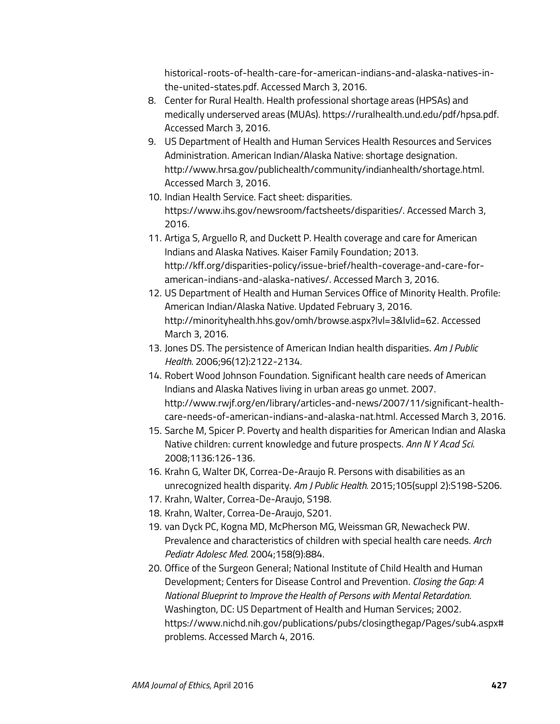historical-roots-of-health-care-for-american-indians-and-alaska-natives-inthe-united-states.pdf. Accessed March 3, 2016.

- 8. Center for Rural Health. Health professional shortage areas (HPSAs) and medically underserved areas (MUAs). https://ruralhealth.und.edu/pdf/hpsa.pdf. Accessed March 3, 2016.
- 9. US Department of Health and Human Services Health Resources and Services Administration. American Indian/Alaska Native: shortage designation. http://www.hrsa.gov/publichealth/community/indianhealth/shortage.html. Accessed March 3, 2016.
- 10. Indian Health Service. Fact sheet: disparities. https://www.ihs.gov/newsroom/factsheets/disparities/. Accessed March 3, 2016.
- 11. Artiga S, Arguello R, and Duckett P. Health coverage and care for American Indians and Alaska Natives. Kaiser Family Foundation; 2013. http://kff.org/disparities-policy/issue-brief/health-coverage-and-care-foramerican-indians-and-alaska-natives/. Accessed March 3, 2016.
- 12. US Department of Health and Human Services Office of Minority Health. Profile: American Indian/Alaska Native. Updated February 3, 2016. http://minorityhealth.hhs.gov/omh/browse.aspx?lvl=3&lvlid=62. Accessed March 3, 2016.
- 13. Jones DS. The persistence of American Indian health disparities. *Am J Public Health*. 2006;96(12):2122-2134.
- 14. Robert Wood Johnson Foundation. Significant health care needs of American Indians and Alaska Natives living in urban areas go unmet. 2007. http://www.rwjf.org/en/library/articles-and-news/2007/11/significant-healthcare-needs-of-american-indians-and-alaska-nat.html. Accessed March 3, 2016.
- 15. Sarche M, Spicer P. Poverty and health disparities for American Indian and Alaska Native children: current knowledge and future prospects. *Ann N Y Acad Sci*. 2008;1136:126-136.
- 16. Krahn G, Walter DK, Correa-De-Araujo R. Persons with disabilities as an unrecognized health disparity. *Am J Public Health.* 2015;105(suppl 2):S198-S206.
- 17. Krahn, Walter, Correa-De-Araujo, S198.
- 18. Krahn, Walter, Correa-De-Araujo, S201.
- 19. van Dyck PC, Kogna MD, McPherson MG, Weissman GR, Newacheck PW. Prevalence and characteristics of children with special health care needs. *Arch Pediatr Adolesc Med*. 2004;158(9):884.
- 20. Office of the Surgeon General; National Institute of Child Health and Human Development; Centers for Disease Control and Prevention. *Closing the Gap: A National Blueprint to Improve the Health of Persons with Mental Retardation*. Washington, DC: US Department of Health and Human Services; 2002. https://www.nichd.nih.gov/publications/pubs/closingthegap/Pages/sub4.aspx# problems. Accessed March 4, 2016.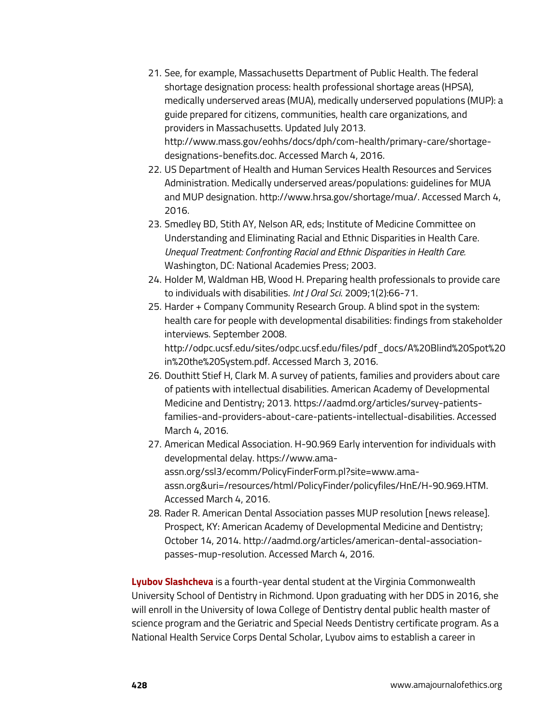- 21. See, for example, Massachusetts Department of Public Health. The federal shortage designation process: health professional shortage areas (HPSA), medically underserved areas (MUA), medically underserved populations (MUP): a guide prepared for citizens, communities, health care organizations, and providers in Massachusetts. Updated July 2013. http://www.mass.gov/eohhs/docs/dph/com-health/primary-care/shortagedesignations-benefits.doc. Accessed March 4, 2016.
- 22. US Department of Health and Human Services Health Resources and Services Administration. Medically underserved areas/populations: guidelines for MUA and MUP designation. http://www.hrsa.gov/shortage/mua/. Accessed March 4, 2016.
- 23. Smedley BD, Stith AY, Nelson AR, eds; Institute of Medicine Committee on Understanding and Eliminating Racial and Ethnic Disparities in Health Care. *Unequal Treatment: Confronting Racial and Ethnic Disparities in Health Care.* Washington, DC: National Academies Press; 2003.
- 24. Holder M, Waldman HB, Wood H. Preparing health professionals to provide care to individuals with disabilities. *Int J Oral Sci*. 2009;1(2):66-71.
- 25. Harder + Company Community Research Group. A blind spot in the system: health care for people with developmental disabilities: findings from stakeholder interviews. September 2008. http://odpc.ucsf.edu/sites/odpc.ucsf.edu/files/pdf\_docs/A%20Blind%20Spot%20 in%20the%20System.pdf. Accessed March 3, 2016.
- 26. Douthitt Stief H, Clark M. A survey of patients, families and providers about care of patients with intellectual disabilities. American Academy of Developmental Medicine and Dentistry; 2013. https://aadmd.org/articles/survey-patientsfamilies-and-providers-about-care-patients-intellectual-disabilities. Accessed March 4, 2016.
- 27. American Medical Association. H-90.969 Early intervention for individuals with developmental delay. https://www.amaassn.org/ssl3/ecomm/PolicyFinderForm.pl?site=www.amaassn.org&uri=/resources/html/PolicyFinder/policyfiles/HnE/H-90.969.HTM. Accessed March 4, 2016.
- 28. Rader R. American Dental Association passes MUP resolution [news release]. Prospect, KY: American Academy of Developmental Medicine and Dentistry; October 14, 2014. http://aadmd.org/articles/american-dental-associationpasses-mup-resolution. Accessed March 4, 2016.

**Lyubov Slashcheva** is a fourth-year dental student at the Virginia Commonwealth University School of Dentistry in Richmond. Upon graduating with her DDS in 2016, she will enroll in the University of Iowa College of Dentistry dental public health master of science program and the Geriatric and Special Needs Dentistry certificate program. As a National Health Service Corps Dental Scholar, Lyubov aims to establish a career in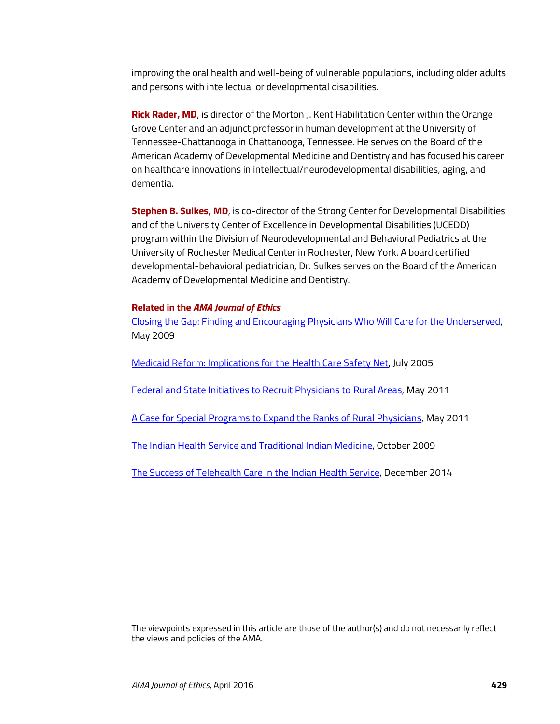improving the oral health and well-being of vulnerable populations, including older adults and persons with intellectual or developmental disabilities.

**Rick Rader, MD**, is director of the Morton J. Kent Habilitation Center within the Orange Grove Center and an adjunct professor in human development at the University of Tennessee-Chattanooga in Chattanooga, Tennessee. He serves on the Board of the American Academy of Developmental Medicine and Dentistry and has focused his career on healthcare innovations in intellectual/neurodevelopmental disabilities, aging, and dementia.

**Stephen B. Sulkes, MD**, is co-director of the Strong Center for Developmental Disabilities and of the University Center of Excellence in Developmental Disabilities (UCEDD) program within the Division of Neurodevelopmental and Behavioral Pediatrics at the University of Rochester Medical Center in Rochester, New York. A board certified developmental-behavioral pediatrician, Dr. Sulkes serves on the Board of the American Academy of Developmental Medicine and Dentistry.

#### **Related in the** *AMA Journal of Ethics*

Closing the Gap: Finding and Encouraging Physicians Who Will Care for the Underserved, [May 2009](http://journalofethics.ama-assn.org/2005/07/pfor3-0507.html)

[Medicaid Reform: Implications for the Health Care Safety Net, July](http://journalofethics.ama-assn.org/2011/05/pfor1-1105.html) 2005

[Federal and State Initiatives to Recruit Physicians to Rural Areas, May](http://journalofethics.ama-assn.org/2011/05/oped1-1105.html) 2011

[A Case for Special Programs to Expand the Ranks of Rural](http://journalofethics.ama-assn.org/2009/10/mhst1-0910.html) Physicians, May 2011

[The Indian Health Service and Traditional Indian Medicine, O](http://journalofethics.ama-assn.org/2014/12/stas1-1412.html)ctober 2009

The Success of Telehealth Care in the Indian Health Service, December 2014

The viewpoints expressed in this article are those of the author(s) and do not necessarily reflect the views and policies of the AMA.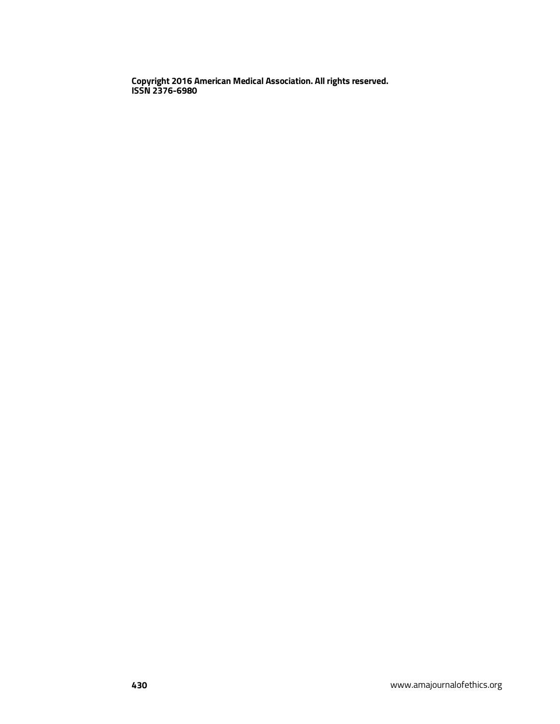**Copyright 2016 American Medical Association. All rights reserved. ISSN 2376-6980**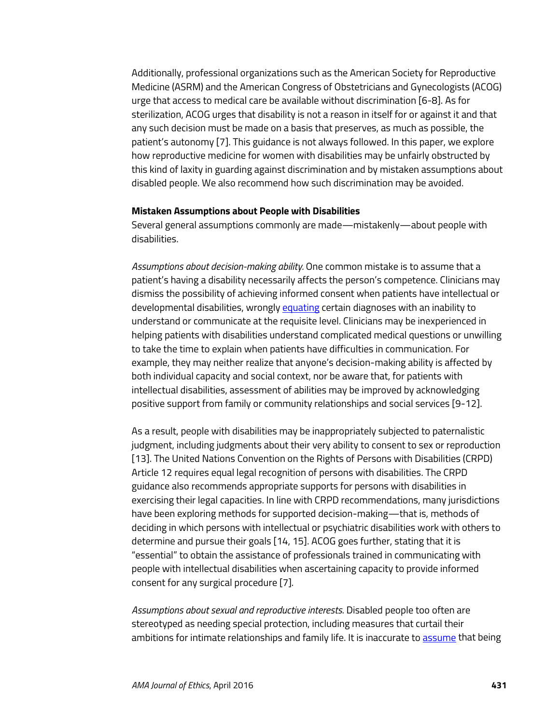Additionally, professional organizations such as the American Society for Reproductive Medicine (ASRM) and the American Congress of Obstetricians and Gynecologists (ACOG) urge that access to medical care be available without discrimination [6-8]. As for sterilization, ACOG urges that disability is not a reason in itself for or against it and that any such decision must be made on a basis that preserves, as much as possible, the patient's autonomy [7]. This guidance is not always followed. In this paper, we explore how reproductive medicine for women with disabilities may be unfairly obstructed by this kind of laxity in guarding against discrimination and by mistaken assumptions about disabled people. We also recommend how such discrimination may be avoided.

### **Mistaken Assumptions about People with Disabilities**

Several general assumptions commonly are made—mistakenly—about people with disabilities.

*Assumptions about decision-making ability.* One common mistake is to assume that a patient's having a disability necessarily affects the person's competence. Clinicians may dismiss the possibility of achieving informed consent when patients have intellectual or developmental disabilities, wrongly [equating](http://journalofethics.ama-assn.org/2016/04/ecas3-1604.html) certain diagnoses with an inability to understand or communicate at the requisite level. Clinicians may be inexperienced in helping patients with disabilities understand complicated medical questions or unwilling to take the time to explain when patients have difficulties in communication. For example, they may neither realize that anyone's decision-making ability is affected by both individual capacity and social context, nor be aware that, for patients with intellectual disabilities, assessment of abilities may be improved by acknowledging positive support from family or community relationships and social services [9-12].

As a result, people with disabilities may be inappropriately subjected to paternalistic judgment, including judgments about their very ability to consent to sex or reproduction [13]. The United Nations Convention on the Rights of Persons with Disabilities (CRPD) Article 12 requires equal legal recognition of persons with disabilities. The CRPD guidance also recommends appropriate supports for persons with disabilities in exercising their legal capacities. In line with CRPD recommendations, many jurisdictions have been exploring methods for supported decision-making—that is, methods of deciding in which persons with intellectual or psychiatric disabilities work with others to determine and pursue their goals [14, 15]. ACOG goes further, stating that it is "essential" to obtain the assistance of professionals trained in communicating with people with intellectual disabilities when ascertaining capacity to provide informed consent for any surgical procedure [7].

*Assumptions about sexual and reproductive interests*. Disabled people too often are stereotyped as needing special protection, including measures that curtail their ambitions for intimate relationships and family life. It is inaccurate to [assume](http://journalofethics.ama-assn.org/2016/04/ecas2-1604.html) that being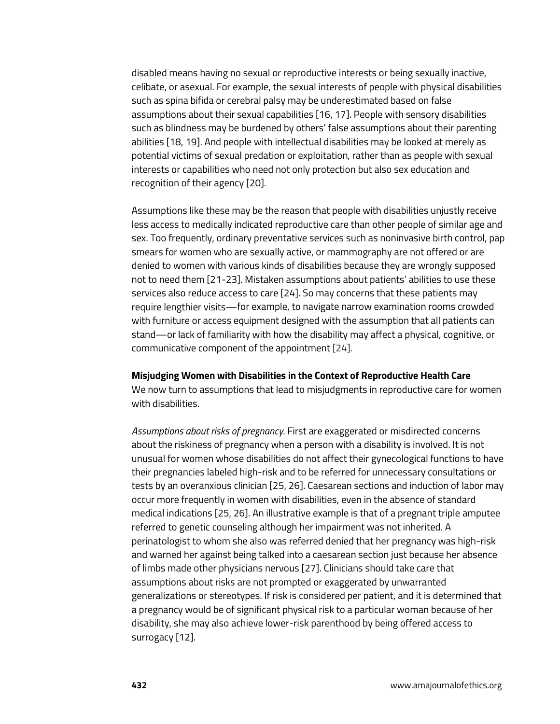disabled means having no sexual or reproductive interests or being sexually inactive, celibate, or asexual. For example, the sexual interests of people with physical disabilities such as spina bifida or cerebral palsy may be underestimated based on false assumptions about their sexual capabilities [16, 17]. People with sensory disabilities such as blindness may be burdened by others' false assumptions about their parenting abilities [18, 19]. And people with intellectual disabilities may be looked at merely as potential victims of sexual predation or exploitation, rather than as people with sexual interests or capabilities who need not only protection but also sex education and recognition of their agency [20].

Assumptions like these may be the reason that people with disabilities unjustly receive less access to medically indicated reproductive care than other people of similar age and sex. Too frequently, ordinary preventative services such as noninvasive birth control, pap smears for women who are sexually active, or mammography are not offered or are denied to women with various kinds of disabilities because they are wrongly supposed not to need them [21-23]. Mistaken assumptions about patients' abilities to use these services also reduce access to care [24]. So may concerns that these patients may require lengthier visits—for example, to navigate narrow examination rooms crowded with furniture or access equipment designed with the assumption that all patients can stand—or lack of familiarity with how the disability may affect a physical, cognitive, or communicative component of the appointment [24].

**Misjudging Women with Disabilities in the Context of Reproductive Health Care**

We now turn to assumptions that lead to misjudgments in reproductive care for women with disabilities.

*Assumptions about risks of pregnancy*. First are exaggerated or misdirected concerns about the riskiness of pregnancy when a person with a disability is involved. It is not unusual for women whose disabilities do not affect their gynecological functions to have their pregnancies labeled high-risk and to be referred for unnecessary consultations or tests by an overanxious clinician [25, 26]. Caesarean sections and induction of labor may occur more frequently in women with disabilities, even in the absence of standard medical indications [25, 26]. An illustrative example is that of a pregnant triple amputee referred to genetic counseling although her impairment was not inherited. A perinatologist to whom she also was referred denied that her pregnancy was high-risk and warned her against being talked into a caesarean section just because her absence of limbs made other physicians nervous [27]. Clinicians should take care that assumptions about risks are not prompted or exaggerated by unwarranted generalizations or stereotypes. If risk is considered per patient, and it is determined that a pregnancy would be of significant physical risk to a particular woman because of her disability, she may also achieve lower-risk parenthood by being offered access to surrogacy [12].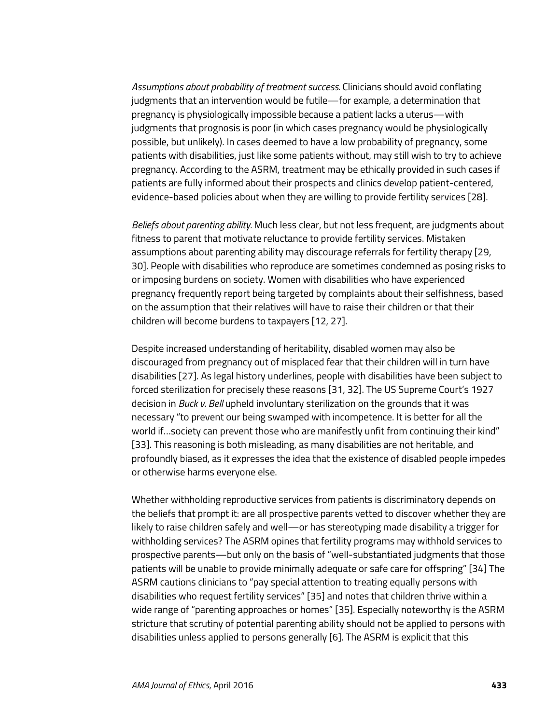*Assumptions about probability of treatment success.* Clinicians should avoid conflating judgments that an intervention would be futile—for example, a determination that pregnancy is physiologically impossible because a patient lacks a uterus—with judgments that prognosis is poor (in which cases pregnancy would be physiologically possible, but unlikely). In cases deemed to have a low probability of pregnancy, some patients with disabilities, just like some patients without, may still wish to try to achieve pregnancy. According to the ASRM, treatment may be ethically provided in such cases if patients are fully informed about their prospects and clinics develop patient-centered, evidence-based policies about when they are willing to provide fertility services [28].

*Beliefs about parenting ability.* Much less clear, but not less frequent, are judgments about fitness to parent that motivate reluctance to provide fertility services. Mistaken assumptions about parenting ability may discourage referrals for fertility therapy [29, 30]. People with disabilities who reproduce are sometimes condemned as posing risks to or imposing burdens on society. Women with disabilities who have experienced pregnancy frequently report being targeted by complaints about their selfishness, based on the assumption that their relatives will have to raise their children or that their children will become burdens to taxpayers [12, 27].

Despite increased understanding of heritability, disabled women may also be discouraged from pregnancy out of misplaced fear that their children will in turn have disabilities [27]. As legal history underlines, people with disabilities have been subject to forced sterilization for precisely these reasons [31, 32]. The US Supreme Court's 1927 decision in *Buck v. Bell* upheld involuntary sterilization on the grounds that it was necessary "to prevent our being swamped with incompetence. It is better for all the world if…society can prevent those who are manifestly unfit from continuing their kind" [33]. This reasoning is both misleading, as many disabilities are not heritable, and profoundly biased, as it expresses the idea that the existence of disabled people impedes or otherwise harms everyone else.

Whether withholding reproductive services from patients is discriminatory depends on the beliefs that prompt it: are all prospective parents vetted to discover whether they are likely to raise children safely and well—or has stereotyping made disability a trigger for withholding services? The ASRM opines that fertility programs may withhold services to prospective parents—but only on the basis of "well-substantiated judgments that those patients will be unable to provide minimally adequate or safe care for offspring" [34] The ASRM cautions clinicians to "pay special attention to treating equally persons with disabilities who request fertility services" [35] and notes that children thrive within a wide range of "parenting approaches or homes" [35]. Especially noteworthy is the ASRM stricture that scrutiny of potential parenting ability should not be applied to persons with disabilities unless applied to persons generally [6]. The ASRM is explicit that this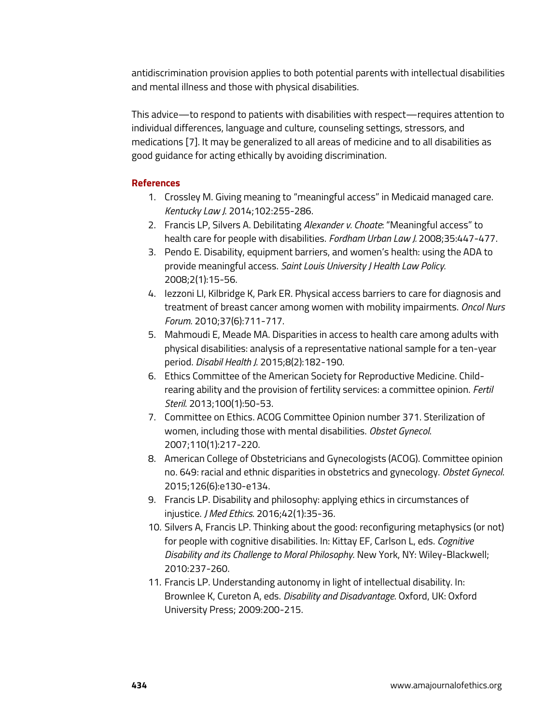antidiscrimination provision applies to both potential parents with intellectual disabilities and mental illness and those with physical disabilities.

This advice—to respond to patients with disabilities with respect—requires attention to individual differences, language and culture, counseling settings, stressors, and medications [7]. It may be generalized to all areas of medicine and to all disabilities as good guidance for acting ethically by avoiding discrimination.

# **References**

- 1. Crossley M. Giving meaning to "meaningful access" in Medicaid managed care. *Kentucky Law J*. 2014;102:255-286.
- 2. Francis LP, Silvers A. Debilitating *Alexander v. Choate*: "Meaningful access" to health care for people with disabilities. *Fordham Urban Law J.* 2008;35:447-477.
- 3. Pendo E. Disability, equipment barriers, and women's health: using the ADA to provide meaningful access. *Saint Louis University J Health Law Policy.*  2008;2(1):15-56.
- 4. Iezzoni LI, Kilbridge K, Park ER. Physical access barriers to care for diagnosis and treatment of breast cancer among women with mobility impairments. *Oncol Nurs Forum*. 2010;37(6):711-717.
- 5. Mahmoudi E, Meade MA. Disparities in access to health care among adults with physical disabilities: analysis of a representative national sample for a ten-year period. *Disabil Health J*. 2015;8(2):182-190.
- 6. Ethics Committee of the American Society for Reproductive Medicine. Childrearing ability and the provision of fertility services: a committee opinion. *Fertil Steril*. 2013;100(1):50-53.
- 7. Committee on Ethics. ACOG Committee Opinion number 371. Sterilization of women, including those with mental disabilities. *Obstet Gynecol*. 2007;110(1):217-220.
- 8. American College of Obstetricians and Gynecologists (ACOG). Committee opinion no. 649: racial and ethnic disparities in obstetrics and gynecology. *Obstet Gynecol*. 2015;126(6):e130-e134.
- 9. Francis LP. Disability and philosophy: applying ethics in circumstances of injustice. *J Med Ethics*. 2016;42(1):35-36.
- 10. Silvers A, Francis LP. Thinking about the good: reconfiguring metaphysics (or not) for people with cognitive disabilities. In: Kittay EF, Carlson L, eds. *Cognitive Disability and its Challenge to Moral Philosophy*. New York, NY: Wiley-Blackwell; 2010:237-260.
- 11. Francis LP. Understanding autonomy in light of intellectual disability. In: Brownlee K, Cureton A, eds. *Disability and Disadvantage*. Oxford, UK: Oxford University Press; 2009:200-215.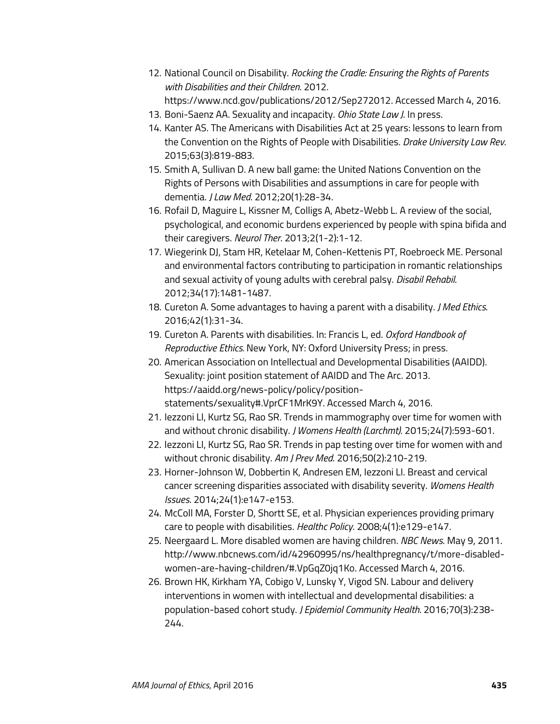- 12. National Council on Disability. *Rocking the Cradle: Ensuring the Rights of Parents with Disabilities and their Children*. 2012. https://www.ncd.gov/publications/2012/Sep272012. Accessed March 4, 2016.
- 13. Boni-Saenz AA. Sexuality and incapacity. *Ohio State Law J*. In press.
- 14. Kanter AS. The Americans with Disabilities Act at 25 years: lessons to learn from the Convention on the Rights of People with Disabilities. *Drake University Law Rev*. 2015;63(3):819-883.
- 15. Smith A, Sullivan D. A new ball game: the United Nations Convention on the Rights of Persons with Disabilities and assumptions in care for people with dementia. *J Law Med*. 2012;20(1):28-34.
- 16. Rofail D, Maguire L, Kissner M, Colligs A, Abetz-Webb L. A review of the social, psychological, and economic burdens experienced by people with spina bifida and their caregivers. *Neurol Ther*. 2013;2(1-2):1-12.
- 17. Wiegerink DJ, Stam HR, Ketelaar M, Cohen-Kettenis PT, Roebroeck ME. Personal and environmental factors contributing to participation in romantic relationships and sexual activity of young adults with cerebral palsy. *Disabil Rehabil*. 2012;34(17):1481-1487.
- 18. Cureton A. Some advantages to having a parent with a disability. *J Med Ethics*. 2016;42(1):31-34.
- 19. Cureton A. Parents with disabilities. In: Francis L, ed. *Oxford Handbook of Reproductive Ethics.* New York, NY: Oxford University Press; in press.
- 20. American Association on Intellectual and Developmental Disabilities (AAIDD). Sexuality: joint position statement of AAIDD and The Arc. 2013. https://aaidd.org/news-policy/policy/positionstatements/sexuality#.VprCF1MrK9Y. Accessed March 4, 2016.
- 21. Iezzoni LI, Kurtz SG, Rao SR. Trends in mammography over time for women with and without chronic disability. *J Womens Health (Larchmt)*. 2015;24(7):593-601.
- 22. Iezzoni LI, Kurtz SG, Rao SR. Trends in pap testing over time for women with and without chronic disability. *Am J Prev Med*. 2016;50(2):210-219.
- 23. Horner-Johnson W, Dobbertin K, Andresen EM, Iezzoni LI. Breast and cervical cancer screening disparities associated with disability severity. *Womens Health Issues*. 2014;24(1):e147-e153.
- 24. McColl MA, Forster D, Shortt SE, et al. Physician experiences providing primary care to people with disabilities. *Healthc Policy*. 2008;4(1):e129-e147.
- 25. Neergaard L. More disabled women are having children. *NBC News*. May 9, 2011. http://www.nbcnews.com/id/42960995/ns/healthpregnancy/t/more-disabledwomen-are-having-children/#.VpGqZ0jq1Ko. Accessed March 4, 2016.
- 26. Brown HK, Kirkham YA, Cobigo V, Lunsky Y, Vigod SN. Labour and delivery interventions in women with intellectual and developmental disabilities: a population-based cohort study. *J Epidemiol Community Health*. 2016;70(3):238- 244.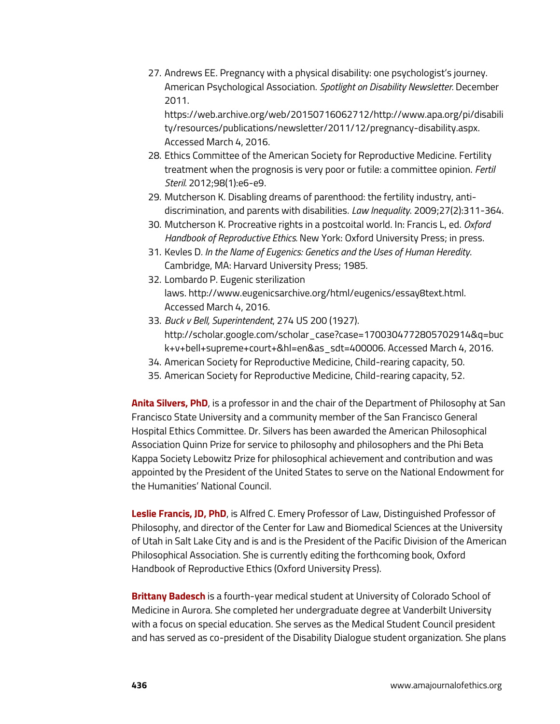27. Andrews EE. Pregnancy with a physical disability: one psychologist's journey. American Psychological Association. *Spotlight on Disability Newsletter.* December 2011.

https://web.archive.org/web/20150716062712/http://www.apa.org/pi/disabili ty/resources/publications/newsletter/2011/12/pregnancy-disability.aspx. Accessed March 4, 2016.

- 28. Ethics Committee of the American Society for Reproductive Medicine. Fertility treatment when the prognosis is very poor or futile: a committee opinion. *Fertil Steril.* 2012;98(1):e6-e9.
- 29. Mutcherson K. Disabling dreams of parenthood: the fertility industry, antidiscrimination, and parents with disabilities. *Law Inequality*. 2009;27(2):311-364.
- 30. Mutcherson K. Procreative rights in a postcoital world. In: Francis L, ed. *Oxford Handbook of Reproductive Ethics.* New York: Oxford University Press; in press.
- 31. Kevles D*. In the Name of Eugenics: Genetics and the Uses of Human Heredity*. Cambridge, MA: Harvard University Press; 1985.
- 32. Lombardo P. Eugenic sterilization laws. http://www.eugenicsarchive.org/html/eugenics/essay8text.html. Accessed March 4, 2016.
- 33. *Buck v Bell, Superintendent*, 274 US 200 (1927). http://scholar.google.com/scholar\_case?case=1700304772805702914&q=buc k+v+bell+supreme+court+&hl=en&as\_sdt=400006. Accessed March 4, 2016.
- 34. American Society for Reproductive Medicine, Child-rearing capacity, 50.
- 35. American Society for Reproductive Medicine, Child-rearing capacity, 52.

**Anita Silvers, PhD**, is a professor in and the chair of the Department of Philosophy at San Francisco State University and a community member of the San Francisco General Hospital Ethics Committee. Dr. Silvers has been awarded the American Philosophical Association Quinn Prize for service to philosophy and philosophers and the Phi Beta Kappa Society Lebowitz Prize for philosophical achievement and contribution and was appointed by the President of the United States to serve on the National Endowment for the Humanities' National Council.

**Leslie Francis, JD, PhD**, is Alfred C. Emery Professor of Law, Distinguished Professor of Philosophy, and director of the Center for Law and Biomedical Sciences at the University of Utah in Salt Lake City and is and is the President of the Pacific Division of the American Philosophical Association. She is currently editing the forthcoming book, Oxford Handbook of Reproductive Ethics (Oxford University Press).

**Brittany Badesch** is a fourth-year medical student at University of Colorado School of Medicine in Aurora. She completed her undergraduate degree at Vanderbilt University with a focus on special education. She serves as the Medical Student Council president and has served as co-president of the Disability Dialogue student organization. She plans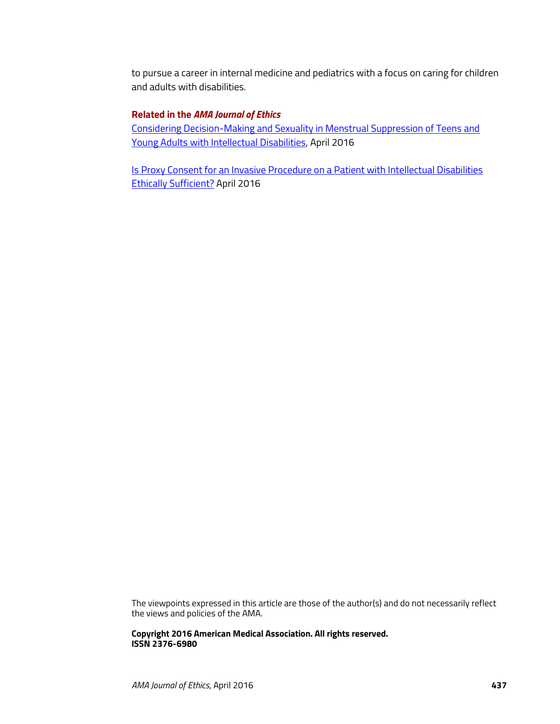to pursue a career in internal medicine and pediatrics with a focus on caring for children and adults with disabilities.

### **Related in the** *AMA Journal of Ethics*

[Considering Decision-Making and Sexuality in Menstrual Suppression of Teens and](http://journalofethics.ama-assn.org/2016/04/ecas2-1604.html)  [Young Adults with Intellectual Disabilities,](http://journalofethics.ama-assn.org/2016/04/ecas2-1604.html) April 2016

[Is Proxy Consent for an Invasive Procedure on a Patient with Intellectual Disabilities](http://journalofethics.ama-assn.org/2016/04/ecas3-1604.html)  [Ethically Sufficient?](http://journalofethics.ama-assn.org/2016/04/ecas3-1604.html) April 2016

The viewpoints expressed in this article are those of the author(s) and do not necessarily reflect the views and policies of the AMA.

**Copyright 2016 American Medical Association. All rights reserved. ISSN 2376-6980**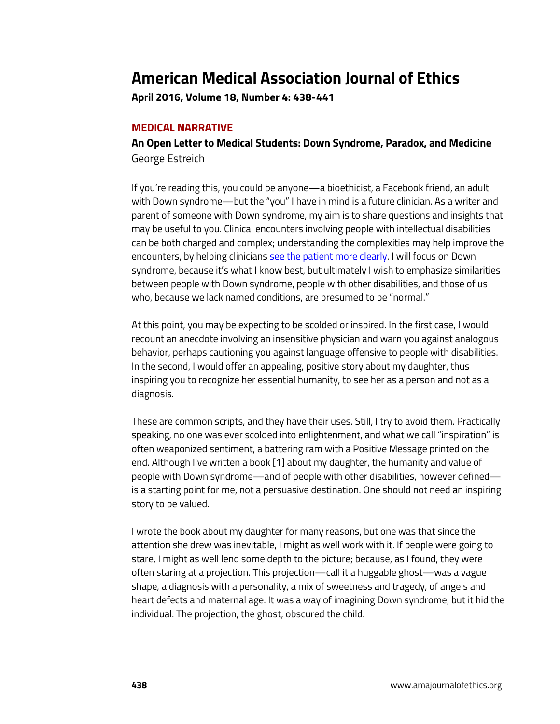# **American Medical Association Journal of Ethics**

**April 2016, Volume 18, Number 4: 438-441**

# **MEDICAL NARRATIVE**

**An Open Letter to Medical Students: Down Syndrome, Paradox, and Medicine** George Estreich

If you're reading this, you could be anyone—a bioethicist, a Facebook friend, an adult with Down syndrome—but the "you" I have in mind is a future clinician. As a writer and parent of someone with Down syndrome, my aim is to share questions and insights that may be useful to you. Clinical encounters involving people with intellectual disabilities can be both charged and complex; understanding the complexities may help improve the encounters, by helping clinicians [see the patient more clearly.](http://journalofethics.ama-assn.org/2016/04/medu1-1604.html) I will focus on Down syndrome, because it's what I know best, but ultimately I wish to emphasize similarities between people with Down syndrome, people with other disabilities, and those of us who, because we lack named conditions, are presumed to be "normal."

At this point, you may be expecting to be scolded or inspired. In the first case, I would recount an anecdote involving an insensitive physician and warn you against analogous behavior, perhaps cautioning you against language offensive to people with disabilities. In the second, I would offer an appealing, positive story about my daughter, thus inspiring you to recognize her essential humanity, to see her as a person and not as a diagnosis.

These are common scripts, and they have their uses. Still, I try to avoid them. Practically speaking, no one was ever scolded into enlightenment, and what we call "inspiration" is often weaponized sentiment, a battering ram with a Positive Message printed on the end. Although I've written a book [1] about my daughter, the humanity and value of people with Down syndrome—and of people with other disabilities, however defined is a starting point for me, not a persuasive destination. One should not need an inspiring story to be valued.

I wrote the book about my daughter for many reasons, but one was that since the attention she drew was inevitable, I might as well work with it. If people were going to stare, I might as well lend some depth to the picture; because, as I found, they were often staring at a projection. This projection—call it a huggable ghost—was a vague shape, a diagnosis with a personality, a mix of sweetness and tragedy, of angels and heart defects and maternal age. It was a way of imagining Down syndrome, but it hid the individual. The projection, the ghost, obscured the child.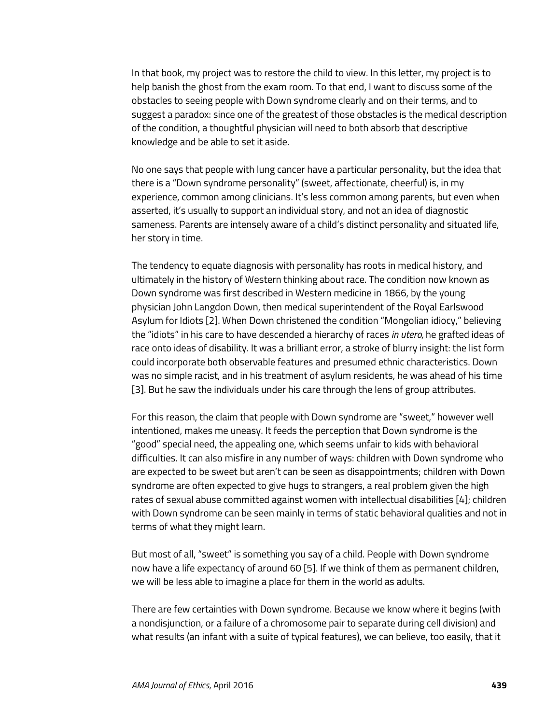In that book, my project was to restore the child to view. In this letter, my project is to help banish the ghost from the exam room. To that end, I want to discuss some of the obstacles to seeing people with Down syndrome clearly and on their terms, and to suggest a paradox: since one of the greatest of those obstacles is the medical description of the condition, a thoughtful physician will need to both absorb that descriptive knowledge and be able to set it aside.

No one says that people with lung cancer have a particular personality, but the idea that there is a "Down syndrome personality" (sweet, affectionate, cheerful) is, in my experience, common among clinicians. It's less common among parents, but even when asserted, it's usually to support an individual story, and not an idea of diagnostic sameness. Parents are intensely aware of a child's distinct personality and situated life, her story in time.

The tendency to equate diagnosis with personality has roots in medical history, and ultimately in the history of Western thinking about race. The condition now known as Down syndrome was first described in Western medicine in 1866, by the young physician John Langdon Down, then medical superintendent of the Royal Earlswood Asylum for Idiots [2]. When Down christened the condition "Mongolian idiocy," believing the "idiots" in his care to have descended a hierarchy of races *in utero,* he grafted ideas of race onto ideas of disability. It was a brilliant error, a stroke of blurry insight: the list form could incorporate both observable features and presumed ethnic characteristics. Down was no simple racist, and in his treatment of asylum residents, he was ahead of his time [3]. But he saw the individuals under his care through the lens of group attributes.

For this reason, the claim that people with Down syndrome are "sweet," however well intentioned, makes me uneasy. It feeds the perception that Down syndrome is the "good" special need, the appealing one, which seems unfair to kids with behavioral difficulties. It can also misfire in any number of ways: children with Down syndrome who are expected to be sweet but aren't can be seen as disappointments; children with Down syndrome are often expected to give hugs to strangers, a real problem given the high rates of sexual abuse committed against women with intellectual disabilities [4]; children with Down syndrome can be seen mainly in terms of static behavioral qualities and not in terms of what they might learn.

But most of all, "sweet" is something you say of a child. People with Down syndrome now have a life expectancy of around 60 [5]. If we think of them as permanent children, we will be less able to imagine a place for them in the world as adults.

There are few certainties with Down syndrome. Because we know where it begins (with a nondisjunction, or a failure of a chromosome pair to separate during cell division) and what results (an infant with a suite of typical features), we can believe, too easily, that it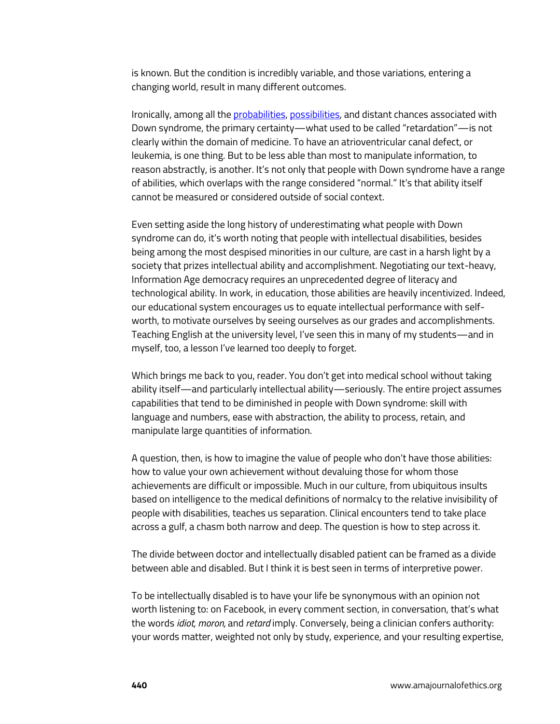is known. But the condition is incredibly variable, and those variations, entering a changing world, result in many different outcomes.

Ironically, among all the **probabilities, possibilities**, and distant chances associated with Down syndrome, the primary certainty—what used to be called "retardation"—is not clearly within the domain of medicine. To have an atrioventricular canal defect, or leukemia, is one thing. But to be less able than most to manipulate information, to reason abstractly, is another. It's not only that people with Down syndrome have a range of abilities, which overlaps with the range considered "normal." It's that ability itself cannot be measured or considered outside of social context.

Even setting aside the long history of underestimating what people with Down syndrome can do, it's worth noting that people with intellectual disabilities, besides being among the most despised minorities in our culture, are cast in a harsh light by a society that prizes intellectual ability and accomplishment. Negotiating our text-heavy, Information Age democracy requires an unprecedented degree of literacy and technological ability. In work, in education, those abilities are heavily incentivized. Indeed, our educational system encourages us to equate intellectual performance with selfworth, to motivate ourselves by seeing ourselves as our grades and accomplishments. Teaching English at the university level, I've seen this in many of my students—and in myself, too, a lesson I've learned too deeply to forget.

Which brings me back to you, reader. You don't get into medical school without taking ability itself—and particularly intellectual ability—seriously. The entire project assumes capabilities that tend to be diminished in people with Down syndrome: skill with language and numbers, ease with abstraction, the ability to process, retain, and manipulate large quantities of information.

A question, then, is how to imagine the value of people who don't have those abilities: how to value your own achievement without devaluing those for whom those achievements are difficult or impossible. Much in our culture, from ubiquitous insults based on intelligence to the medical definitions of normalcy to the relative invisibility of people with disabilities, teaches us separation. Clinical encounters tend to take place across a gulf, a chasm both narrow and deep. The question is how to step across it.

The divide between doctor and intellectually disabled patient can be framed as a divide between able and disabled. But I think it is best seen in terms of interpretive power.

To be intellectually disabled is to have your life be synonymous with an opinion not worth listening to: on Facebook, in every comment section, in conversation, that's what the words *idiot, moron,* and *retard* imply. Conversely, being a clinician confers authority: your words matter, weighted not only by study, experience, and your resulting expertise,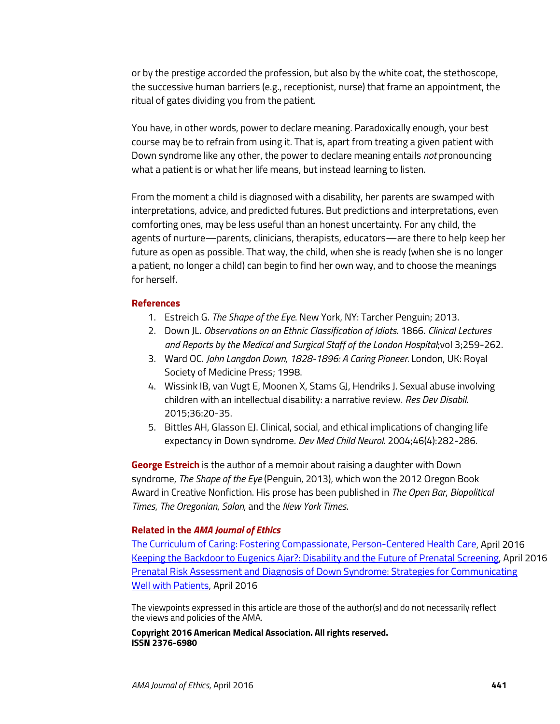or by the prestige accorded the profession, but also by the white coat, the stethoscope, the successive human barriers (e.g., receptionist, nurse) that frame an appointment, the ritual of gates dividing you from the patient.

You have, in other words, power to declare meaning. Paradoxically enough, your best course may be to refrain from using it. That is, apart from treating a given patient with Down syndrome like any other, the power to declare meaning entails *not* pronouncing what a patient is or what her life means, but instead learning to listen.

From the moment a child is diagnosed with a disability, her parents are swamped with interpretations, advice, and predicted futures. But predictions and interpretations, even comforting ones, may be less useful than an honest uncertainty. For any child, the agents of nurture—parents, clinicians, therapists, educators—are there to help keep her future as open as possible. That way, the child, when she is ready (when she is no longer a patient, no longer a child) can begin to find her own way, and to choose the meanings for herself.

## **References**

- 1. Estreich G. *The Shape of the Eye*. New York, NY: Tarcher Penguin; 2013.
- 2. Down JL. *Observations on an Ethnic Classification of Idiots*. 1866. *Clinical Lectures and Reports by the Medical and Surgical Staff of the London Hospital*;vol 3;259-262.
- 3. Ward OC. *John Langdon Down, 1828-1896: A Caring Pioneer.* London, UK: Royal Society of Medicine Press; 1998.
- 4. Wissink IB, van Vugt E, Moonen X, Stams GJ, Hendriks J. Sexual abuse involving children with an intellectual disability: a narrative review. *Res Dev Disabil*. 2015;36:20-35.
- 5. Bittles AH, Glasson EJ. Clinical, social, and ethical implications of changing life expectancy in Down syndrome. *Dev Med Child Neurol*. 2004;46(4):282-286.

**George Estreich** is the author of a memoir about raising a daughter with Down syndrome, *The Shape of the Eye* (Penguin, 2013), which won the 2012 Oregon Book Award in Creative Nonfiction. His prose has been published in *The Open Bar*, *Biopolitical Times*, *The Oregonian*, *Salon*, and the *New York Times*.

#### **Related in the** *AMA Journal of Ethics*

[The Curriculum of Caring: Fostering Compassionate, Person-Centered Health Care,](http://journalofethics.ama-assn.org/2016/04/medu1-1604.html) April 2016 [Keeping the Backdoor to Eugenics Ajar?: Disability and the Future of Prenatal Screening,](http://journalofethics.ama-assn.org/2016/04/stas1-1604.html) April 2016 [Prenatal Risk Assessment and Diagnosis of Down Syndrome: Strategies for Communicating](http://journalofethics.ama-assn.org/2016/04/ecas1-1604.html)  [Well with Patients,](http://journalofethics.ama-assn.org/2016/04/ecas1-1604.html) April 2016

The viewpoints expressed in this article are those of the author(s) and do not necessarily reflect the views and policies of the AMA.

#### **Copyright 2016 American Medical Association. All rights reserved. ISSN 2376-6980**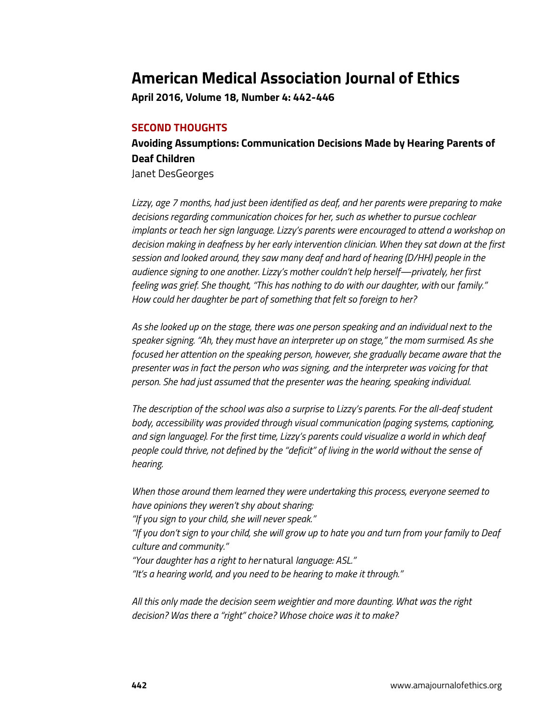# **American Medical Association Journal of Ethics**

**April 2016, Volume 18, Number 4: 442-446**

# **SECOND THOUGHTS**

**Avoiding Assumptions: Communication Decisions Made by Hearing Parents of Deaf Children**

Janet DesGeorges

*Lizzy, age 7 months, had just been identified as deaf, and her parents were preparing to make decisions regarding communication choices for her, such as whether to pursue cochlear implants or teach her sign language. Lizzy's parents were encouraged to attend a workshop on decision making in deafness by her early intervention clinician. When they sat down at the first session and looked around, they saw many deaf and hard of hearing (D/HH) people in the audience signing to one another. Lizzy's mother couldn't help herself—privately, her first*  feeling was grief. She thought, "This has nothing to do with our daughter, with our family." *How could her daughter be part of something that felt so foreign to her?*

*As she looked up on the stage, there was one person speaking and an individual next to the speaker signing. "Ah, they must have an interpreter up on stage," the mom surmised. As she focused her attention on the speaking person, however, she gradually became aware that the presenter was in fact the person who was signing, and the interpreter was voicing for that person. She had just assumed that the presenter was the hearing, speaking individual.*

*The description of the school was also a surprise to Lizzy's parents. For the all-deaf student body, accessibility was provided through visual communication (paging systems, captioning, and sign language). For the first time, Lizzy's parents could visualize a world in which deaf people could thrive, not defined by the "deficit" of living in the world without the sense of hearing.*

*When those around them learned they were undertaking this process, everyone seemed to have opinions they weren't shy about sharing:*

*"If you sign to your child, she will never speak."*

*"If you don't sign to your child, she will grow up to hate you and turn from your family to Deaf culture and community."*

*"Your daughter has a right to her* natural *language: ASL."*

*"It's a hearing world, and you need to be hearing to make it through."*

*All this only made the decision seem weightier and more daunting. What was the right decision? Was there a "right" choice? Whose choice was it to make?*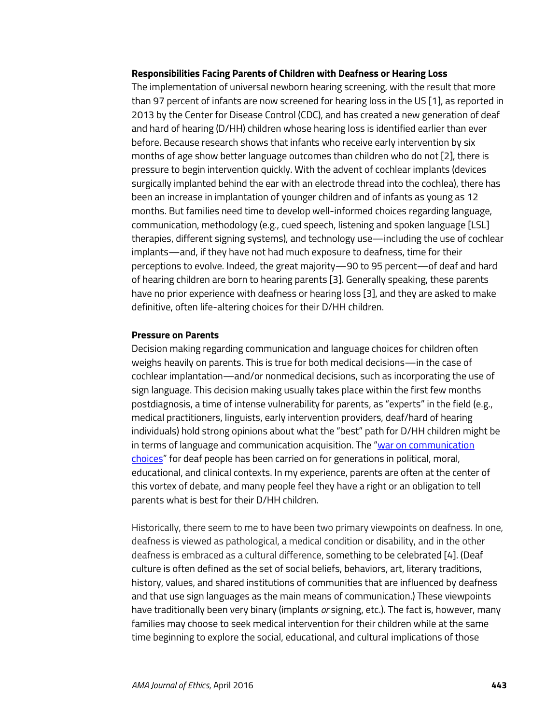#### **Responsibilities Facing Parents of Children with Deafness or Hearing Loss**

The implementation of universal newborn hearing screening, with the result that more than 97 percent of infants are now screened for hearing loss in the US [1], as reported in 2013 by the Center for Disease Control (CDC), and has created a new generation of deaf and hard of hearing (D/HH) children whose hearing loss is identified earlier than ever before. Because research shows that infants who receive early intervention by six months of age show better language outcomes than children who do not [2], there is pressure to begin intervention quickly. With the advent of cochlear implants (devices surgically implanted behind the ear with an electrode thread into the cochlea), there has been an increase in implantation of younger children and of infants as young as 12 months. But families need time to develop well-informed choices regarding language, communication, methodology (e.g., cued speech, listening and spoken language [LSL] therapies, different signing systems), and technology use—including the use of cochlear implants—and, if they have not had much exposure to deafness, time for their perceptions to evolve. Indeed, the great majority—90 to 95 percent—of deaf and hard of hearing children are born to hearing parents [3]. Generally speaking, these parents have no prior experience with deafness or hearing loss [3], and they are asked to make definitive, often life-altering choices for their D/HH children.

#### **Pressure on Parents**

Decision making regarding communication and language choices for children often weighs heavily on parents. This is true for both medical decisions—in the case of cochlear implantation—and/or nonmedical decisions, such as incorporating the use of sign language. This decision making usually takes place within the first few months postdiagnosis, a time of intense vulnerability for parents, as "experts" in the field (e.g., medical practitioners, linguists, early intervention providers, deaf/hard of hearing individuals) hold strong opinions about what the "best" path for D/HH children might be in terms of language and communication acquisition. The ["war on communication](http://journalofethics.ama-assn.org/2007/02/oped1-0702.html)  [choices"](http://journalofethics.ama-assn.org/2007/02/oped1-0702.html) for deaf people has been carried on for generations in political, moral, educational, and clinical contexts. In my experience, parents are often at the center of this vortex of debate, and many people feel they have a right or an obligation to tell parents what is best for their D/HH children.

Historically, there seem to me to have been two primary viewpoints on deafness. In one, deafness is viewed as pathological, a medical condition or disability, and in the other deafness is embraced as a cultural difference, something to be celebrated [4]. (Deaf culture is often defined as the set of social beliefs, behaviors, art, literary traditions, history, values, and shared institutions of communities that are influenced b[y deafness](https://en.wikipedia.org/wiki/Deafness) and that use [sign languages](https://en.wikipedia.org/wiki/Sign_language) as the main means of communication.) These viewpoints have traditionally been very binary (implants *or* signing, etc.). The fact is, however, many families may choose to seek medical intervention for their children while at the same time beginning to explore the social, educational, and cultural implications of those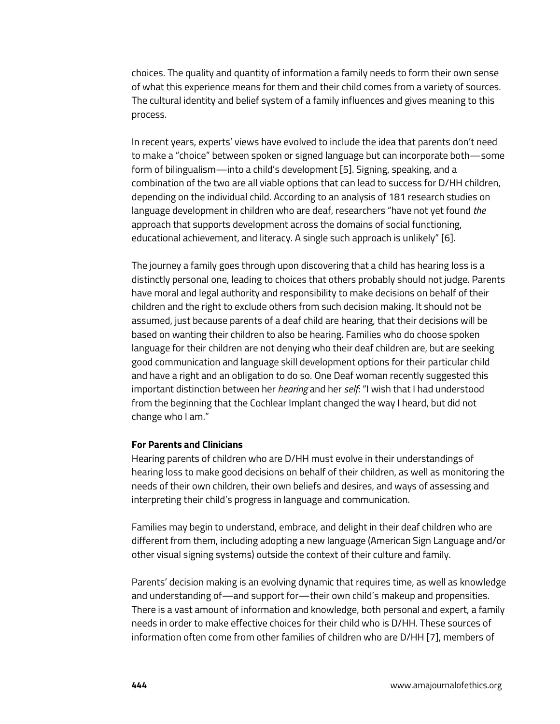choices. The quality and quantity of information a family needs to form their own sense of what this experience means for them and their child comes from a variety of sources. The cultural identity and belief system of a family influences and gives meaning to this process.

In recent years, experts' views have evolved to include the idea that parents don't need to make a "choice" between spoken or signed language but can incorporate both—some form of bilingualism—into a child's development [5]. Signing, speaking, and a combination of the two are all viable options that can lead to success for D/HH children, depending on the individual child. According to an analysis of 181 research studies on language development in children who are deaf, researchers "have not yet found *the* approach that supports development across the domains of social functioning, educational achievement, and literacy. A single such approach is unlikely" [6].

The journey a family goes through upon discovering that a child has hearing loss is a distinctly personal one, leading to choices that others probably should not judge. Parents have moral and legal authority and responsibility to make decisions on behalf of their children and the right to exclude others from such decision making. It should not be assumed, just because parents of a deaf child are hearing, that their decisions will be based on wanting their children to also be hearing. Families who do choose spoken language for their children are not denying who their deaf children are, but are seeking good communication and language skill development options for their particular child and have a right and an obligation to do so. One Deaf woman recently suggested this important distinction between her *hearing* and her *self*: "I wish that I had understood from the beginning that the Cochlear Implant changed the way I heard, but did not change who I am."

#### **For Parents and Clinicians**

Hearing parents of children who are D/HH must evolve in their understandings of hearing loss to make good decisions on behalf of their children, as well as monitoring the needs of their own children, their own beliefs and desires, and ways of assessing and interpreting their child's progress in language and communication.

Families may begin to understand, embrace, and delight in their deaf children who are different from them, including adopting a new language (American Sign Language and/or other visual signing systems) outside the context of their culture and family.

Parents' decision making is an evolving dynamic that requires time, as well as knowledge and understanding of—and support for—their own child's makeup and propensities. There is a vast amount of information and knowledge, both personal and expert, a family needs in order to make effective choices for their child who is D/HH. These sources of information often come from other families of children who are D/HH [7], members of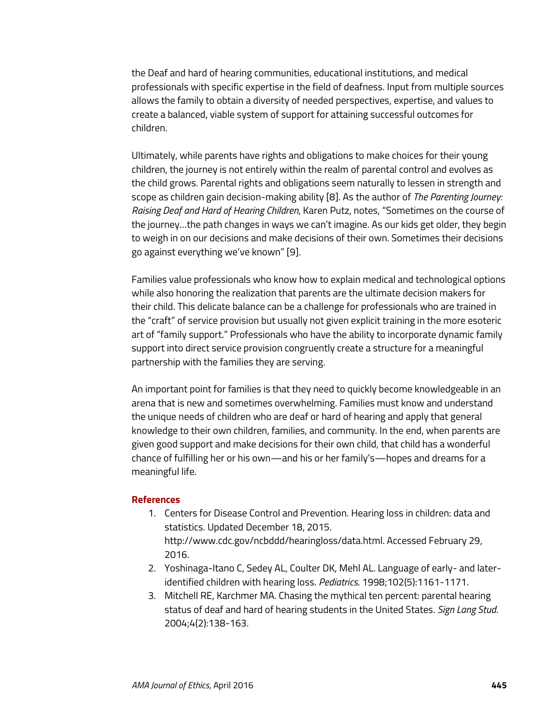the Deaf and hard of hearing communities, educational institutions, and medical professionals with specific expertise in the field of deafness. Input from multiple sources allows the family to obtain a diversity of needed perspectives, expertise, and values to create a balanced, viable system of support for attaining successful outcomes for children.

Ultimately, while parents have rights and obligations to make choices for their young children, the journey is not entirely within the realm of parental control and evolves as the child grows. Parental rights and obligations seem naturally to lessen in strength and scope as children gain decision-making ability [8]. As the author of *The Parenting Journey: Raising Deaf and Hard of Hearing Children*, Karen Putz, notes, "Sometimes on the course of the journey…the path changes in ways we can't imagine. As our kids get older, they begin to weigh in on our decisions and make decisions of their own. Sometimes their decisions go against everything we've known" [9].

Families value professionals who know how to explain medical and technological options while also honoring the realization that parents are the ultimate decision makers for their child. This delicate balance can be a challenge for professionals who are trained in the "craft" of service provision but usually not given explicit training in the more esoteric art of "family support." Professionals who have the ability to incorporate dynamic family support into direct service provision congruently create a structure for a meaningful partnership with the families they are serving.

An important point for families is that they need to quickly become knowledgeable in an arena that is new and sometimes overwhelming. Families must know and understand the unique needs of children who are deaf or hard of hearing and apply that general knowledge to their own children, families, and community. In the end, when parents are given good support and make decisions for their own child, that child has a wonderful chance of fulfilling her or his own—and his or her family's—hopes and dreams for a meaningful life.

#### **References**

- 1. Centers for Disease Control and Prevention. Hearing loss in children: data and statistics. Updated December 18, 2015. http://www.cdc.gov/ncbddd/hearingloss/data.html. Accessed February 29, 2016.
- 2. Yoshinaga-Itano C, Sedey AL, Coulter DK, Mehl AL. Language of early- and lateridentified children with hearing loss. *Pediatrics*. 1998;102(5):1161-1171.
- 3. Mitchell RE, Karchmer MA. Chasing the mythical ten percent: parental hearing status of deaf and hard of hearing students in the United States. *Sign Lang Stud*. 2004;4(2):138-163.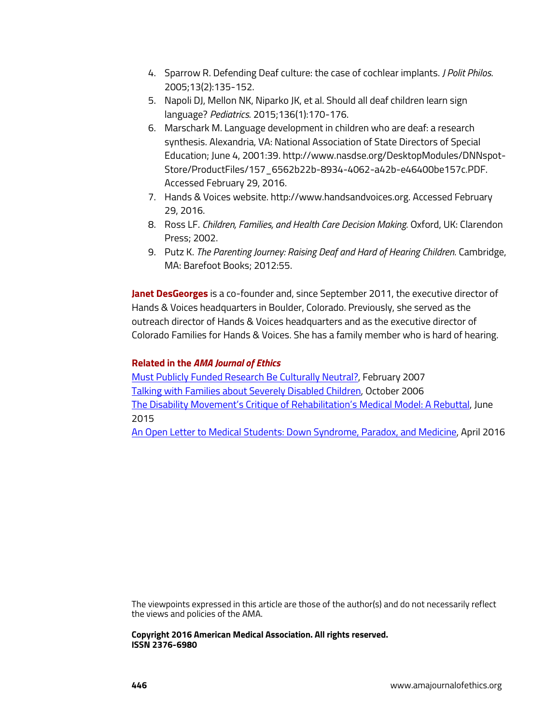- 4. Sparrow R. Defending Deaf culture: the case of cochlear implants. *J Polit Philos*. 2005;13(2):135-152.
- 5. Napoli DJ, Mellon NK, Niparko JK, et al. Should all deaf children learn sign language? *Pediatrics*. 2015;136(1):170-176.
- 6. Marschark M. Language development in children who are deaf: a research synthesis. Alexandria, VA: National Association of State Directors of Special Education; June 4, 2001:39. http://www.nasdse.org/DesktopModules/DNNspot-Store/ProductFiles/157\_6562b22b-8934-4062-a42b-e46400be157c.PDF. Accessed February 29, 2016.
- 7. Hands & Voices website. http://www.handsandvoices.org. Accessed February 29, 2016.
- 8. Ross LF. *Children, Families, and Health Care Decision Making*. Oxford, UK: Clarendon Press; 2002.
- 9. Putz K. *The Parenting Journey: Raising Deaf and Hard of Hearing Children*. Cambridge, MA: Barefoot Books; 2012:55.

**Janet DesGeorges** is a co-founder and, since September 2011, the executive director of Hands & Voices headquarters in Boulder, Colorado. Previously, she served as the outreach director of Hands & Voices headquarters and as the executive director of Colorado Families for Hands & Voices. She has a family member who is hard of hearing.

## **Related in the** *AMA Journal of Ethics*

[Must Publicly Funded Research Be Culturally Neutral?,](http://journalofethics.ama-assn.org/2007/02/oped1-0702.html) February 2007 [Talking with Families about Severely Disabled Children,](http://journalofethics.ama-assn.org/2006/10/msoc1-0610.html) October 2006 [The Disability Movement's Critique of Rehabilitation's Medical Model: A Rebuttal,](http://journalofethics.ama-assn.org/2015/06/msoc1-1506.html) June 2015 [An Open Letter to Medical Students: Down Syndrome, Paradox, and Medicine,](http://journalofethics.ama-assn.org/2016/04/mnar1-1604.html) April 2016

The viewpoints expressed in this article are those of the author(s) and do not necessarily reflect the views and policies of the AMA.

**Copyright 2016 American Medical Association. All rights reserved. ISSN 2376-6980**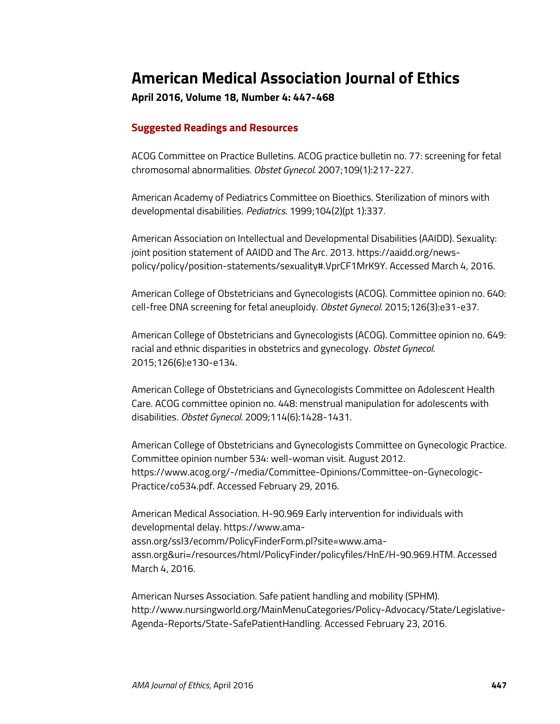# **American Medical Association Journal of Ethics**

**April 2016, Volume 18, Number 4: 447-468**

# **Suggested Readings and Resources**

ACOG Committee on Practice Bulletins. ACOG practice bulletin no. 77: screening for fetal chromosomal abnormalities*. Obstet Gynecol.* 2007;109(1):217-227.

American Academy of Pediatrics Committee on Bioethics. Sterilization of minors with developmental disabilities. *Pediatrics*. 1999;104(2)(pt 1):337.

American Association on Intellectual and Developmental Disabilities (AAIDD). Sexuality: joint position statement of AAIDD and The Arc. 2013. https://aaidd.org/newspolicy/policy/position-statements/sexuality#.VprCF1MrK9Y. Accessed March 4, 2016.

American College of Obstetricians and Gynecologists (ACOG). Committee opinion no. 640: cell-free DNA screening for fetal aneuploidy. *Obstet Gynecol*. 2015;126(3):e31-e37.

American College of Obstetricians and Gynecologists (ACOG). Committee opinion no. 649: racial and ethnic disparities in obstetrics and gynecology. *Obstet Gynecol*. 2015;126(6):e130-e134.

American College of Obstetricians and Gynecologists Committee on Adolescent Health Care. ACOG committee opinion no. 448: menstrual manipulation for adolescents with disabilities. *Obstet Gynecol*. 2009;114(6):1428-1431.

American College of Obstetricians and Gynecologists Committee on Gynecologic Practice. Committee opinion number 534: well-woman visit. August 2012. https://www.acog.org/-/media/Committee-Opinions/Committee-on-Gynecologic-Practice/co534.pdf. Accessed February 29, 2016.

American Medical Association. H-90.969 Early intervention for individuals with developmental delay. https://www.amaassn.org/ssl3/ecomm/PolicyFinderForm.pl?site=www.amaassn.org&uri=/resources/html/PolicyFinder/policyfiles/HnE/H-90.969.HTM. Accessed March 4, 2016.

American Nurses Association. Safe patient handling and mobility (SPHM). http://www.nursingworld.org/MainMenuCategories/Policy-Advocacy/State/Legislative-Agenda-Reports/State-SafePatientHandling. Accessed February 23, 2016.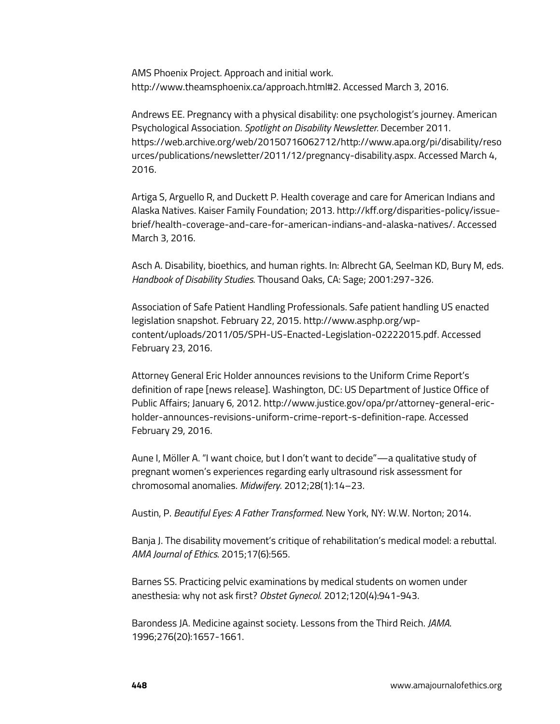AMS Phoenix Project. Approach and initial work. http://www.theamsphoenix.ca/approach.html#2. Accessed March 3, 2016.

Andrews EE. Pregnancy with a physical disability: one psychologist's journey. American Psychological Association. *Spotlight on Disability Newsletter.* December 2011. https://web.archive.org/web/20150716062712/http://www.apa.org/pi/disability/reso urces/publications/newsletter/2011/12/pregnancy-disability.aspx. Accessed March 4, 2016.

Artiga S, Arguello R, and Duckett P. Health coverage and care for American Indians and Alaska Natives. Kaiser Family Foundation; 2013. http://kff.org/disparities-policy/issuebrief/health-coverage-and-care-for-american-indians-and-alaska-natives/. Accessed March 3, 2016.

Asch A. Disability, bioethics, and human rights. In: Albrecht GA, Seelman KD, Bury M, eds. *Handbook of Disability Studies*. Thousand Oaks, CA: Sage; 2001:297-326.

Association of Safe Patient Handling Professionals. Safe patient handling US enacted legislation snapshot. February 22, 2015. http://www.asphp.org/wpcontent/uploads/2011/05/SPH-US-Enacted-Legislation-02222015.pdf. Accessed February 23, 2016.

Attorney General Eric Holder announces revisions to the Uniform Crime Report's definition of rape [news release]. Washington, DC: US Department of Justice Office of Public Affairs; January 6, 2012. http://www.justice.gov/opa/pr/attorney-general-ericholder-announces-revisions-uniform-crime-report-s-definition-rape. Accessed February 29, 2016.

Aune I, Möller A. "I want choice, but I don't want to decide"—a qualitative study of pregnant women's experiences regarding early ultrasound risk assessment for chromosomal anomalies. *Midwifery*. 2012;28(1):14–23.

Austin, P. *Beautiful Eyes: A Father Transformed*. New York, NY: W.W. Norton; 2014.

Banja J. The disability movement's critique of rehabilitation's medical model: a rebuttal. *AMA Journal of Ethics*. 2015;17(6):565.

Barnes SS. Practicing pelvic examinations by medical students on women under anesthesia: why not ask first? *Obstet Gynecol*. 2012;120(4):941-943.

Barondess JA. Medicine against society. Lessons from the Third Reich. *JAMA*. 1996;276(20):1657-1661.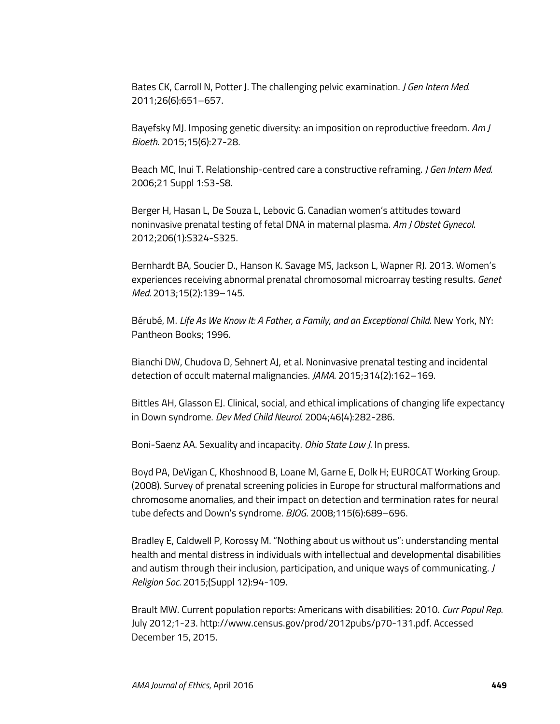Bates CK, Carroll N, Potter J. The challenging pelvic examination. *J Gen Intern Med.* 2011;26(6):651–657.

Bayefsky MJ. Imposing genetic diversity: an imposition on reproductive freedom. *Am J Bioeth*. 2015;15(6):27-28.

Beach MC, Inui T. Relationship-centred care a constructive reframing. *J Gen Intern Med.*  2006;21 Suppl 1:S3-S8.

Berger H, Hasan L, De Souza L, Lebovic G. Canadian women's attitudes toward noninvasive prenatal testing of fetal DNA in maternal plasma. *Am J Obstet Gynecol*. 2012;206(1):S324-S325.

Bernhardt BA, Soucier D., Hanson K. Savage MS, Jackson L, Wapner RJ. 2013. Women's experiences receiving abnormal prenatal chromosomal microarray testing results. *Genet Med.* 2013;15(2):139–145.

Bérubé, M. *Life As We Know It: A Father, a Family, and an Exceptional Child*. New York, NY: Pantheon Books; 1996.

Bianchi DW, Chudova D, Sehnert AJ, et al. Noninvasive prenatal testing and incidental detection of occult maternal malignancies. *JAMA*. 2015;314(2):162–169.

Bittles AH, Glasson EJ. Clinical, social, and ethical implications of changing life expectancy in Down syndrome. *Dev Med Child Neurol*. 2004;46(4):282-286.

Boni-Saenz AA. Sexuality and incapacity. *Ohio State Law J*. In press.

Boyd PA, DeVigan C, Khoshnood B, Loane M, Garne E, Dolk H; EUROCAT Working Group. (2008). Survey of prenatal screening policies in Europe for structural malformations and chromosome anomalies, and their impact on detection and termination rates for neural tube defects and Down's syndrome. *BJOG*. 2008;115(6):689–696.

Bradley E, Caldwell P, Korossy M. "Nothing about us without us": understanding mental health and mental distress in individuals with intellectual and developmental disabilities and autism through their inclusion, participation, and unique ways of communicating. *J Religion Soc.* 2015;(Suppl 12):94-109.

Brault MW. Current population reports: Americans with disabilities: 2010. *Curr Popul Rep*. July 2012;1-23. http://www.census.gov/prod/2012pubs/p70-131.pdf. Accessed December 15, 2015.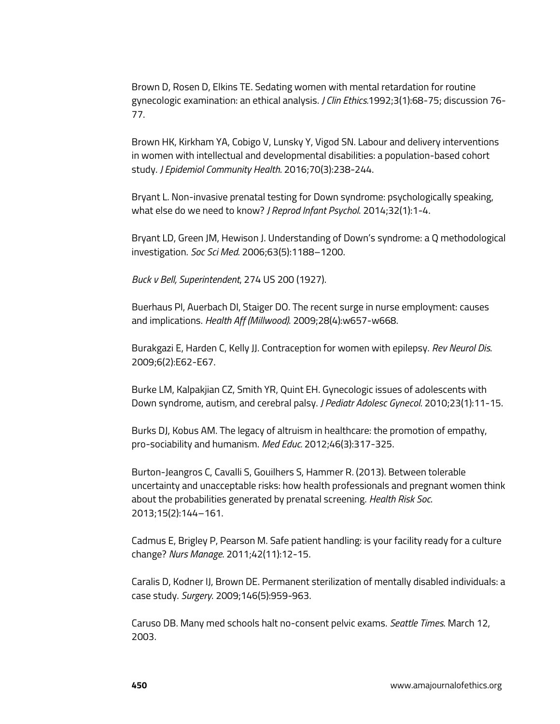Brown D, Rosen D, Elkins TE. Sedating women with mental retardation for routine gynecologic examination: an ethical analysis. *J Clin Ethics.*1992;3(1):68-75; discussion 76- 77.

Brown HK, Kirkham YA, Cobigo V, Lunsky Y, Vigod SN. Labour and delivery interventions in women with intellectual and developmental disabilities: a population-based cohort study. *J Epidemiol Community Health*. 2016;70(3):238-244.

Bryant L. Non-invasive prenatal testing for Down syndrome: psychologically speaking, what else do we need to know? *J Reprod Infant Psychol*. 2014;32(1):1-4.

Bryant LD, Green JM, Hewison J. Understanding of Down's syndrome: a Q methodological investigation. *Soc Sci Med*. 2006;63(5):1188–1200.

*Buck v Bell, Superintendent*, 274 US 200 (1927).

Buerhaus PI, Auerbach DI, Staiger DO. The recent surge in nurse employment: causes and implications. *Health Aff (Millwood)*. 2009;28(4):w657-w668.

Burakgazi E, Harden C, Kelly JJ. Contraception for women with epilepsy. *Rev Neurol Dis*. 2009;6(2):E62-E67.

Burke LM, Kalpakjian CZ, Smith YR, Quint EH. Gynecologic issues of adolescents with Down syndrome, autism, and cerebral palsy. *J Pediatr Adolesc Gynecol*. 2010;23(1):11-15.

Burks DJ, Kobus AM. The legacy of altruism in healthcare: the promotion of empathy, pro-sociability and humanism. *Med Educ.* 2012;46(3):317-325.

Burton-Jeangros C, Cavalli S, Gouilhers S, Hammer R. (2013). Between tolerable uncertainty and unacceptable risks: how health professionals and pregnant women think about the probabilities generated by prenatal screening. *Health Risk Soc*. 2013;15(2):144–161.

Cadmus E, Brigley P, Pearson M. Safe patient handling: is your facility ready for a culture change? *Nurs Manage*. 2011;42(11):12-15.

Caralis D, Kodner IJ, Brown DE. Permanent sterilization of mentally disabled individuals: a case study. *Surgery*. 2009;146(5):959-963.

Caruso DB. Many med schools halt no-consent pelvic exams. *Seattle Times*. March 12, 2003.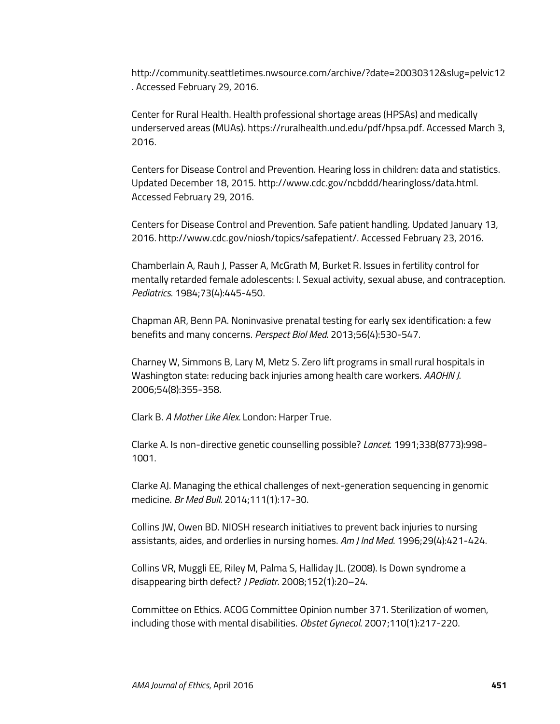http://community.seattletimes.nwsource.com/archive/?date=20030312&slug=pelvic12 . Accessed February 29, 2016.

Center for Rural Health. Health professional shortage areas (HPSAs) and medically underserved areas (MUAs). https://ruralhealth.und.edu/pdf/hpsa.pdf. Accessed March 3, 2016.

Centers for Disease Control and Prevention. Hearing loss in children: data and statistics. Updated December 18, 2015. http://www.cdc.gov/ncbddd/hearingloss/data.html. Accessed February 29, 2016.

Centers for Disease Control and Prevention. Safe patient handling. Updated January 13, 2016. http://www.cdc.gov/niosh/topics/safepatient/. Accessed February 23, 2016.

Chamberlain A, Rauh J, Passer A, McGrath M, Burket R. Issues in fertility control for mentally retarded female adolescents: I. Sexual activity, sexual abuse, and contraception. *Pediatrics*. 1984;73(4):445-450.

Chapman AR, Benn PA. Noninvasive prenatal testing for early sex identification: a few benefits and many concerns. *Perspect Biol Med*. 2013;56(4):530-547.

Charney W, Simmons B, Lary M, Metz S. Zero lift programs in small rural hospitals in Washington state: reducing back injuries among health care workers. *AAOHN J*. 2006;54(8):355-358.

Clark B. *A Mother Like Alex.* London: Harper True.

Clarke A. Is non-directive genetic counselling possible? *Lancet*. 1991;338(8773):998- 1001.

Clarke AJ. Managing the ethical challenges of next-generation sequencing in genomic medicine. *Br Med Bull*. 2014;111(1):17-30.

Collins JW, Owen BD. NIOSH research initiatives to prevent back injuries to nursing assistants, aides, and orderlies in nursing homes. *Am J Ind Med*. 1996;29(4):421-424.

Collins VR, Muggli EE, Riley M, Palma S, Halliday JL. (2008). Is Down syndrome a disappearing birth defect? *J Pediatr*. 2008;152(1):20–24.

Committee on Ethics. ACOG Committee Opinion number 371. Sterilization of women, including those with mental disabilities. *Obstet Gynecol*. 2007;110(1):217-220.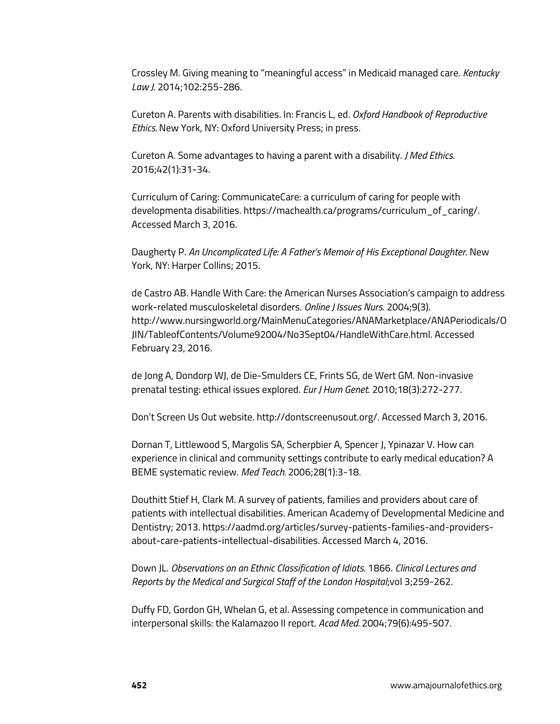Crossley M. Giving meaning to "meaningful access" in Medicaid managed care. *Kentucky Law J*. 2014;102:255-286.

Cureton A. Parents with disabilities. In: Francis L, ed. *Oxford Handbook of Reproductive Ethics.* New York, NY: Oxford University Press; in press.

Cureton A. Some advantages to having a parent with a disability. *J Med Ethics*. 2016;42(1):31-34.

Curriculum of Caring: CommunicateCare: a curriculum of caring for people with developmenta disabilities. https://machealth.ca/programs/curriculum\_of\_caring/. Accessed March 3, 2016.

Daugherty P. *An Uncomplicated Life: A Father's Memoir of His Exceptional Daughter*. New York, NY: Harper Collins; 2015.

de Castro AB. Handle With Care: the American Nurses Association's campaign to address work-related musculoskeletal disorders. *Online J Issues Nurs*. 2004;9(3). http://www.nursingworld.org/MainMenuCategories/ANAMarketplace/ANAPeriodicals/O JIN/TableofContents/Volume92004/No3Sept04/HandleWithCare.html. Accessed February 23, 2016.

de Jong A, Dondorp WJ, de Die-Smulders CE, Frints SG, de Wert GM. Non-invasive prenatal testing: ethical issues explored. *Eur J Hum Genet*. 2010;18(3):272-277.

Don't Screen Us Out website. http://dontscreenusout.org/. Accessed March 3, 2016.

Dornan T, Littlewood S, Margolis SA, Scherpbier A, Spencer J, Ypinazar V. How can experience in clinical and community settings contribute to early medical education? A BEME systematic review. *Med Teach.* 2006;28(1):3-18.

Douthitt Stief H, Clark M. A survey of patients, families and providers about care of patients with intellectual disabilities. American Academy of Developmental Medicine and Dentistry; 2013. https://aadmd.org/articles/survey-patients-families-and-providersabout-care-patients-intellectual-disabilities. Accessed March 4, 2016.

Down JL. *Observations on an Ethnic Classification of Idiots*. 1866. *Clinical Lectures and Reports by the Medical and Surgical Staff of the London Hospital*;vol 3;259-262.

Duffy FD, Gordon GH, Whelan G, et al. Assessing competence in communication and interpersonal skills: the Kalamazoo II report. *Acad Med.* 2004;79(6):495-507.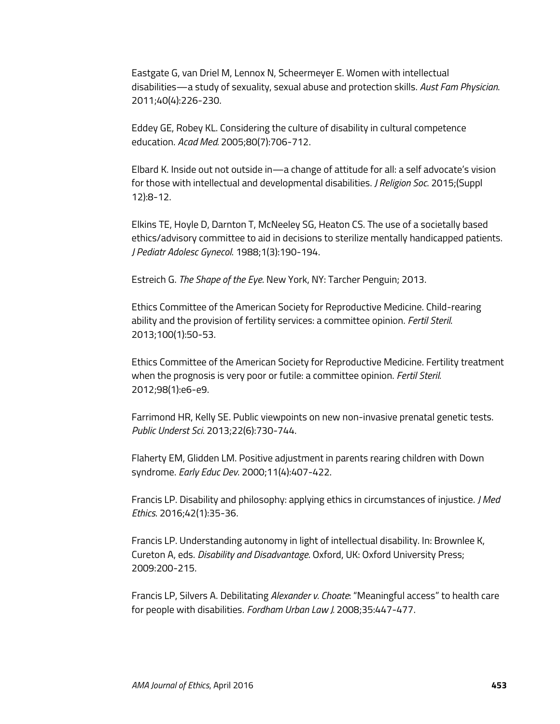Eastgate G, van Driel M, Lennox N, Scheermeyer E. Women with intellectual disabilities—a study of sexuality, sexual abuse and protection skills. *Aust Fam Physician*. 2011;40(4):226-230.

Eddey GE, Robey KL. Considering the culture of disability in cultural competence education. *Acad Med.* 2005;80(7):706-712.

Elbard K. Inside out not outside in—a change of attitude for all: a self advocate's vision for those with intellectual and developmental disabilities. *J Religion Soc*. 2015;(Suppl 12):8-12.

Elkins TE, Hoyle D, Darnton T, McNeeley SG, Heaton CS. The use of a societally based ethics/advisory committee to aid in decisions to sterilize mentally handicapped patients. *J Pediatr Adolesc Gynecol*. 1988;1(3):190-194.

Estreich G. *The Shape of the Eye*. New York, NY: Tarcher Penguin; 2013.

Ethics Committee of the American Society for Reproductive Medicine. Child-rearing ability and the provision of fertility services: a committee opinion. *Fertil Steril*. 2013;100(1):50-53.

Ethics Committee of the American Society for Reproductive Medicine. Fertility treatment when the prognosis is very poor or futile: a committee opinion. *Fertil Steril.*  2012;98(1):e6-e9.

Farrimond HR, Kelly SE. Public viewpoints on new non-invasive prenatal genetic tests. *Public Underst Sci*. 2013;22(6):730-744.

Flaherty EM, Glidden LM. Positive adjustment in parents rearing children with Down syndrome. *Early Educ Dev*. 2000;11(4):407-422.

Francis LP. Disability and philosophy: applying ethics in circumstances of injustice. *J Med Ethics*. 2016;42(1):35-36.

Francis LP. Understanding autonomy in light of intellectual disability. In: Brownlee K, Cureton A, eds. *Disability and Disadvantage*. Oxford, UK: Oxford University Press; 2009:200-215.

Francis LP, Silvers A. Debilitating *Alexander v. Choate*: "Meaningful access" to health care for people with disabilities. *Fordham Urban Law J.* 2008;35:447-477.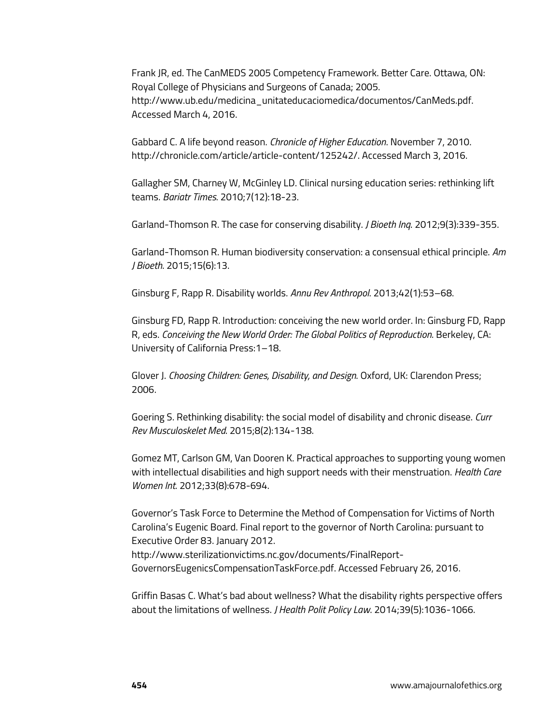Frank JR, ed. The CanMEDS 2005 Competency Framework. Better Care. Ottawa, ON: Royal College of Physicians and Surgeons of Canada; 2005. http://www.ub.edu/medicina\_unitateducaciomedica/documentos/CanMeds.pdf. Accessed March 4, 2016.

Gabbard C. A life beyond reason. *Chronicle of Higher Education*. November 7, 2010. http://chronicle.com/article/article-content/125242/. Accessed March 3, 2016.

Gallagher SM, Charney W, McGinley LD. Clinical nursing education series: rethinking lift teams. *Bariatr Times*. 2010;7(12):18-23.

Garland-Thomson R. The case for conserving disability. *J Bioeth Inq*. 2012;9(3):339-355.

Garland-Thomson R. Human biodiversity conservation: a consensual ethical principle. *Am J Bioeth*. 2015;15(6):13.

Ginsburg F, Rapp R. Disability worlds. *Annu Rev Anthropol*. 2013;42(1):53–68.

Ginsburg FD, Rapp R. Introduction: conceiving the new world order. In: Ginsburg FD, Rapp R, eds. *Conceiving the New World Order: The Global Politics of Reproduction*. Berkeley, CA: University of California Press:1–18.

Glover J. *Choosing Children: Genes, Disability, and Design*. Oxford, UK: Clarendon Press; 2006.

Goering S. Rethinking disability: the social model of disability and chronic disease. *Curr Rev Musculoskelet Med*. 2015;8(2):134-138.

Gomez MT, Carlson GM, Van Dooren K. Practical approaches to supporting young women with intellectual disabilities and high support needs with their menstruation. *Health Care Women Int*. 2012;33(8):678-694.

Governor's Task Force to Determine the Method of Compensation for Victims of North Carolina's Eugenic Board. Final report to the governor of North Carolina: pursuant to Executive Order 83. January 2012.

http://www.sterilizationvictims.nc.gov/documents/FinalReport-GovernorsEugenicsCompensationTaskForce.pdf. Accessed February 26, 2016.

Griffin Basas C. What's bad about wellness? What the disability rights perspective offers about the limitations of wellness. *J Health Polit Policy Law*. 2014;39(5):1036-1066.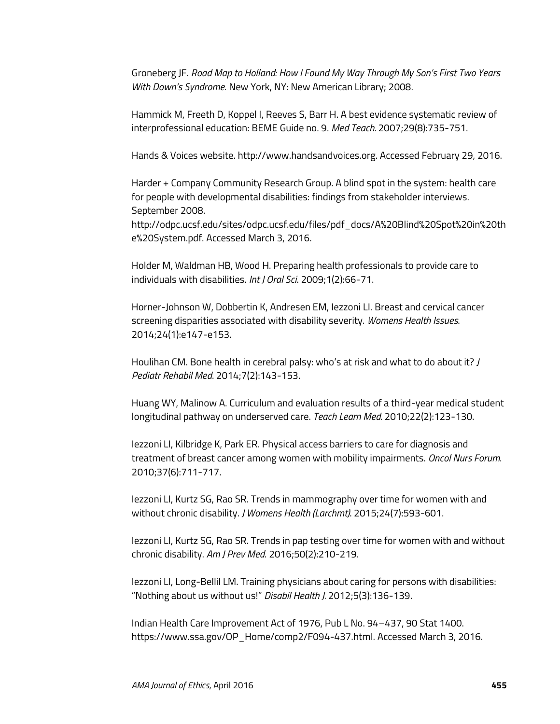Groneberg JF. *Road Map to Holland: How I Found My Way Through My Son's First Two Years With Down's Syndrome*. New York, NY: New American Library; 2008.

Hammick M, Freeth D, Koppel I, Reeves S, Barr H. A best evidence systematic review of interprofessional education: BEME Guide no. 9. *Med Teach.* 2007;29(8):735-751.

Hands & Voices website. http://www.handsandvoices.org. Accessed February 29, 2016.

Harder + Company Community Research Group. A blind spot in the system: health care for people with developmental disabilities: findings from stakeholder interviews. September 2008.

http://odpc.ucsf.edu/sites/odpc.ucsf.edu/files/pdf\_docs/A%20Blind%20Spot%20in%20th e%20System.pdf. Accessed March 3, 2016.

Holder M, Waldman HB, Wood H. Preparing health professionals to provide care to individuals with disabilities. *Int J Oral Sci*. 2009;1(2):66-71.

Horner-Johnson W, Dobbertin K, Andresen EM, Iezzoni LI. Breast and cervical cancer screening disparities associated with disability severity. *Womens Health Issues*. 2014;24(1):e147-e153.

Houlihan CM. Bone health in cerebral palsy: who's at risk and what to do about it? *J Pediatr Rehabil Med*. 2014;7(2):143-153.

Huang WY, Malinow A. Curriculum and evaluation results of a third-year medical student longitudinal pathway on underserved care. *Teach Learn Med.* 2010;22(2):123-130.

Iezzoni LI, Kilbridge K, Park ER. Physical access barriers to care for diagnosis and treatment of breast cancer among women with mobility impairments. *Oncol Nurs Forum*. 2010;37(6):711-717.

Iezzoni LI, Kurtz SG, Rao SR. Trends in mammography over time for women with and without chronic disability. *J Womens Health (Larchmt)*. 2015;24(7):593-601.

Iezzoni LI, Kurtz SG, Rao SR. Trends in pap testing over time for women with and without chronic disability. *Am J Prev Med*. 2016;50(2):210-219.

Iezzoni LI, Long-Bellil LM. Training physicians about caring for persons with disabilities: "Nothing about us without us!" *Disabil Health J.* 2012;5(3):136-139.

Indian Health Care Improvement Act of 1976, Pub L No. 94–437, 90 Stat 1400. https://www.ssa.gov/OP\_Home/comp2/F094-437.html. Accessed March 3, 2016.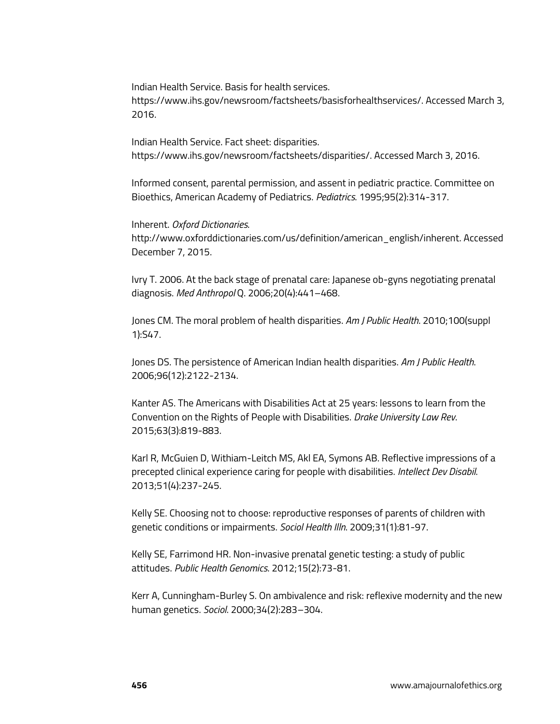Indian Health Service. Basis for health services.

https://www.ihs.gov/newsroom/factsheets/basisforhealthservices/. Accessed March 3, 2016.

Indian Health Service. Fact sheet: disparities. https://www.ihs.gov/newsroom/factsheets/disparities/. Accessed March 3, 2016.

Informed consent, parental permission, and assent in pediatric practice. Committee on Bioethics, American Academy of Pediatrics. *Pediatrics*. 1995;95(2):314-317.

Inherent. *Oxford Dictionaries*.

http://www.oxforddictionaries.com/us/definition/american\_english/inherent. Accessed December 7, 2015.

Ivry T. 2006. At the back stage of prenatal care: Japanese ob-gyns negotiating prenatal diagnosis. *Med Anthropol* Q. 2006;20(4):441–468.

Jones CM. The moral problem of health disparities. *Am J Public Health*. 2010;100(suppl 1):S47.

Jones DS. The persistence of American Indian health disparities. *Am J Public Health*. 2006;96(12):2122-2134.

Kanter AS. The Americans with Disabilities Act at 25 years: lessons to learn from the Convention on the Rights of People with Disabilities. *Drake University Law Rev*. 2015;63(3):819-883.

Karl R, McGuien D, Withiam-Leitch MS, Akl EA, Symons AB. Reflective impressions of a precepted clinical experience caring for people with disabilities. *Intellect Dev Disabil*. 2013;51(4):237-245.

Kelly SE. Choosing not to choose: reproductive responses of parents of children with genetic conditions or impairments. *Sociol Health Illn*. 2009;31(1):81-97.

Kelly SE, Farrimond HR. Non-invasive prenatal genetic testing: a study of public attitudes. *Public Health Genomics*. 2012;15(2):73-81.

Kerr A, Cunningham-Burley S. On ambivalence and risk: reflexive modernity and the new human genetics. *Sociol*. 2000;34(2):283–304.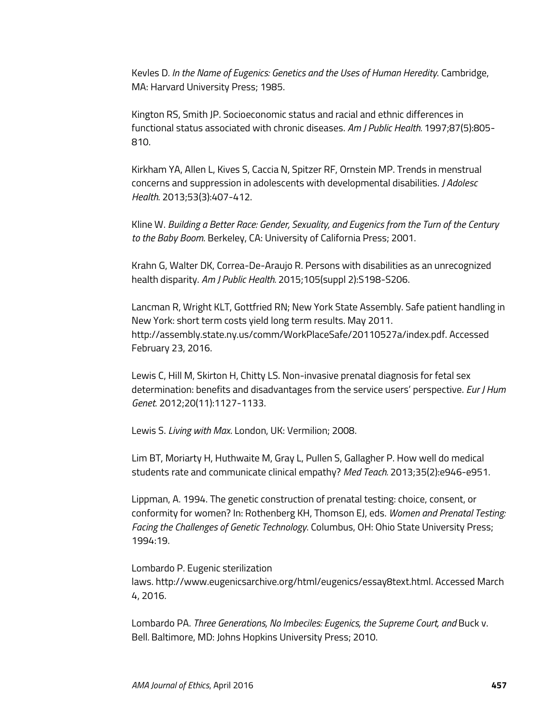Kevles D*. In the Name of Eugenics: Genetics and the Uses of Human Heredity*. Cambridge, MA: Harvard University Press; 1985.

Kington RS, Smith JP. Socioeconomic status and racial and ethnic differences in functional status associated with chronic diseases. *Am J Public Health.* 1997;87(5):805- 810.

Kirkham YA, Allen L, Kives S, Caccia N, Spitzer RF, Ornstein MP. Trends in menstrual concerns and suppression in adolescents with developmental disabilities. *J Adolesc Health*. 2013;53(3):407-412.

Kline W. *Building a Better Race: Gender, Sexuality, and Eugenics from the Turn of the Century to the Baby Boom*. Berkeley, CA: University of California Press; 2001.

Krahn G, Walter DK, Correa-De-Araujo R. Persons with disabilities as an unrecognized health disparity. *Am J Public Health.* 2015;105(suppl 2):S198-S206.

Lancman R, Wright KLT, Gottfried RN; New York State Assembly. Safe patient handling in New York: short term costs yield long term results. May 2011. http://assembly.state.ny.us/comm/WorkPlaceSafe/20110527a/index.pdf. Accessed February 23, 2016.

Lewis C, Hill M, Skirton H, Chitty LS. Non-invasive prenatal diagnosis for fetal sex determination: benefits and disadvantages from the service users' perspective. *Eur J Hum Genet*. 2012;20(11):1127-1133.

Lewis S. *Living with Max*. London, UK: Vermilion; 2008.

Lim BT, Moriarty H, Huthwaite M, Gray L, Pullen S, Gallagher P. How well do medical students rate and communicate clinical empathy? *Med Teach.* 2013;35(2):e946-e951.

Lippman, A. 1994. The genetic construction of prenatal testing: choice, consent, or conformity for women? In: Rothenberg KH, Thomson EJ, eds. *Women and Prenatal Testing: Facing the Challenges of Genetic Technology*. Columbus, OH: Ohio State University Press; 1994:19.

Lombardo P. Eugenic sterilization laws. http://www.eugenicsarchive.org/html/eugenics/essay8text.html. Accessed March 4, 2016.

Lombardo PA. *Three Generations, No Imbeciles: Eugenics, the Supreme Court, and* Buck v. Bell*.* Baltimore, MD: Johns Hopkins University Press; 2010.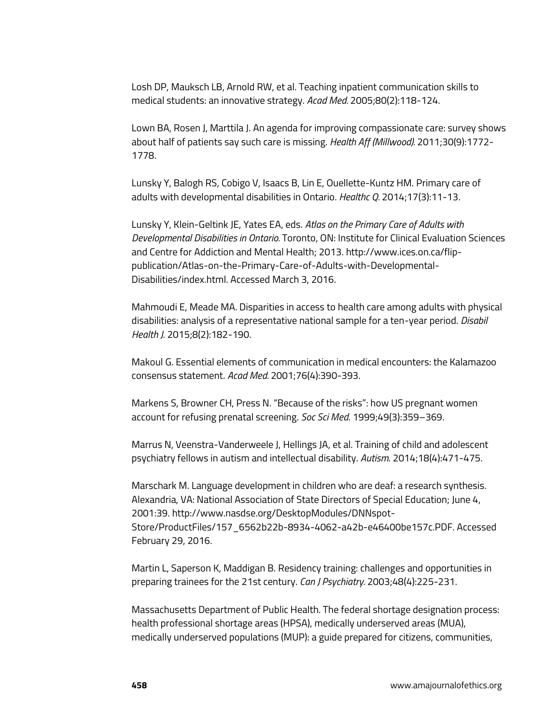Losh DP, Mauksch LB, Arnold RW, et al. Teaching inpatient communication skills to medical students: an innovative strategy. *Acad Med.* 2005;80(2):118-124.

Lown BA, Rosen J, Marttila J. An agenda for improving compassionate care: survey shows about half of patients say such care is missing. *Health Aff (Millwood).* 2011;30(9):1772- 1778.

Lunsky Y, Balogh RS, Cobigo V, Isaacs B, Lin E, Ouellette-Kuntz HM. Primary care of adults with developmental disabilities in Ontario. *Healthc Q.* 2014;17(3):11-13.

Lunsky Y, Klein-Geltink JE, Yates EA, eds. *Atlas on the Primary Care of Adults with Developmental Disabilities in Ontario.* Toronto, ON: Institute for Clinical Evaluation Sciences and Centre for Addiction and Mental Health; 2013. http://www.ices.on.ca/flippublication/Atlas-on-the-Primary-Care-of-Adults-with-Developmental-Disabilities/index.html. Accessed March 3, 2016.

Mahmoudi E, Meade MA. Disparities in access to health care among adults with physical disabilities: analysis of a representative national sample for a ten-year period. *Disabil Health J*. 2015;8(2):182-190.

Makoul G. Essential elements of communication in medical encounters: the Kalamazoo consensus statement. *Acad Med.* 2001;76(4):390-393.

Markens S, Browner CH, Press N. "Because of the risks": how US pregnant women account for refusing prenatal screening. *Soc Sci Med*. 1999;49(3):359–369.

Marrus N, Veenstra-Vanderweele J, Hellings JA, et al. Training of child and adolescent psychiatry fellows in autism and intellectual disability. *Autism*. 2014;18(4):471-475.

Marschark M. Language development in children who are deaf: a research synthesis. Alexandria, VA: National Association of State Directors of Special Education; June 4, 2001:39. http://www.nasdse.org/DesktopModules/DNNspot-Store/ProductFiles/157\_6562b22b-8934-4062-a42b-e46400be157c.PDF. Accessed February 29, 2016.

Martin L, Saperson K, Maddigan B. Residency training: challenges and opportunities in preparing trainees for the 21st century. *Can J Psychiatry.* 2003;48(4):225-231.

Massachusetts Department of Public Health. The federal shortage designation process: health professional shortage areas (HPSA), medically underserved areas (MUA), medically underserved populations (MUP): a guide prepared for citizens, communities,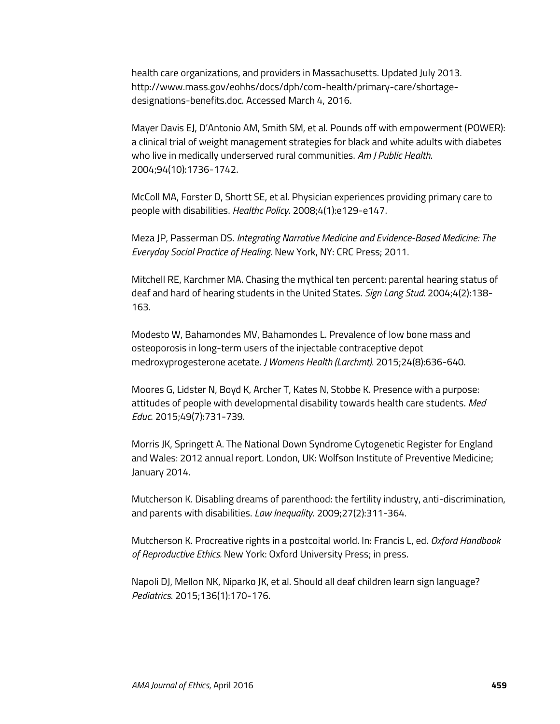health care organizations, and providers in Massachusetts. Updated July 2013. http://www.mass.gov/eohhs/docs/dph/com-health/primary-care/shortagedesignations-benefits.doc. Accessed March 4, 2016.

Mayer Davis EJ, D'Antonio AM, Smith SM, et al. Pounds off with empowerment (POWER): a clinical trial of weight management strategies for black and white adults with diabetes who live in medically underserved rural communities. *Am J Public Health*. 2004;94(10):1736-1742.

McColl MA, Forster D, Shortt SE, et al. Physician experiences providing primary care to people with disabilities. *Healthc Policy*. 2008;4(1):e129-e147.

Meza JP, Passerman DS. *Integrating Narrative Medicine and Evidence-Based Medicine: The Everyday Social Practice of Healing*. New York, NY: CRC Press; 2011.

Mitchell RE, Karchmer MA. Chasing the mythical ten percent: parental hearing status of deaf and hard of hearing students in the United States. *Sign Lang Stud*. 2004;4(2):138- 163.

Modesto W, Bahamondes MV, Bahamondes L. Prevalence of low bone mass and osteoporosis in long-term users of the injectable contraceptive depot medroxyprogesterone acetate. *J Womens Health (Larchmt)*. 2015;24(8):636-640.

Moores G, Lidster N, Boyd K, Archer T, Kates N, Stobbe K. Presence with a purpose: attitudes of people with developmental disability towards health care students. *Med Educ*. 2015;49(7):731-739.

Morris JK, Springett A. The National Down Syndrome Cytogenetic Register for England and Wales: 2012 annual report. London, UK: Wolfson Institute of Preventive Medicine; January 2014.

Mutcherson K. Disabling dreams of parenthood: the fertility industry, anti-discrimination, and parents with disabilities. *Law Inequality*. 2009;27(2):311-364.

Mutcherson K. Procreative rights in a postcoital world. In: Francis L, ed. *Oxford Handbook of Reproductive Ethics.* New York: Oxford University Press; in press.

Napoli DJ, Mellon NK, Niparko JK, et al. Should all deaf children learn sign language? *Pediatrics*. 2015;136(1):170-176.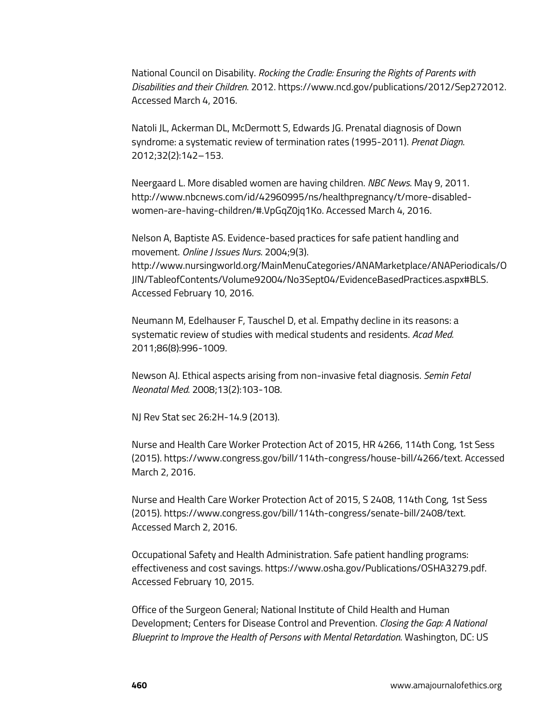National Council on Disability. *Rocking the Cradle: Ensuring the Rights of Parents with Disabilities and their Children*. 2012. https://www.ncd.gov/publications/2012/Sep272012. Accessed March 4, 2016.

Natoli JL, Ackerman DL, McDermott S, Edwards JG. Prenatal diagnosis of Down syndrome: a systematic review of termination rates (1995-2011). *Prenat Diagn*. 2012;32(2):142–153.

Neergaard L. More disabled women are having children. *NBC News*. May 9, 2011. http://www.nbcnews.com/id/42960995/ns/healthpregnancy/t/more-disabledwomen-are-having-children/#.VpGqZ0jq1Ko. Accessed March 4, 2016.

Nelson A, Baptiste AS. Evidence-based practices for safe patient handling and movement. *Online J Issues Nurs*. 2004;9(3). http://www.nursingworld.org/MainMenuCategories/ANAMarketplace/ANAPeriodicals/O JIN/TableofContents/Volume92004/No3Sept04/EvidenceBasedPractices.aspx#BLS. Accessed February 10, 2016.

Neumann M, Edelhauser F, Tauschel D, et al. Empathy decline in its reasons: a systematic review of studies with medical students and residents. *Acad Med.* 2011;86(8):996-1009.

Newson AJ. Ethical aspects arising from non-invasive fetal diagnosis. *Semin Fetal Neonatal Med*. 2008;13(2):103-108.

NJ Rev Stat sec 26:2H-14.9 (2013).

Nurse and Health Care Worker Protection Act of 2015, HR 4266, 114th Cong, 1st Sess (2015). https://www.congress.gov/bill/114th-congress/house-bill/4266/text. Accessed March 2, 2016.

Nurse and Health Care Worker Protection Act of 2015, S 2408, 114th Cong, 1st Sess (2015). https://www.congress.gov/bill/114th-congress/senate-bill/2408/text. Accessed March 2, 2016.

Occupational Safety and Health Administration. Safe patient handling programs: effectiveness and cost savings. https://www.osha.gov/Publications/OSHA3279.pdf. Accessed February 10, 2015.

Office of the Surgeon General; National Institute of Child Health and Human Development; Centers for Disease Control and Prevention. *Closing the Gap: A National Blueprint to Improve the Health of Persons with Mental Retardation*. Washington, DC: US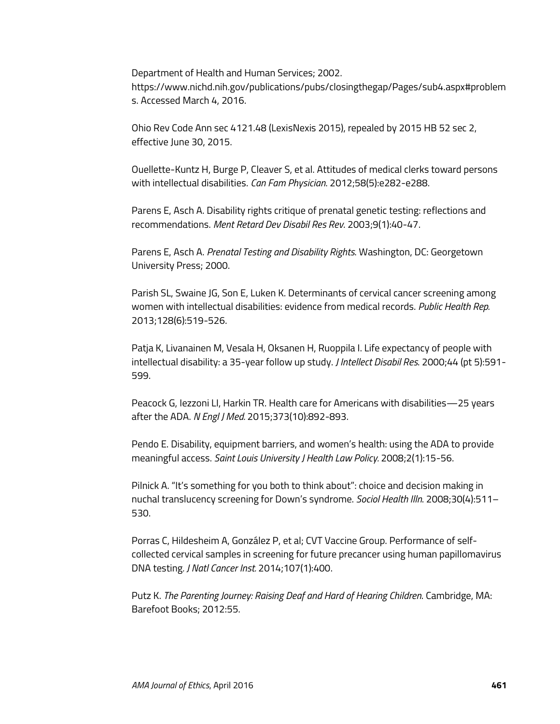Department of Health and Human Services; 2002. https://www.nichd.nih.gov/publications/pubs/closingthegap/Pages/sub4.aspx#problem s. Accessed March 4, 2016.

Ohio Rev Code Ann sec 4121.48 (LexisNexis 2015), repealed by 2015 HB 52 sec 2, effective June 30, 2015.

Ouellette-Kuntz H, Burge P, Cleaver S, et al. Attitudes of medical clerks toward persons with intellectual disabilities. *Can Fam Physician*. 2012;58(5):e282-e288.

Parens E, Asch A. Disability rights critique of prenatal genetic testing: reflections and recommendations. *Ment Retard Dev Disabil Res Rev*. 2003;9(1):40-47.

Parens E, Asch A. *Prenatal Testing and Disability Rights*. Washington, DC: Georgetown University Press; 2000.

Parish SL, Swaine JG, Son E, Luken K. Determinants of cervical cancer screening among women with intellectual disabilities: evidence from medical records. *Public Health Rep.* 2013;128(6):519-526.

Patja K, Livanainen M, Vesala H, Oksanen H, Ruoppila I. Life expectancy of people with intellectual disability: a 35-year follow up study. *J Intellect Disabil Res*. 2000;44 (pt 5):591- 599.

Peacock G, Iezzoni LI, Harkin TR. Health care for Americans with disabilities—25 years after the ADA. *N Engl J Med.* 2015;373(10):892-893.

Pendo E. Disability, equipment barriers, and women's health: using the ADA to provide meaningful access. *Saint Louis University J Health Law Policy.* 2008;2(1):15-56.

Pilnick A. "It's something for you both to think about": choice and decision making in nuchal translucency screening for Down's syndrome. *Sociol Health Illn*. 2008;30(4):511– 530.

Porras C, Hildesheim A, González P, et al; CVT Vaccine Group. Performance of selfcollected cervical samples in screening for future precancer using human papillomavirus DNA testing*. J Natl Cancer Inst.* 2014;107(1):400.

Putz K. *The Parenting Journey: Raising Deaf and Hard of Hearing Children*. Cambridge, MA: Barefoot Books; 2012:55.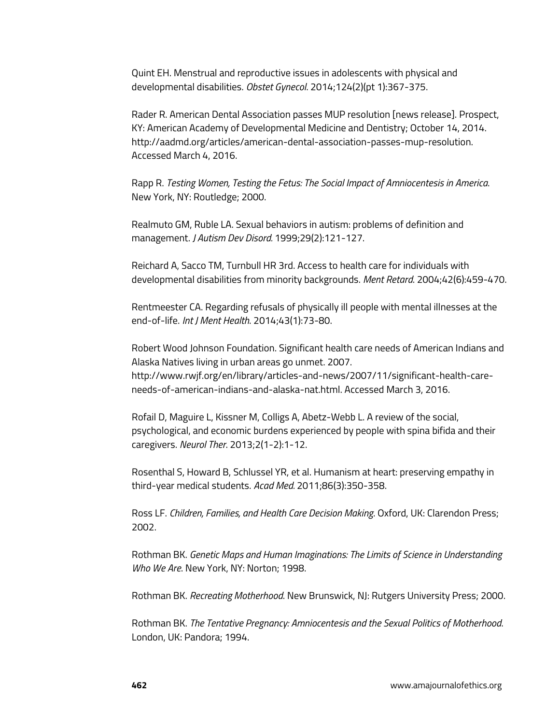Quint EH. Menstrual and reproductive issues in adolescents with physical and developmental disabilities. *Obstet Gynecol*. 2014;124(2)(pt 1):367-375.

Rader R. American Dental Association passes MUP resolution [news release]. Prospect, KY: American Academy of Developmental Medicine and Dentistry; October 14, 2014. http://aadmd.org/articles/american-dental-association-passes-mup-resolution. Accessed March 4, 2016.

Rapp R. *Testing Women, Testing the Fetus: The Social Impact of Amniocentesis in America*. New York, NY: Routledge; 2000.

Realmuto GM, Ruble LA. Sexual behaviors in autism: problems of definition and management. *J Autism Dev Disord.* 1999;29(2):121-127.

Reichard A, Sacco TM, Turnbull HR 3rd. Access to health care for individuals with developmental disabilities from minority backgrounds. *Ment Retard*. 2004;42(6):459-470.

Rentmeester CA. Regarding refusals of physically ill people with mental illnesses at the end-of-life. *Int J Ment Health*. 2014;43(1):73-80.

Robert Wood Johnson Foundation. Significant health care needs of American Indians and Alaska Natives living in urban areas go unmet. 2007. http://www.rwjf.org/en/library/articles-and-news/2007/11/significant-health-careneeds-of-american-indians-and-alaska-nat.html. Accessed March 3, 2016.

Rofail D, Maguire L, Kissner M, Colligs A, Abetz-Webb L. A review of the social, psychological, and economic burdens experienced by people with spina bifida and their caregivers. *Neurol Ther*. 2013;2(1-2):1-12.

Rosenthal S, Howard B, Schlussel YR, et al. Humanism at heart: preserving empathy in third-year medical students. *Acad Med.* 2011;86(3):350-358.

Ross LF. *Children, Families, and Health Care Decision Making*. Oxford, UK: Clarendon Press; 2002.

Rothman BK. *Genetic Maps and Human Imaginations: The Limits of Science in Understanding Who We Are*. New York, NY: Norton; 1998.

Rothman BK. *Recreating Motherhood*. New Brunswick, NJ: Rutgers University Press; 2000.

Rothman BK. *The Tentative Pregnancy: Amniocentesis and the Sexual Politics of Motherhood*. London, UK: Pandora; 1994.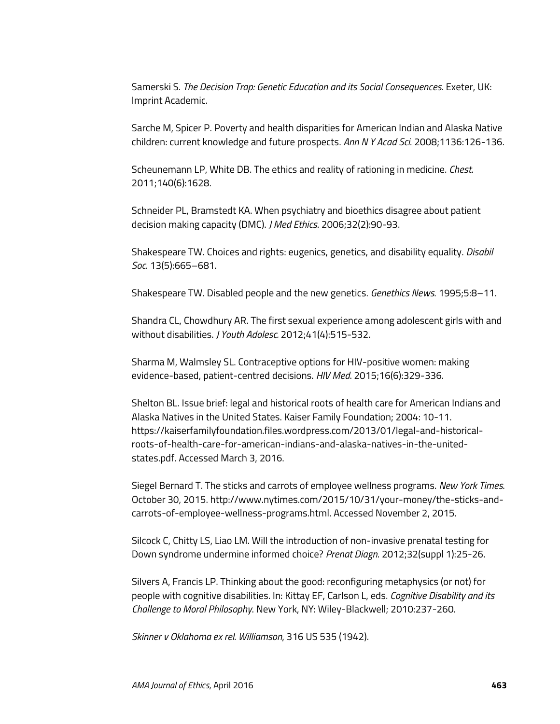Samerski S. *The Decision Trap: Genetic Education and its Social Consequences*. Exeter, UK: Imprint Academic.

Sarche M, Spicer P. Poverty and health disparities for American Indian and Alaska Native children: current knowledge and future prospects. *Ann N Y Acad Sci*. 2008;1136:126-136.

Scheunemann LP, White DB. The ethics and reality of rationing in medicine. *Chest*. 2011;140(6):1628.

Schneider PL, Bramstedt KA. When psychiatry and bioethics disagree about patient decision making capacity (DMC). *J Med Ethics*. 2006;32(2):90-93.

Shakespeare TW. Choices and rights: eugenics, genetics, and disability equality. *Disabil Soc*. 13(5):665–681.

Shakespeare TW. Disabled people and the new genetics. *Genethics News*. 1995;5:8–11.

Shandra CL, Chowdhury AR. The first sexual experience among adolescent girls with and without disabilities. *J Youth Adolesc.* 2012;41(4):515-532.

Sharma M, Walmsley SL. Contraceptive options for HIV-positive women: making evidence-based, patient-centred decisions. *HIV Med*. 2015;16(6):329-336.

Shelton BL. Issue brief: legal and historical roots of health care for American Indians and Alaska Natives in the United States. Kaiser Family Foundation; 2004: 10-11. https://kaiserfamilyfoundation.files.wordpress.com/2013/01/legal-and-historicalroots-of-health-care-for-american-indians-and-alaska-natives-in-the-unitedstates.pdf. Accessed March 3, 2016.

Siegel Bernard T. The sticks and carrots of employee wellness programs. *New York Times*. October 30, 2015. http://www.nytimes.com/2015/10/31/your-money/the-sticks-andcarrots-of-employee-wellness-programs.html. Accessed November 2, 2015.

Silcock C, Chitty LS, Liao LM. Will the introduction of non-invasive prenatal testing for Down syndrome undermine informed choice? *Prenat Diagn*. 2012;32(suppl 1):25-26.

Silvers A, Francis LP. Thinking about the good: reconfiguring metaphysics (or not) for people with cognitive disabilities. In: Kittay EF, Carlson L, eds. *Cognitive Disability and its Challenge to Moral Philosophy*. New York, NY: Wiley-Blackwell; 2010:237-260.

*Skinner v Oklahoma ex rel. Williamson*, 316 US 535 (1942).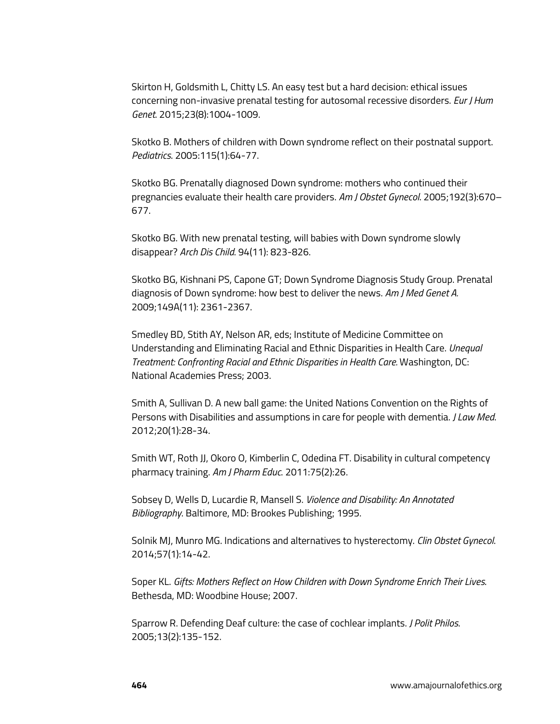Skirton H, Goldsmith L, Chitty LS. An easy test but a hard decision: ethical issues concerning non-invasive prenatal testing for autosomal recessive disorders. *Eur J Hum Genet*. 2015;23(8):1004-1009.

Skotko B. Mothers of children with Down syndrome reflect on their postnatal support. *Pediatrics*. 2005:115(1):64-77.

Skotko BG. Prenatally diagnosed Down syndrome: mothers who continued their pregnancies evaluate their health care providers. *Am J Obstet Gynecol*. 2005;192(3):670– 677.

Skotko BG. With new prenatal testing, will babies with Down syndrome slowly disappear? *Arch Dis Child*. 94(11): 823-826.

Skotko BG, Kishnani PS, Capone GT; Down Syndrome Diagnosis Study Group. Prenatal diagnosis of Down syndrome: how best to deliver the news. *Am J Med Genet A.*  2009;149A(11): 2361-2367.

Smedley BD, Stith AY, Nelson AR, eds; Institute of Medicine Committee on Understanding and Eliminating Racial and Ethnic Disparities in Health Care. *Unequal Treatment: Confronting Racial and Ethnic Disparities in Health Care.* Washington, DC: National Academies Press; 2003.

Smith A, Sullivan D. A new ball game: the United Nations Convention on the Rights of Persons with Disabilities and assumptions in care for people with dementia. *J Law Med*. 2012;20(1):28-34.

Smith WT, Roth JJ, Okoro O, Kimberlin C, Odedina FT. Disability in cultural competency pharmacy training. *Am J Pharm Educ*. 2011:75(2):26.

Sobsey D, Wells D, Lucardie R, Mansell S. *Violence and Disability: An Annotated Bibliography*. Baltimore, MD: Brookes Publishing; 1995.

Solnik MJ, Munro MG. Indications and alternatives to hysterectomy. *Clin Obstet Gynecol*. 2014;57(1):14-42.

Soper KL. *Gifts: Mothers Reflect on How Children with Down Syndrome Enrich Their Lives*. Bethesda, MD: Woodbine House; 2007.

Sparrow R. Defending Deaf culture: the case of cochlear implants. *J Polit Philos*. 2005;13(2):135-152.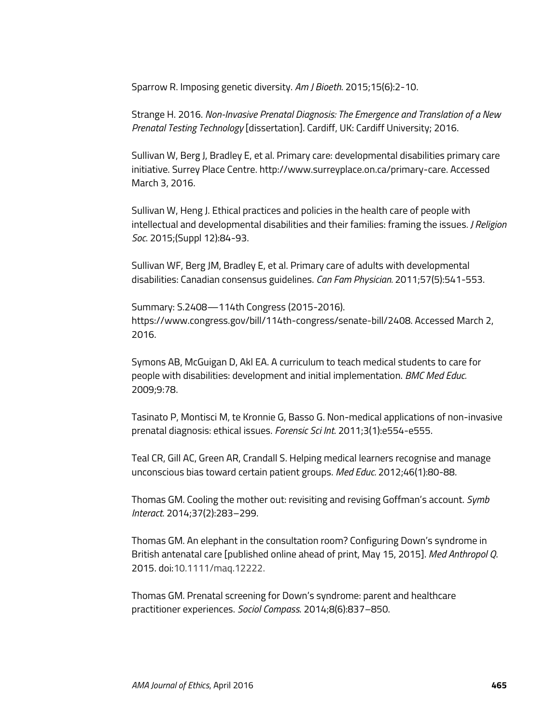Sparrow R. Imposing genetic diversity. *Am J Bioeth*. 2015;15(6):2-10.

Strange H. 2016. *Non-Invasive Prenatal Diagnosis: The Emergence and Translation of a New Prenatal Testing Technology* [dissertation]. Cardiff, UK: Cardiff University; 2016.

Sullivan W, Berg J, Bradley E, et al. Primary care: developmental disabilities primary care initiative. Surrey Place Centre. http://www.surreyplace.on.ca/primary-care. Accessed March 3, 2016.

Sullivan W, Heng J. Ethical practices and policies in the health care of people with intellectual and developmental disabilities and their families: framing the issues*. J Religion Soc*. 2015;(Suppl 12):84-93.

Sullivan WF, Berg JM, Bradley E, et al. Primary care of adults with developmental disabilities: Canadian consensus guidelines. *Can Fam Physician.* 2011;57(5):541-553.

Summary: S.2408—114th Congress (2015-2016). https://www.congress.gov/bill/114th-congress/senate-bill/2408. Accessed March 2, 2016.

Symons AB, McGuigan D, Akl EA. A curriculum to teach medical students to care for people with disabilities: development and initial implementation. *BMC Med Educ.* 2009;9:78.

Tasinato P, Montisci M, te Kronnie G, Basso G. Non-medical applications of non-invasive prenatal diagnosis: ethical issues. *Forensic Sci Int*. 2011;3(1):e554-e555.

Teal CR, Gill AC, Green AR, Crandall S. Helping medical learners recognise and manage unconscious bias toward certain patient groups. *Med Educ.* 2012;46(1):80-88.

Thomas GM. Cooling the mother out: revisiting and revising Goffman's account. *Symb Interact*. 2014;37(2):283–299.

Thomas GM. An elephant in the consultation room? Configuring Down's syndrome in British antenatal care [published online ahead of print, May 15, 2015]. *Med Anthropol Q*. 2015. doi:10.1111/maq.12222.

Thomas GM. Prenatal screening for Down's syndrome: parent and healthcare practitioner experiences. *Sociol Compass*. 2014;8(6):837–850.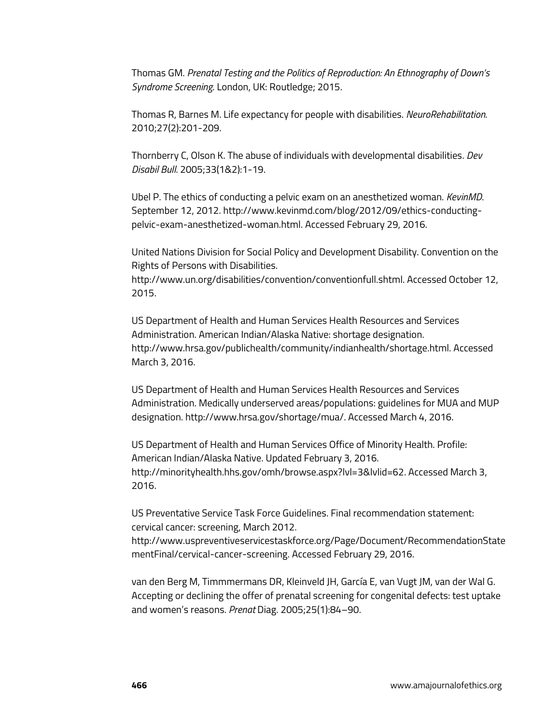Thomas GM. *Prenatal Testing and the Politics of Reproduction: An Ethnography of Down's Syndrome Screening*. London, UK: Routledge; 2015.

Thomas R, Barnes M. Life expectancy for people with disabilities. *NeuroRehabilitation.* 2010;27(2):201-209.

Thornberry C, Olson K. The abuse of individuals with developmental disabilities. *Dev Disabil Bull*. 2005;33(1&2):1-19.

Ubel P. The ethics of conducting a pelvic exam on an anesthetized woman. *KevinMD*. September 12, 2012. http://www.kevinmd.com/blog/2012/09/ethics-conductingpelvic-exam-anesthetized-woman.html. Accessed February 29, 2016.

United Nations Division for Social Policy and Development Disability. Convention on the Rights of Persons with Disabilities.

http://www.un.org/disabilities/convention/conventionfull.shtml. Accessed October 12, 2015.

US Department of Health and Human Services Health Resources and Services Administration. American Indian/Alaska Native: shortage designation. http://www.hrsa.gov/publichealth/community/indianhealth/shortage.html. Accessed March 3, 2016.

US Department of Health and Human Services Health Resources and Services Administration. Medically underserved areas/populations: guidelines for MUA and MUP designation. http://www.hrsa.gov/shortage/mua/. Accessed March 4, 2016.

US Department of Health and Human Services Office of Minority Health. Profile: American Indian/Alaska Native. Updated February 3, 2016. http://minorityhealth.hhs.gov/omh/browse.aspx?lvl=3&lvlid=62. Accessed March 3, 2016.

US Preventative Service Task Force Guidelines. Final recommendation statement: cervical cancer: screening, March 2012.

http://www.uspreventiveservicestaskforce.org/Page/Document/RecommendationState mentFinal/cervical-cancer-screening. Accessed February 29, 2016.

van den Berg M, Timmmermans DR, Kleinveld JH, García E, van Vugt JM, van der Wal G. Accepting or declining the offer of prenatal screening for congenital defects: test uptake and women's reasons. *Prenat* Diag. 2005;25(1):84–90.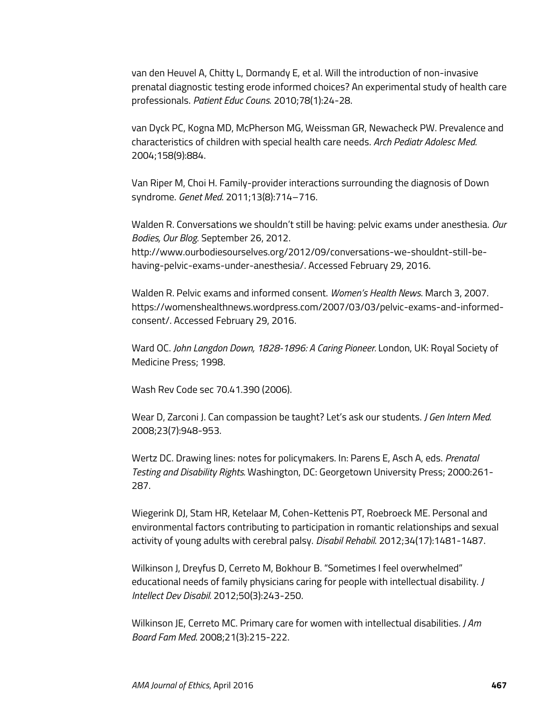van den Heuvel A, Chitty L, Dormandy E, et al. Will the introduction of non-invasive prenatal diagnostic testing erode informed choices? An experimental study of health care professionals. *Patient Educ Couns*. 2010;78(1):24-28.

van Dyck PC, Kogna MD, McPherson MG, Weissman GR, Newacheck PW. Prevalence and characteristics of children with special health care needs. *Arch Pediatr Adolesc Med*. 2004;158(9):884.

Van Riper M, Choi H. Family-provider interactions surrounding the diagnosis of Down syndrome. *Genet Med*. 2011;13(8):714–716.

Walden R. Conversations we shouldn't still be having: pelvic exams under anesthesia. *Our Bodies, Our Blog*. September 26, 2012. http://www.ourbodiesourselves.org/2012/09/conversations-we-shouldnt-still-be-

having-pelvic-exams-under-anesthesia/. Accessed February 29, 2016.

Walden R. Pelvic exams and informed consent. *Women's Health News*. March 3, 2007. https://womenshealthnews.wordpress.com/2007/03/03/pelvic-exams-and-informedconsent/. Accessed February 29, 2016.

Ward OC. *John Langdon Down, 1828-1896: A Caring Pioneer.* London, UK: Royal Society of Medicine Press; 1998.

Wash Rev Code sec 70.41.390 (2006).

Wear D, Zarconi J. Can compassion be taught? Let's ask our students. *J Gen Intern Med.*  2008;23(7):948-953.

Wertz DC. Drawing lines: notes for policymakers. In: Parens E, Asch A, eds. *Prenatal Testing and Disability Rights.* Washington, DC: Georgetown University Press; 2000:261- 287.

Wiegerink DJ, Stam HR, Ketelaar M, Cohen-Kettenis PT, Roebroeck ME. Personal and environmental factors contributing to participation in romantic relationships and sexual activity of young adults with cerebral palsy. *Disabil Rehabil*. 2012;34(17):1481-1487.

Wilkinson J, Dreyfus D, Cerreto M, Bokhour B. "Sometimes I feel overwhelmed" educational needs of family physicians caring for people with intellectual disability. *J Intellect Dev Disabil.* 2012;50(3):243-250.

Wilkinson JE, Cerreto MC. Primary care for women with intellectual disabilities*. J Am Board Fam Med*. 2008;21(3):215-222.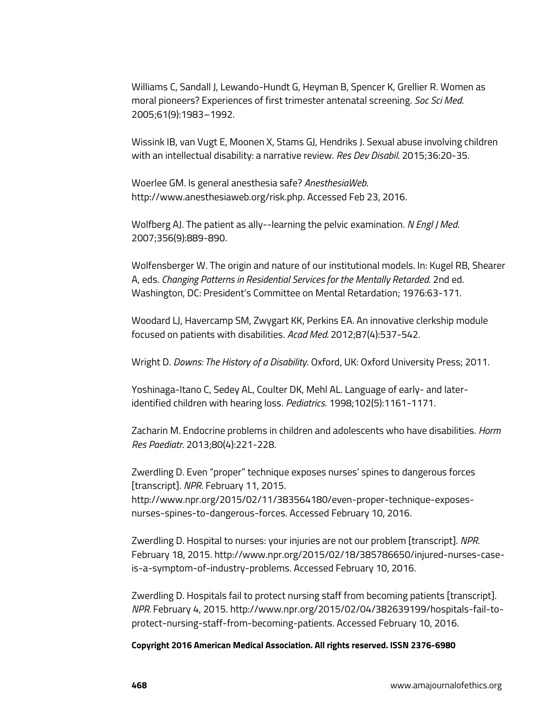Williams C, Sandall J, Lewando-Hundt G, Heyman B, Spencer K, Grellier R. Women as moral pioneers? Experiences of first trimester antenatal screening. *Soc Sci Med*. 2005;61(9):1983–1992.

Wissink IB, van Vugt E, Moonen X, Stams GJ, Hendriks J. Sexual abuse involving children with an intellectual disability: a narrative review. *Res Dev Disabil*. 2015;36:20-35.

Woerlee GM. Is general anesthesia safe? *AnesthesiaWeb*. http://www.anesthesiaweb.org/risk.php. Accessed Feb 23, 2016.

Wolfberg AJ. The patient as ally--learning the pelvic examination. *N Engl J Med*. 2007;356(9):889-890.

Wolfensberger W. The origin and nature of our institutional models. In: Kugel RB, Shearer A, eds. *Changing Patterns in Residential Services for the Mentally Retarded*. 2nd ed. Washington, DC: President's Committee on Mental Retardation; 1976:63-171.

Woodard LJ, Havercamp SM, Zwygart KK, Perkins EA. An innovative clerkship module focused on patients with disabilities. *Acad Med.* 2012;87(4):537-542.

Wright D. *Downs: The History of a Disability*. Oxford, UK: Oxford University Press; 2011.

Yoshinaga-Itano C, Sedey AL, Coulter DK, Mehl AL. Language of early- and lateridentified children with hearing loss. *Pediatrics*. 1998;102(5):1161-1171.

Zacharin M. Endocrine problems in children and adolescents who have disabilities. *Horm Res Paediatr*. 2013;80(4):221-228.

Zwerdling D. Even "proper" technique exposes nurses' spines to dangerous forces [transcript]. *NPR*. February 11, 2015. http://www.npr.org/2015/02/11/383564180/even-proper-technique-exposesnurses-spines-to-dangerous-forces. Accessed February 10, 2016.

Zwerdling D. Hospital to nurses: your injuries are not our problem [transcript]. *NPR*. February 18, 2015. http://www.npr.org/2015/02/18/385786650/injured-nurses-caseis-a-symptom-of-industry-problems. Accessed February 10, 2016.

Zwerdling D. Hospitals fail to protect nursing staff from becoming patients [transcript]. *NPR.* February 4, 2015. http://www.npr.org/2015/02/04/382639199/hospitals-fail-toprotect-nursing-staff-from-becoming-patients. Accessed February 10, 2016.

**Copyright 2016 American Medical Association. All rights reserved. ISSN 2376-6980**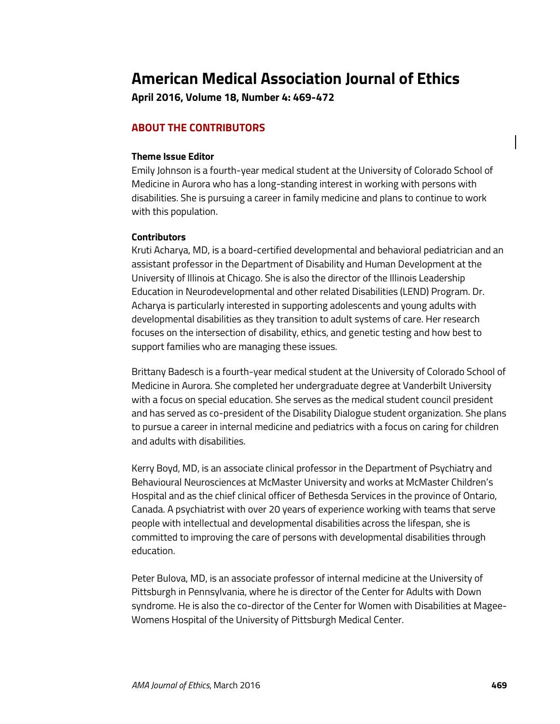## **American Medical Association Journal of Ethics**

**April 2016, Volume 18, Number 4: 469-472** 

## **ABOUT THE CONTRIBUTORS**

## **Theme Issue Editor**

Emily Johnson is a fourth-year medical student at the University of Colorado School of Medicine in Aurora who has a long-standing interest in working with persons with disabilities. She is pursuing a career in family medicine and plans to continue to work with this population.

## **Contributors**

Kruti Acharya, MD, is a board-certified developmental and behavioral pediatrician and an assistant professor in the Department of Disability and Human Development at the University of Illinois at Chicago. She is also the director of the Illinois Leadership Education in Neurodevelopmental and other related Disabilities (LEND) Program. Dr. Acharya is particularly interested in supporting adolescents and young adults with developmental disabilities as they transition to adult systems of care. Her research focuses on the intersection of disability, ethics, and genetic testing and how best to support families who are managing these issues.

Brittany Badesch is a fourth-year medical student at the University of Colorado School of Medicine in Aurora. She completed her undergraduate degree at Vanderbilt University with a focus on special education. She serves as the medical student council president and has served as co-president of the Disability Dialogue student organization. She plans to pursue a career in internal medicine and pediatrics with a focus on caring for children and adults with disabilities.

Kerry Boyd, MD, is an associate clinical professor in the Department of Psychiatry and Behavioural Neurosciences at McMaster University and works at McMaster Children's Hospital and as the chief clinical officer of Bethesda Services in the province of Ontario, Canada. A psychiatrist with over 20 years of experience working with teams that serve people with intellectual and developmental disabilities across the lifespan, she is committed to improving the care of persons with developmental disabilities through education.

Peter Bulova, MD, is an associate professor of internal medicine at the University of Pittsburgh in Pennsylvania, where he is director of the Center for Adults with Down syndrome. He is also the co-director of the Center for Women with Disabilities at Magee-Womens Hospital of the University of Pittsburgh Medical Center.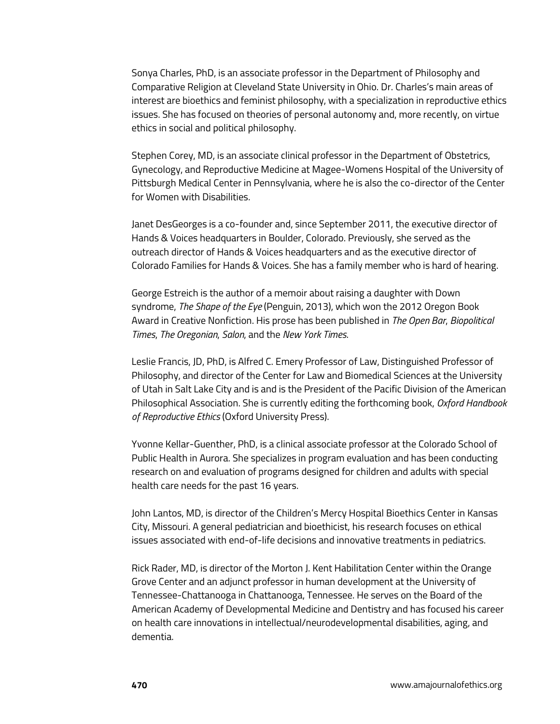Sonya Charles, PhD, is an associate professor in the Department of Philosophy and Comparative Religion at Cleveland State University in Ohio. Dr. Charles's main areas of interest are bioethics and feminist philosophy, with a specialization in reproductive ethics issues. She has focused on theories of personal autonomy and, more recently, on virtue ethics in social and political philosophy.

Stephen Corey, MD, is an associate clinical professor in the Department of Obstetrics, Gynecology, and Reproductive Medicine at Magee-Womens Hospital of the University of Pittsburgh Medical Center in Pennsylvania, where he is also the co-director of the Center for Women with Disabilities.

Janet DesGeorges is a co-founder and, since September 2011, the executive director of Hands & Voices headquarters in Boulder, Colorado. Previously, she served as the outreach director of Hands & Voices headquarters and as the executive director of Colorado Families for Hands & Voices. She has a family member who is hard of hearing.

George Estreich is the author of a memoir about raising a daughter with Down syndrome, *The Shape of the Eye* (Penguin, 2013), which won the 2012 Oregon Book Award in Creative Nonfiction. His prose has been published in *The Open Bar*, *Biopolitical Times*, *The Oregonian*, *Salon*, and the *New York Times*.

Leslie Francis, JD, PhD, is Alfred C. Emery Professor of Law, Distinguished Professor of Philosophy, and director of the Center for Law and Biomedical Sciences at the University of Utah in Salt Lake City and is and is the President of the Pacific Division of the American Philosophical Association. She is currently editing the forthcoming book, *Oxford Handbook of Reproductive Ethics* (Oxford University Press).

Yvonne Kellar-Guenther, PhD, is a clinical associate professor at the Colorado School of Public Health in Aurora. She specializes in program evaluation and has been conducting research on and evaluation of programs designed for children and adults with special health care needs for the past 16 years.

John Lantos, MD, is director of the Children's Mercy Hospital Bioethics Center in Kansas City, Missouri. A general pediatrician and bioethicist, his research focuses on ethical issues associated with end-of-life decisions and innovative treatments in pediatrics.

Rick Rader, MD, is director of the Morton J. Kent Habilitation Center within the Orange Grove Center and an adjunct professor in human development at the University of Tennessee-Chattanooga in Chattanooga, Tennessee. He serves on the Board of the American Academy of Developmental Medicine and Dentistry and has focused his career on health care innovations in intellectual/neurodevelopmental disabilities, aging, and dementia.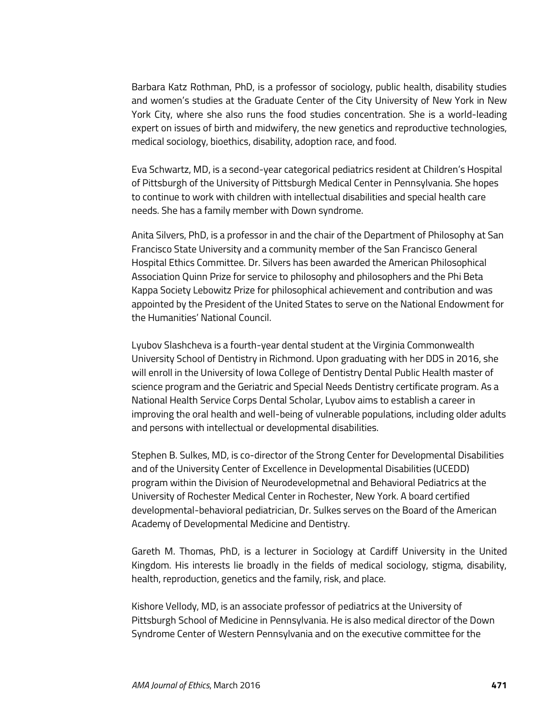Barbara Katz Rothman, PhD, is a professor of sociology, public health, disability studies and women's studies at the Graduate Center of the City University of New York in New York City, where she also runs the food studies concentration. She is a world-leading expert on issues of birth and midwifery, the new genetics and reproductive technologies, medical sociology, bioethics, disability, adoption race, and food.

Eva Schwartz, MD, is a second-year categorical pediatrics resident at Children's Hospital of Pittsburgh of the University of Pittsburgh Medical Center in Pennsylvania. She hopes to continue to work with children with intellectual disabilities and special health care needs. She has a family member with Down syndrome.

Anita Silvers, PhD, is a professor in and the chair of the Department of Philosophy at San Francisco State University and a community member of the San Francisco General Hospital Ethics Committee. Dr. Silvers has been awarded the American Philosophical Association Quinn Prize for service to philosophy and philosophers and the Phi Beta Kappa Society Lebowitz Prize for philosophical achievement and contribution and was appointed by the President of the United States to serve on the National Endowment for the Humanities' National Council.

Lyubov Slashcheva is a fourth-year dental student at the Virginia Commonwealth University School of Dentistry in Richmond. Upon graduating with her DDS in 2016, she will enroll in the University of Iowa College of Dentistry Dental Public Health master of science program and the Geriatric and Special Needs Dentistry certificate program. As a National Health Service Corps Dental Scholar, Lyubov aims to establish a career in improving the oral health and well-being of vulnerable populations, including older adults and persons with intellectual or developmental disabilities.

Stephen B. Sulkes, MD, is co-director of the Strong Center for Developmental Disabilities and of the University Center of Excellence in Developmental Disabilities (UCEDD) program within the Division of Neurodevelopmetnal and Behavioral Pediatrics at the University of Rochester Medical Center in Rochester, New York. A board certified developmental-behavioral pediatrician, Dr. Sulkes serves on the Board of the American Academy of Developmental Medicine and Dentistry.

Gareth M. Thomas, PhD, is a lecturer in Sociology at Cardiff University in the United Kingdom. His interests lie broadly in the fields of medical sociology, stigma, disability, health, reproduction, genetics and the family, risk, and place.

Kishore Vellody, MD, is an associate professor of pediatrics at the University of Pittsburgh School of Medicine in Pennsylvania. He is also medical director of the Down Syndrome Center of Western Pennsylvania and on the executive committee for the